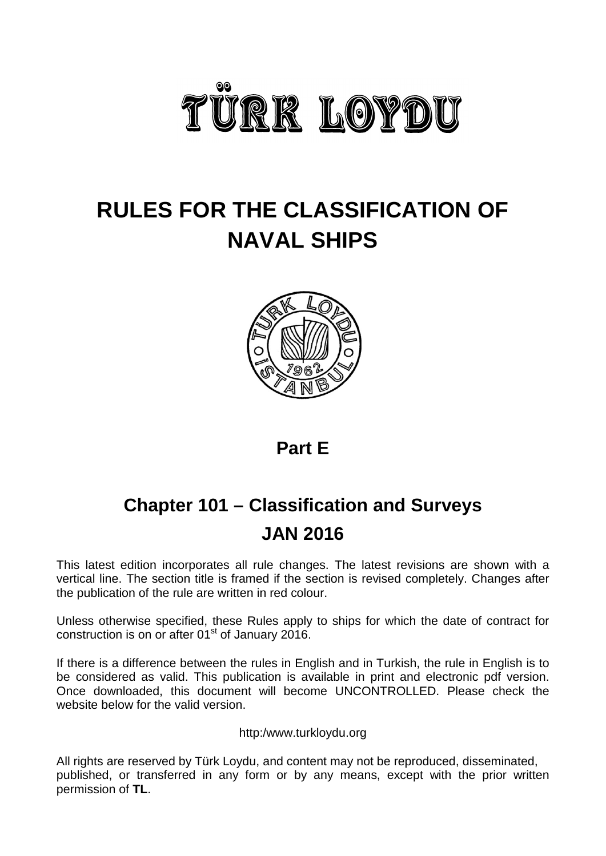

# **RULES FOR THE CLASSIFICATION OF NAVAL SHIPS**



**Part E** 

# **Chapter 101 – Classification and Surveys JAN 2016**

This latest edition incorporates all rule changes. The latest revisions are shown with a vertical line. The section title is framed if the section is revised completely. Changes after the publication of the rule are written in red colour.

Unless otherwise specified, these Rules apply to ships for which the date of contract for construction is on or after  $01<sup>st</sup>$  of January 2016.

If there is a difference between the rules in English and in Turkish, the rule in English is to be considered as valid. This publication is available in print and [electronic](http://erules.veristar.com/) pdf version. Once downloaded, this document will become UNCONTROLLED. Please check the website below for the valid version.

http:/www.turkloydu.org

All rights are reserved by Türk Loydu, and content may not be reproduced, disseminated, published, or transferred in any form or by any means, except with the prior written permission of **TL**.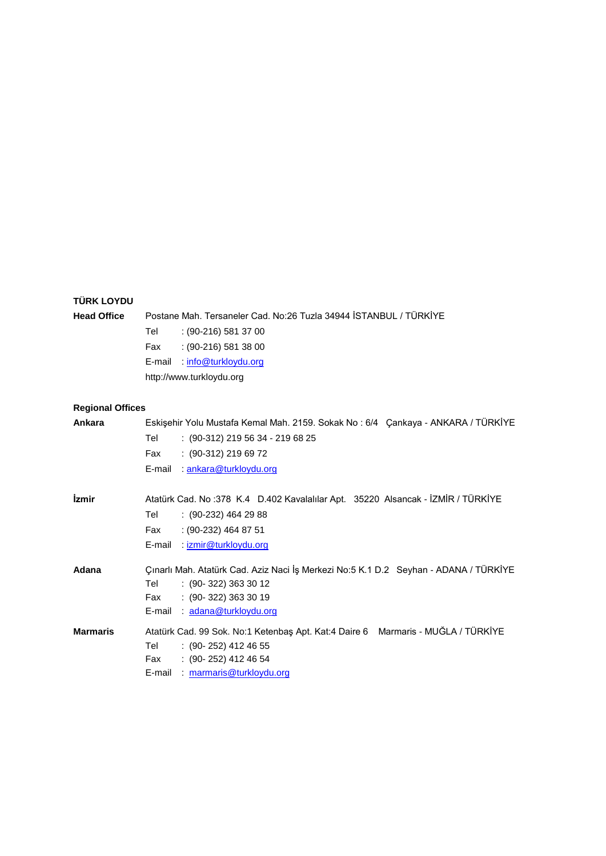# **TÜRK LOYDU**

| <b>Head Office</b>         | Postane Mah. Tersaneler Cad. No:26 Tuzla 34944 STANBUL / TÜRKİYE<br>$(90-216)$ 581 37 00<br>Tel<br>$: (90-216) 581 38 00$<br>Fax<br>E-mail: info@turkloydu.org<br>http://www.turkloydu.org   |
|----------------------------|----------------------------------------------------------------------------------------------------------------------------------------------------------------------------------------------|
| <b>Regional Offices</b>    |                                                                                                                                                                                              |
| Ankara                     | Eskişehir Yolu Mustafa Kemal Mah. 2159. Sokak No: 6/4 Çankaya - ANKARA / TÜRKİYE<br>: (90-312) 219 56 34 - 219 68 25<br>Tel<br>$: (90-312) 219 69 72$<br>Fax<br>E-mail: ankara@turkloydu.org |
| <i><u><b>izmir</b></u></i> | Atatürk Cad. No:378 K.4 D.402 Kavalalılar Apt. 35220 Alsancak - İZMİR / TÜRKİYE<br>$(90-232)$ 464 29 88<br>Tel<br>: (90-232) 464 87 51<br>Fax<br>E-mail : <i>izmir@turkloydu.org</i>         |
| Adana                      | Çınarlı Mah. Atatürk Cad. Aziz Naci İş Merkezi No:5 K.1 D.2 Seyhan - ADANA / TÜRKİYE<br>$: (90-322) 363 30 12$<br>Tel<br>$: (90-322) 363 30 19$<br>Fax<br>E-mail : adana@turkloydu.org       |
| <b>Marmaris</b>            | Atatürk Cad. 99 Sok. No:1 Ketenbaş Apt. Kat:4 Daire 6 Marmaris - MUĞLA / TÜRKİYE<br>$(90-252)$ 412 46 55<br>Teller<br>$(90-252)$ 412 46 54<br>Fax<br>E-mail : marmaris@turkloydu.org         |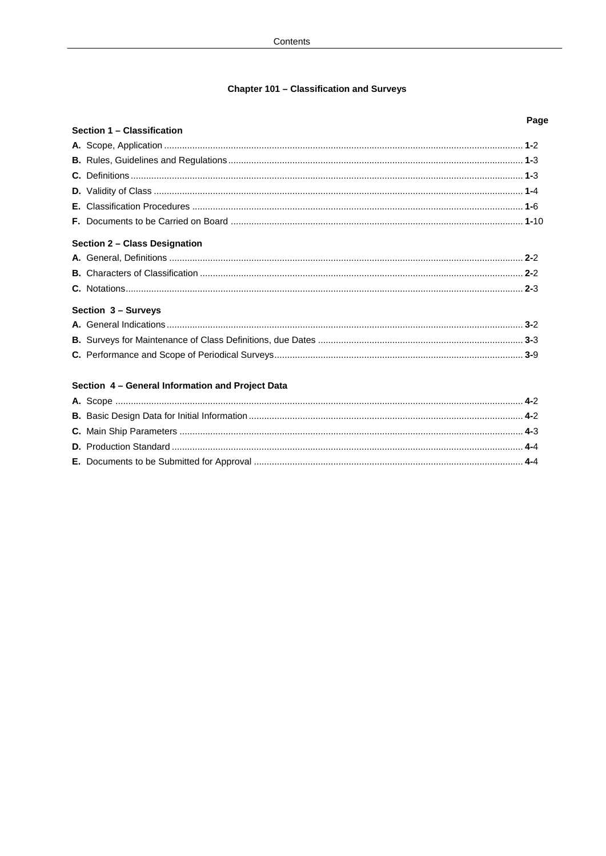# **Chapter 101 - Classification and Surveys**

| Section 1 - Classification                       |  |
|--------------------------------------------------|--|
|                                                  |  |
|                                                  |  |
|                                                  |  |
|                                                  |  |
|                                                  |  |
|                                                  |  |
| Section 2 - Class Designation                    |  |
|                                                  |  |
|                                                  |  |
|                                                  |  |
| Section 3 - Surveys                              |  |
|                                                  |  |
|                                                  |  |
|                                                  |  |
| Section 4 - General Information and Project Data |  |
|                                                  |  |
|                                                  |  |
|                                                  |  |
|                                                  |  |
|                                                  |  |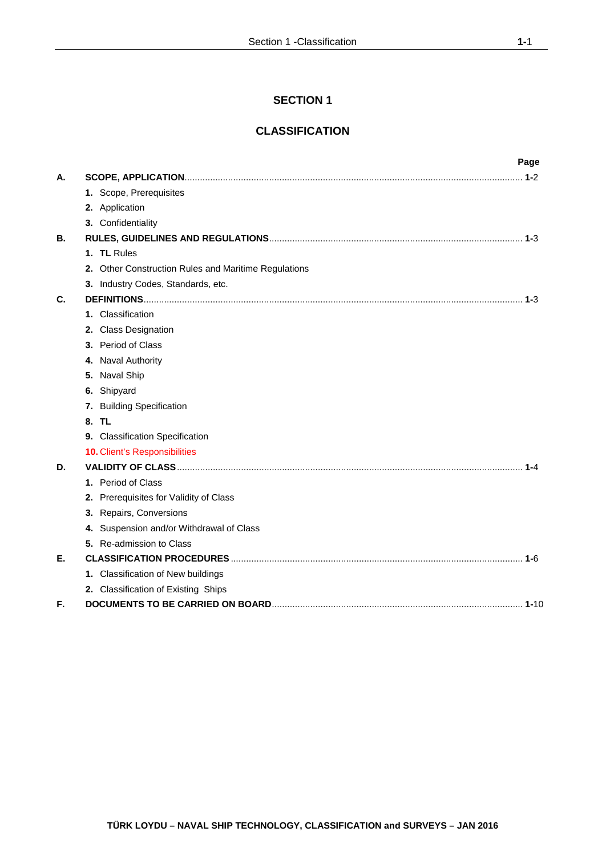# **SECTION 1**

# **CLASSIFICATION**

|    |  | Page                                                 |
|----|--|------------------------------------------------------|
| А. |  |                                                      |
|    |  | 1. Scope, Prerequisites                              |
|    |  | 2. Application                                       |
|    |  | 3. Confidentiality                                   |
| В. |  |                                                      |
|    |  | 1. TL Rules                                          |
|    |  | 2. Other Construction Rules and Maritime Regulations |
|    |  | 3. Industry Codes, Standards, etc.                   |
| C. |  |                                                      |
|    |  | 1. Classification                                    |
|    |  | 2. Class Designation                                 |
|    |  | 3. Period of Class                                   |
|    |  | 4. Naval Authority                                   |
|    |  | 5. Naval Ship                                        |
|    |  | 6. Shipyard                                          |
|    |  | 7. Building Specification                            |
|    |  | 8. TL                                                |
|    |  | 9. Classification Specification                      |
|    |  | 10. Client's Responsibilities                        |
| D. |  |                                                      |
|    |  | 1. Period of Class                                   |
|    |  | 2. Prerequisites for Validity of Class               |
|    |  | 3. Repairs, Conversions                              |
|    |  | 4. Suspension and/or Withdrawal of Class             |
|    |  | 5. Re-admission to Class                             |
| Е. |  |                                                      |
|    |  | 1. Classification of New buildings                   |
|    |  | 2. Classification of Existing Ships                  |
| F. |  |                                                      |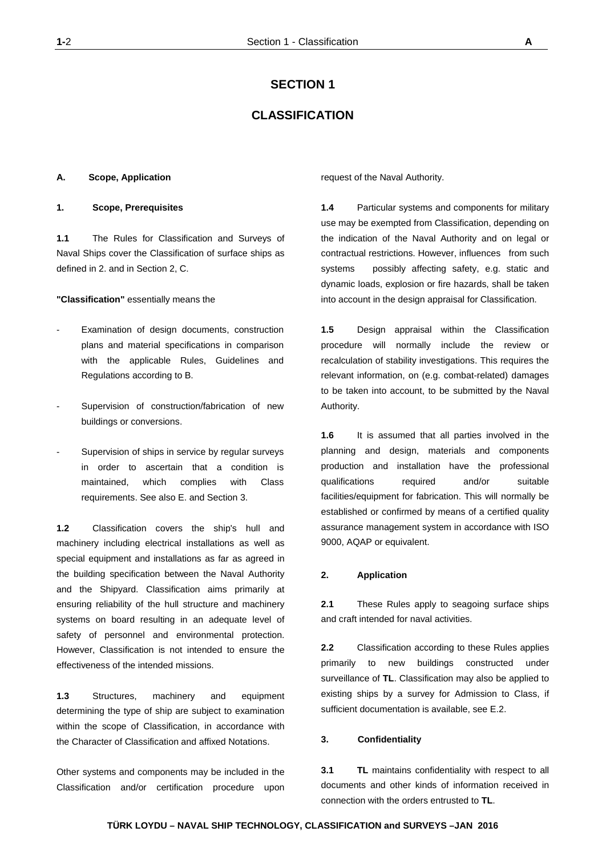# **SECTION 1**

# **CLASSIFICATION**

#### **A. Scope, Application**

## **1. Scope, Prerequisites**

**1.1** The Rules for Classification and Surveys of Naval Ships cover the Classification of surface ships as defined in 2. and in Section 2, C.

**"Classification"** essentially means the

- Examination of design documents, construction plans and material specifications in comparison with the applicable Rules, Guidelines and Regulations according to B.
- Supervision of construction/fabrication of new buildings or conversions.
- Supervision of ships in service by regular surveys in order to ascertain that a condition is maintained, which complies with Class requirements. See also E. and Section 3.

**1.2** Classification covers the ship's hull and machinery including electrical installations as well as special equipment and installations as far as agreed in the building specification between the Naval Authority and the Shipyard. Classification aims primarily at ensuring reliability of the hull structure and machinery systems on board resulting in an adequate level of safety of personnel and environmental protection. However, Classification is not intended to ensure the effectiveness of the intended missions.

**1.3** Structures, machinery and equipment determining the type of ship are subject to examination within the scope of Classification, in accordance with the Character of Classification and affixed Notations.

Other systems and components may be included in the Classification and/or certification procedure upon

request of the Naval Authority.

**1.4** Particular systems and components for military use may be exempted from Classification, depending on the indication of the Naval Authority and on legal or contractual restrictions. However, influences from such systems possibly affecting safety, e.g. static and dynamic loads, explosion or fire hazards, shall be taken into account in the design appraisal for Classification.

**1.5** Design appraisal within the Classification procedure will normally include the review or recalculation of stability investigations. This requires the relevant information, on (e.g. combat-related) damages to be taken into account, to be submitted by the Naval Authority.

**1.6** It is assumed that all parties involved in the planning and design, materials and components production and installation have the professional qualifications required and/or suitable facilities/equipment for fabrication. This will normally be established or confirmed by means of a certified quality assurance management system in accordance with ISO 9000, AQAP or equivalent.

## **2. Application**

**2.1** These Rules apply to seagoing surface ships and craft intended for naval activities.

**2.2** Classification according to these Rules applies primarily to new buildings constructed under surveillance of **TL**. Classification may also be applied to existing ships by a survey for Admission to Class, if sufficient documentation is available, see E.2.

#### **3. Confidentiality**

**3.1 TL** maintains confidentiality with respect to all documents and other kinds of information received in connection with the orders entrusted to **TL**.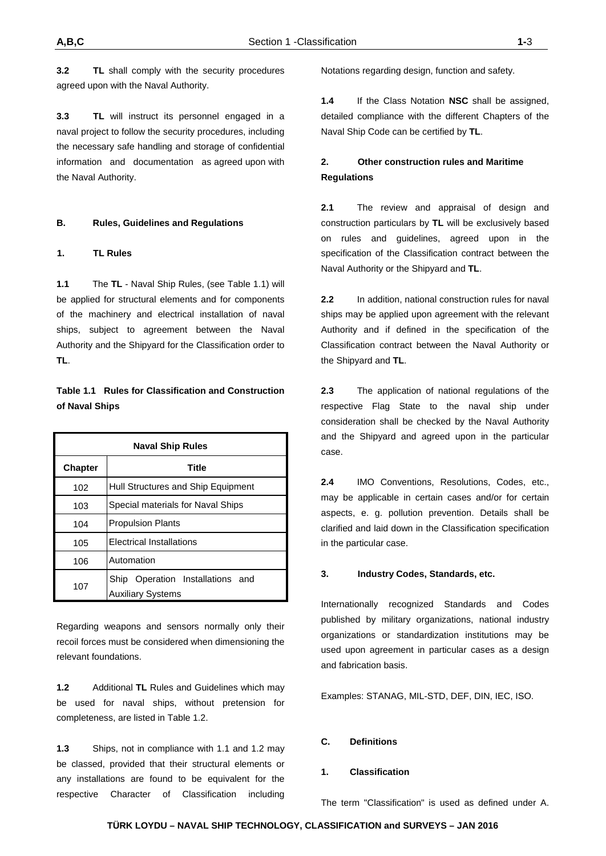**3.2 TL** shall comply with the security procedures agreed upon with the Naval Authority.

**3.3 TL** will instruct its personnel engaged in a naval project to follow the security procedures, including the necessary safe handling and storage of confidential information and documentation as agreed upon with the Naval Authority.

## **B. Rules, Guidelines and Regulations**

## **1. TL Rules**

**1.1** The **TL** - Naval Ship Rules, (see Table 1.1) will be applied for structural elements and for components of the machinery and electrical installation of naval ships, subject to agreement between the Naval Authority and the Shipyard for the Classification order to **TL**.

# **Table 1.1 Rules for Classification and Construction of Naval Ships**

| <b>Naval Ship Rules</b> |                                                              |  |  |
|-------------------------|--------------------------------------------------------------|--|--|
| <b>Chapter</b>          | <b>Title</b>                                                 |  |  |
| 102                     | Hull Structures and Ship Equipment                           |  |  |
| 103                     | Special materials for Naval Ships                            |  |  |
| 104                     | <b>Propulsion Plants</b>                                     |  |  |
| 105                     | <b>Electrical Installations</b>                              |  |  |
| 106                     | Automation                                                   |  |  |
| 107                     | Ship Operation Installations and<br><b>Auxiliary Systems</b> |  |  |

Regarding weapons and sensors normally only their recoil forces must be considered when dimensioning the relevant foundations.

**1.2** Additional **TL** Rules and Guidelines which may be used for naval ships, without pretension for completeness, are listed in Table 1.2.

**1.3** Ships, not in compliance with 1.1 and 1.2 may be classed, provided that their structural elements or any installations are found to be equivalent for the respective Character of Classification including Notations regarding design, function and safety.

**1.4** If the Class Notation **NSC** shall be assigned, detailed compliance with the different Chapters of the Naval Ship Code can be certified by **TL**.

# **2. Other construction rules and Maritime Regulations**

**2.1** The review and appraisal of design and construction particulars by **TL** will be exclusively based on rules and guidelines, agreed upon in the specification of the Classification contract between the Naval Authority or the Shipyard and **TL**.

**2.2** In addition, national construction rules for naval ships may be applied upon agreement with the relevant Authority and if defined in the specification of the Classification contract between the Naval Authority or the Shipyard and **TL**.

**2.3** The application of national regulations of the respective Flag State to the naval ship under consideration shall be checked by the Naval Authority and the Shipyard and agreed upon in the particular case.

**2.4** IMO Conventions, Resolutions, Codes, etc., may be applicable in certain cases and/or for certain aspects, e. g. pollution prevention. Details shall be clarified and laid down in the Classification specification in the particular case.

#### **3. Industry Codes, Standards, etc.**

Internationally recognized Standards and Codes published by military organizations, national industry organizations or standardization institutions may be used upon agreement in particular cases as a design and fabrication basis.

Examples: STANAG, MIL-STD, DEF, DIN, IEC, ISO.

## **C. Definitions**

## **1. Classification**

The term "Classification" is used as defined under A.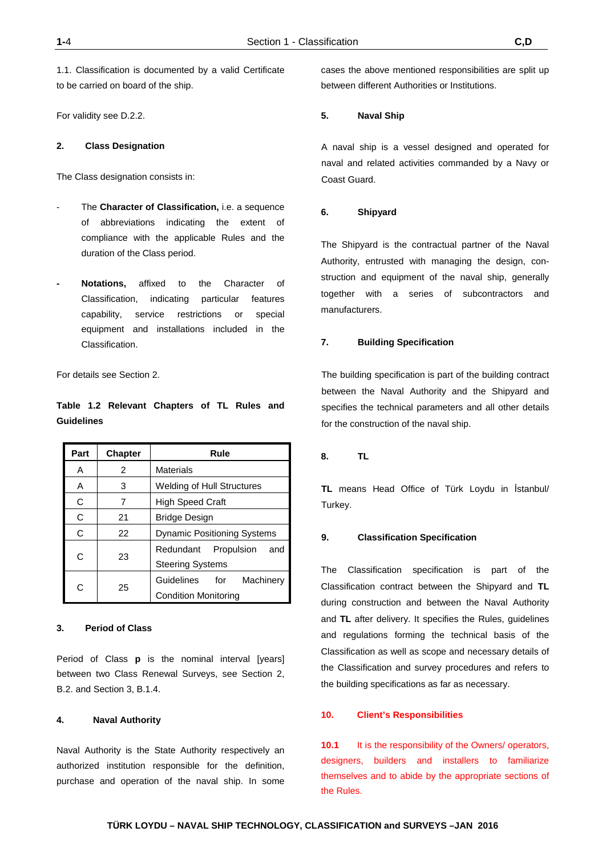1.1. Classification is documented by a valid Certificate to be carried on board of the ship.

For validity see D.2.2.

## **2. Class Designation**

The Class designation consists in:

- The **Character of Classification**, i.e. a sequence of abbreviations indicating the extent of compliance with the applicable Rules and the duration of the Class period.
- **- Notations,** affixed to the Character of Classification, indicating particular features capability, service restrictions or special equipment and installations included in the Classification.

For details see Section 2.

# **Table 1.2 Relevant Chapters of TL Rules and Guidelines**

| Part | <b>Chapter</b> | Rule                               |  |  |
|------|----------------|------------------------------------|--|--|
| Α    | 2              | Materials                          |  |  |
| A    | 3              | Welding of Hull Structures         |  |  |
| C    | 7              | <b>High Speed Craft</b>            |  |  |
| C    | 21             | <b>Bridge Design</b>               |  |  |
| C    | 22             | <b>Dynamic Positioning Systems</b> |  |  |
|      | 23             | Redundant Propulsion<br>and        |  |  |
| C    |                | <b>Steering Systems</b>            |  |  |
| C    | 25             | Guidelines for<br>Machinery        |  |  |
|      |                | <b>Condition Monitoring</b>        |  |  |

## **3. Period of Class**

Period of Class **p** is the nominal interval [years] between two Class Renewal Surveys, see Section 2, B.2. and Section 3, B.1.4.

#### **4. Naval Authority**

Naval Authority is the State Authority respectively an authorized institution responsible for the definition, purchase and operation of the naval ship. In some

cases the above mentioned responsibilities are split up between different Authorities or Institutions.

## **5. Naval Ship**

A naval ship is a vessel designed and operated for naval and related activities commanded by a Navy or Coast Guard.

## **6. Shipyard**

The Shipyard is the contractual partner of the Naval Authority, entrusted with managing the design, construction and equipment of the naval ship, generally together with a series of subcontractors and manufacturers.

## **7. Building Specification**

The building specification is part of the building contract between the Naval Authority and the Shipyard and specifies the technical parameters and all other details for the construction of the naval ship.

#### **8. TL**

**TL** means Head Office of Türk Loydu in İstanbul/ Turkey.

## **9. Classification Specification**

The Classification specification is part of the Classification contract between the Shipyard and **TL** during construction and between the Naval Authority and **TL** after delivery. It specifies the Rules, guidelines and regulations forming the technical basis of the Classification as well as scope and necessary details of the Classification and survey procedures and refers to the building specifications as far as necessary.

#### **10. Client's Responsibilities**

**10.1** It is the responsibility of the Owners/ operators, designers, builders and installers to familiarize themselves and to abide by the appropriate sections of the Rules.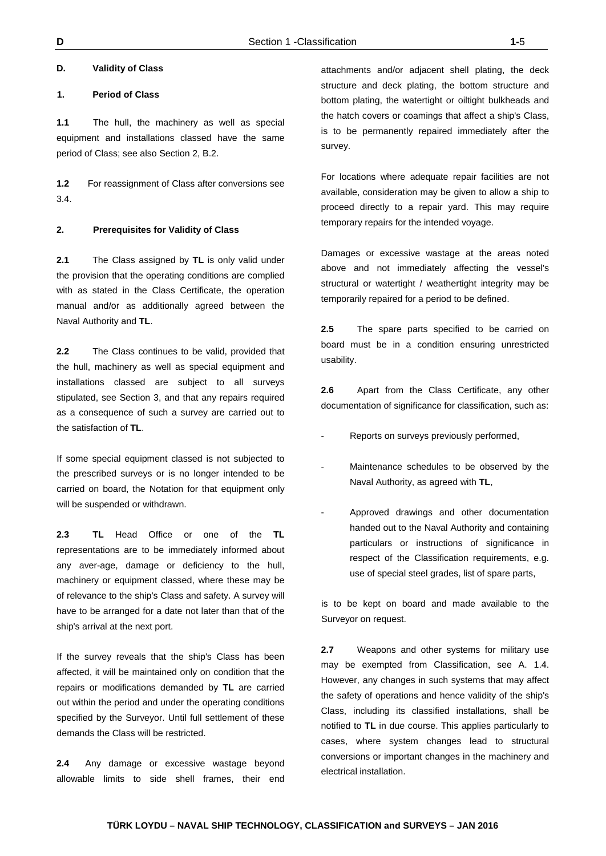## **1. Period of Class**

**1.1** The hull, the machinery as well as special equipment and installations classed have the same period of Class; see also Section 2, B.2.

**1.2** For reassignment of Class after conversions see 3.4.

## **2. Prerequisites for Validity of Class**

**2.1** The Class assigned by **TL** is only valid under the provision that the operating conditions are complied with as stated in the Class Certificate, the operation manual and/or as additionally agreed between the Naval Authority and **TL**.

**2.2** The Class continues to be valid, provided that the hull, machinery as well as special equipment and installations classed are subject to all surveys stipulated, see Section 3, and that any repairs required as a consequence of such a survey are carried out to the satisfaction of **TL**.

If some special equipment classed is not subjected to the prescribed surveys or is no longer intended to be carried on board, the Notation for that equipment only will be suspended or withdrawn.

**2.3 TL** Head Office or one of the **TL** representations are to be immediately informed about any aver-age, damage or deficiency to the hull, machinery or equipment classed, where these may be of relevance to the ship's Class and safety. A survey will have to be arranged for a date not later than that of the ship's arrival at the next port.

If the survey reveals that the ship's Class has been affected, it will be maintained only on condition that the repairs or modifications demanded by **TL** are carried out within the period and under the operating conditions specified by the Surveyor. Until full settlement of these demands the Class will be restricted.

**2.4** Any damage or excessive wastage beyond allowable limits to side shell frames, their end attachments and/or adjacent shell plating, the deck structure and deck plating, the bottom structure and bottom plating, the watertight or oiltight bulkheads and the hatch covers or coamings that affect a ship's Class, is to be permanently repaired immediately after the survey.

For locations where adequate repair facilities are not available, consideration may be given to allow a ship to proceed directly to a repair yard. This may require temporary repairs for the intended voyage.

Damages or excessive wastage at the areas noted above and not immediately affecting the vessel's structural or watertight / weathertight integrity may be temporarily repaired for a period to be defined.

**2.5** The spare parts specified to be carried on board must be in a condition ensuring unrestricted usability.

**2.6** Apart from the Class Certificate, any other documentation of significance for classification, such as:

- Reports on surveys previously performed,
- Maintenance schedules to be observed by the Naval Authority, as agreed with **TL**,
- Approved drawings and other documentation handed out to the Naval Authority and containing particulars or instructions of significance in respect of the Classification requirements, e.g. use of special steel grades, list of spare parts,

is to be kept on board and made available to the Surveyor on request.

**2.7** Weapons and other systems for military use may be exempted from Classification, see A. 1.4. However, any changes in such systems that may affect the safety of operations and hence validity of the ship's Class, including its classified installations, shall be notified to **TL** in due course. This applies particularly to cases, where system changes lead to structural conversions or important changes in the machinery and electrical installation.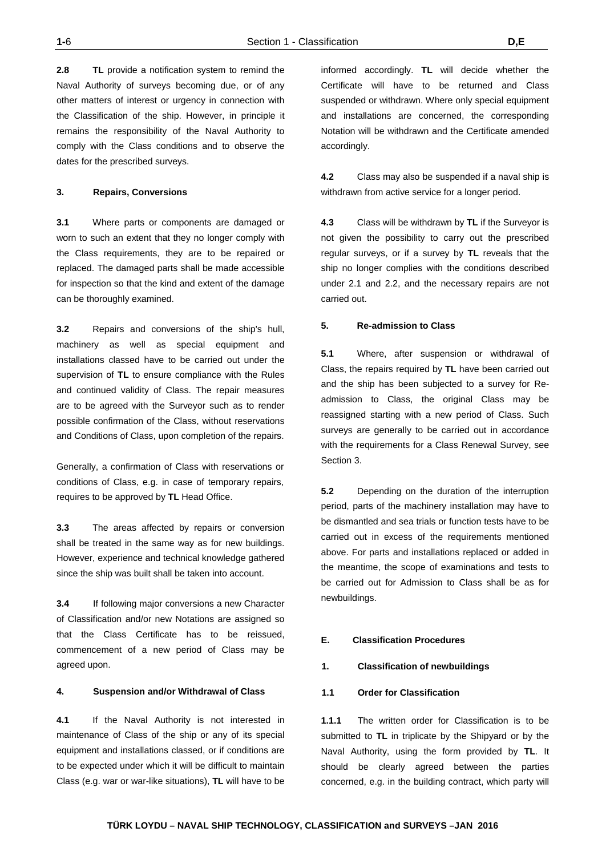**2.8 TL** provide a notification system to remind the Naval Authority of surveys becoming due, or of any other matters of interest or urgency in connection with the Classification of the ship. However, in principle it remains the responsibility of the Naval Authority to comply with the Class conditions and to observe the dates for the prescribed surveys.

#### **3. Repairs, Conversions**

**3.1** Where parts or components are damaged or worn to such an extent that they no longer comply with the Class requirements, they are to be repaired or replaced. The damaged parts shall be made accessible for inspection so that the kind and extent of the damage can be thoroughly examined.

**3.2** Repairs and conversions of the ship's hull, machinery as well as special equipment and installations classed have to be carried out under the supervision of **TL** to ensure compliance with the Rules and continued validity of Class. The repair measures are to be agreed with the Surveyor such as to render possible confirmation of the Class, without reservations and Conditions of Class, upon completion of the repairs.

Generally, a confirmation of Class with reservations or conditions of Class, e.g. in case of temporary repairs, requires to be approved by **TL** Head Office.

**3.3** The areas affected by repairs or conversion shall be treated in the same way as for new buildings. However, experience and technical knowledge gathered since the ship was built shall be taken into account.

**3.4** If following major conversions a new Character of Classification and/or new Notations are assigned so that the Class Certificate has to be reissued, commencement of a new period of Class may be agreed upon.

## **4. Suspension and/or Withdrawal of Class**

**4.1** If the Naval Authority is not interested in maintenance of Class of the ship or any of its special equipment and installations classed, or if conditions are to be expected under which it will be difficult to maintain Class (e.g. war or war-like situations), **TL** will have to be informed accordingly. **TL** will decide whether the Certificate will have to be returned and Class suspended or withdrawn. Where only special equipment and installations are concerned, the corresponding Notation will be withdrawn and the Certificate amended accordingly.

**4.2** Class may also be suspended if a naval ship is withdrawn from active service for a longer period.

**4.3** Class will be withdrawn by **TL** if the Surveyor is not given the possibility to carry out the prescribed regular surveys, or if a survey by **TL** reveals that the ship no longer complies with the conditions described under 2.1 and 2.2, and the necessary repairs are not carried out.

#### **5. Re-admission to Class**

**5.1** Where, after suspension or withdrawal of Class, the repairs required by **TL** have been carried out and the ship has been subjected to a survey for Readmission to Class, the original Class may be reassigned starting with a new period of Class. Such surveys are generally to be carried out in accordance with the requirements for a Class Renewal Survey, see Section 3.

**5.2** Depending on the duration of the interruption period, parts of the machinery installation may have to be dismantled and sea trials or function tests have to be carried out in excess of the requirements mentioned above. For parts and installations replaced or added in the meantime, the scope of examinations and tests to be carried out for Admission to Class shall be as for newbuildings.

## **E. Classification Procedures**

#### **1. Classification of newbuildings**

#### **1.1 Order for Classification**

**1.1.1** The written order for Classification is to be submitted to **TL** in triplicate by the Shipyard or by the Naval Authority, using the form provided by **TL**. It should be clearly agreed between the parties concerned, e.g. in the building contract, which party will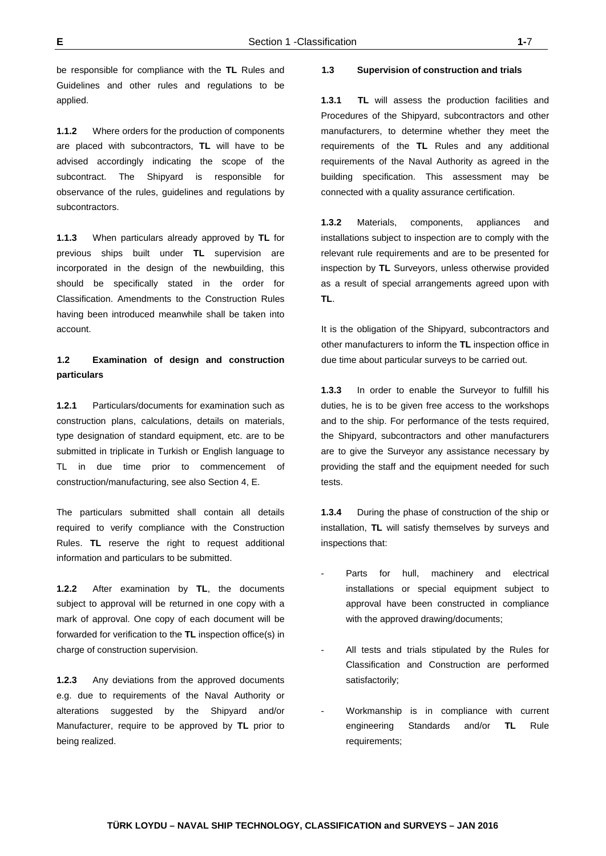be responsible for compliance with the **TL** Rules and Guidelines and other rules and regulations to be applied.

**1.1.2** Where orders for the production of components are placed with subcontractors, **TL** will have to be advised accordingly indicating the scope of the subcontract. The Shipyard is responsible for observance of the rules, guidelines and regulations by subcontractors.

**1.1.3** When particulars already approved by **TL** for previous ships built under **TL** supervision are incorporated in the design of the newbuilding, this should be specifically stated in the order for Classification. Amendments to the Construction Rules having been introduced meanwhile shall be taken into account.

# **1.2 Examination of design and construction particulars**

**1.2.1** Particulars/documents for examination such as construction plans, calculations, details on materials, type designation of standard equipment, etc. are to be submitted in triplicate in Turkish or English language to TL in due time prior to commencement of construction/manufacturing, see also Section 4, E.

The particulars submitted shall contain all details required to verify compliance with the Construction Rules. **TL** reserve the right to request additional information and particulars to be submitted.

**1.2.2** After examination by **TL**, the documents subject to approval will be returned in one copy with a mark of approval. One copy of each document will be forwarded for verification to the **TL** inspection office(s) in charge of construction supervision.

**1.2.3** Any deviations from the approved documents e.g. due to requirements of the Naval Authority or alterations suggested by the Shipyard and/or Manufacturer, require to be approved by **TL** prior to being realized.

#### **1.3 Supervision of construction and trials**

**1.3.1 TL** will assess the production facilities and Procedures of the Shipyard, subcontractors and other manufacturers, to determine whether they meet the requirements of the **TL** Rules and any additional requirements of the Naval Authority as agreed in the building specification. This assessment may be connected with a quality assurance certification.

**1.3.2** Materials, components, appliances and installations subject to inspection are to comply with the relevant rule requirements and are to be presented for inspection by **TL** Surveyors, unless otherwise provided as a result of special arrangements agreed upon with **TL**.

It is the obligation of the Shipyard, subcontractors and other manufacturers to inform the **TL** inspection office in due time about particular surveys to be carried out.

**1.3.3** In order to enable the Surveyor to fulfill his duties, he is to be given free access to the workshops and to the ship. For performance of the tests required, the Shipyard, subcontractors and other manufacturers are to give the Surveyor any assistance necessary by providing the staff and the equipment needed for such tests.

**1.3.4** During the phase of construction of the ship or installation, **TL** will satisfy themselves by surveys and inspections that:

- Parts for hull, machinery and electrical installations or special equipment subject to approval have been constructed in compliance with the approved drawing/documents;
- All tests and trials stipulated by the Rules for Classification and Construction are performed satisfactorily;
- Workmanship is in compliance with current engineering Standards and/or **TL** Rule requirements;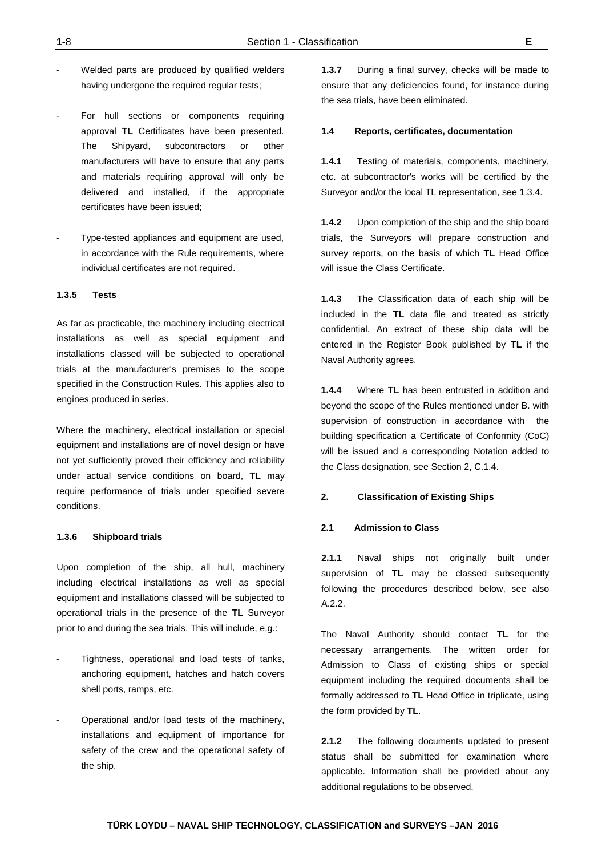- Welded parts are produced by qualified welders having undergone the required regular tests;
- For hull sections or components requiring approval **TL** Certificates have been presented. The Shipyard, subcontractors or other manufacturers will have to ensure that any parts and materials requiring approval will only be delivered and installed, if the appropriate certificates have been issued;
- Type-tested appliances and equipment are used, in accordance with the Rule requirements, where individual certificates are not required.

## **1.3.5 Tests**

As far as practicable, the machinery including electrical installations as well as special equipment and installations classed will be subjected to operational trials at the manufacturer's premises to the scope specified in the Construction Rules. This applies also to engines produced in series.

Where the machinery, electrical installation or special equipment and installations are of novel design or have not yet sufficiently proved their efficiency and reliability under actual service conditions on board, **TL** may require performance of trials under specified severe conditions.

#### **1.3.6 Shipboard trials**

Upon completion of the ship, all hull, machinery including electrical installations as well as special equipment and installations classed will be subjected to operational trials in the presence of the **TL** Surveyor prior to and during the sea trials. This will include, e.g.:

- Tightness, operational and load tests of tanks, anchoring equipment, hatches and hatch covers shell ports, ramps, etc.
- Operational and/or load tests of the machinery, installations and equipment of importance for safety of the crew and the operational safety of the ship.

**1.3.7** During a final survey, checks will be made to ensure that any deficiencies found, for instance during the sea trials, have been eliminated.

## **1.4 Reports, certificates, documentation**

**1.4.1** Testing of materials, components, machinery, etc. at subcontractor's works will be certified by the Surveyor and/or the local TL representation, see 1.3.4.

**1.4.2** Upon completion of the ship and the ship board trials, the Surveyors will prepare construction and survey reports, on the basis of which **TL** Head Office will issue the Class Certificate.

**1.4.3** The Classification data of each ship will be included in the **TL** data file and treated as strictly confidential. An extract of these ship data will be entered in the Register Book published by **TL** if the Naval Authority agrees.

**1.4.4** Where **TL** has been entrusted in addition and beyond the scope of the Rules mentioned under B. with supervision of construction in accordance with the building specification a Certificate of Conformity (CoC) will be issued and a corresponding Notation added to the Class designation, see Section 2, C.1.4.

## **2. Classification of Existing Ships**

## **2.1 Admission to Class**

**2.1.1** Naval ships not originally built under supervision of **TL** may be classed subsequently following the procedures described below, see also A.2.2.

The Naval Authority should contact **TL** for the necessary arrangements. The written order for Admission to Class of existing ships or special equipment including the required documents shall be formally addressed to **TL** Head Office in triplicate, using the form provided by **TL**.

**2.1.2** The following documents updated to present status shall be submitted for examination where applicable. Information shall be provided about any additional regulations to be observed.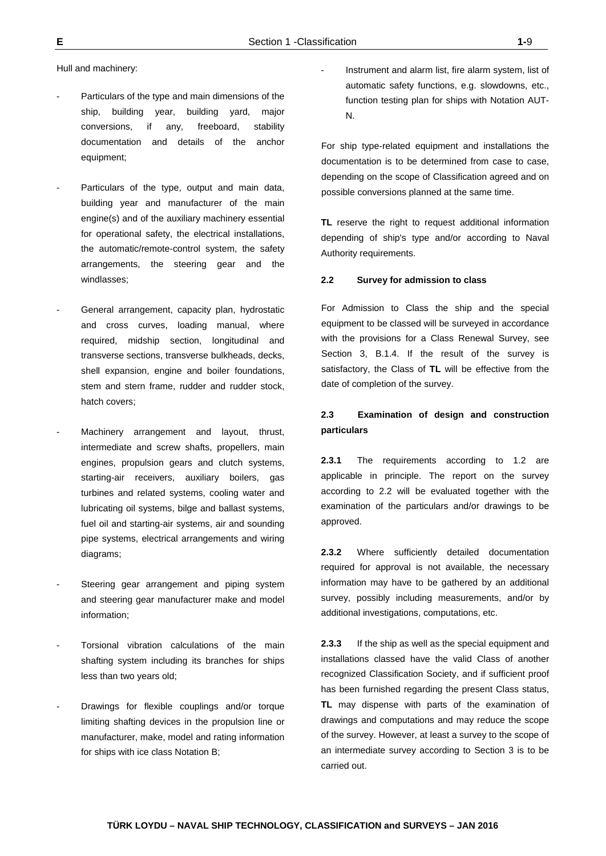Hull and machinery:

- Particulars of the type and main dimensions of the ship, building year, building yard, major conversions, if any, freeboard, stability documentation and details of the anchor equipment;
- Particulars of the type, output and main data, building year and manufacturer of the main engine(s) and of the auxiliary machinery essential for operational safety, the electrical installations, the automatic/remote-control system, the safety arrangements, the steering gear and the windlasses;
- General arrangement, capacity plan, hydrostatic and cross curves, loading manual, where required, midship section, longitudinal and transverse sections, transverse bulkheads, decks, shell expansion, engine and boiler foundations, stem and stern frame, rudder and rudder stock, hatch covers;
- Machinery arrangement and layout, thrust, intermediate and screw shafts, propellers, main engines, propulsion gears and clutch systems, starting-air receivers, auxiliary boilers, gas turbines and related systems, cooling water and lubricating oil systems, bilge and ballast systems, fuel oil and starting-air systems, air and sounding pipe systems, electrical arrangements and wiring diagrams;
- Steering gear arrangement and piping system and steering gear manufacturer make and model information;
- Torsional vibration calculations of the main shafting system including its branches for ships less than two years old;
- Drawings for flexible couplings and/or torque limiting shafting devices in the propulsion line or manufacturer, make, model and rating information for ships with ice class Notation B;

Instrument and alarm list, fire alarm system, list of automatic safety functions, e.g. slowdowns, etc., function testing plan for ships with Notation AUT-N.

For ship type-related equipment and installations the documentation is to be determined from case to case, depending on the scope of Classification agreed and on possible conversions planned at the same time.

**TL** reserve the right to request additional information depending of ship's type and/or according to Naval Authority requirements.

#### **2.2 Survey for admission to class**

For Admission to Class the ship and the special equipment to be classed will be surveyed in accordance with the provisions for a Class Renewal Survey, see Section 3, B.1.4. If the result of the survey is satisfactory, the Class of **TL** will be effective from the date of completion of the survey.

# **2.3 Examination of design and construction particulars**

**2.3.1** The requirements according to 1.2 are applicable in principle. The report on the survey according to 2.2 will be evaluated together with the examination of the particulars and/or drawings to be approved.

**2.3.2** Where sufficiently detailed documentation required for approval is not available, the necessary information may have to be gathered by an additional survey, possibly including measurements, and/or by additional investigations, computations, etc.

**2.3.3** If the ship as well as the special equipment and installations classed have the valid Class of another recognized Classification Society, and if sufficient proof has been furnished regarding the present Class status, **TL** may dispense with parts of the examination of drawings and computations and may reduce the scope of the survey. However, at least a survey to the scope of an intermediate survey according to Section 3 is to be carried out.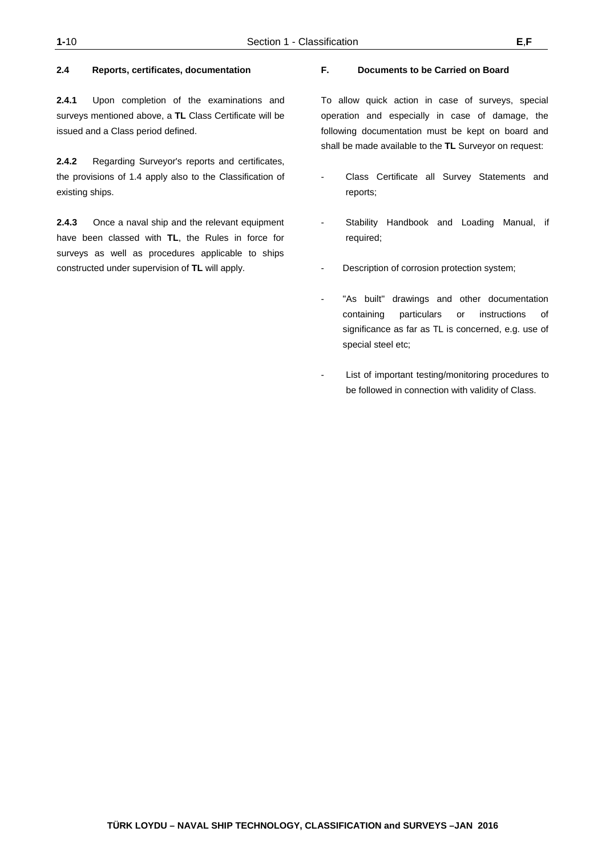## **2.4 Reports, certificates, documentation**

**2.4.1** Upon completion of the examinations and surveys mentioned above, a **TL** Class Certificate will be issued and a Class period defined.

**2.4.2** Regarding Surveyor's reports and certificates, the provisions of 1.4 apply also to the Classification of existing ships.

**2.4.3** Once a naval ship and the relevant equipment have been classed with **TL**, the Rules in force for surveys as well as procedures applicable to ships constructed under supervision of **TL** will apply.

## **F. Documents to be Carried on Board**

To allow quick action in case of surveys, special operation and especially in case of damage, the following documentation must be kept on board and shall be made available to the **TL** Surveyor on request:

- Class Certificate all Survey Statements and reports;
- Stability Handbook and Loading Manual, if required;
- Description of corrosion protection system;
- "As built" drawings and other documentation containing particulars or instructions of significance as far as TL is concerned, e.g. use of special steel etc;
- List of important testing/monitoring procedures to be followed in connection with validity of Class.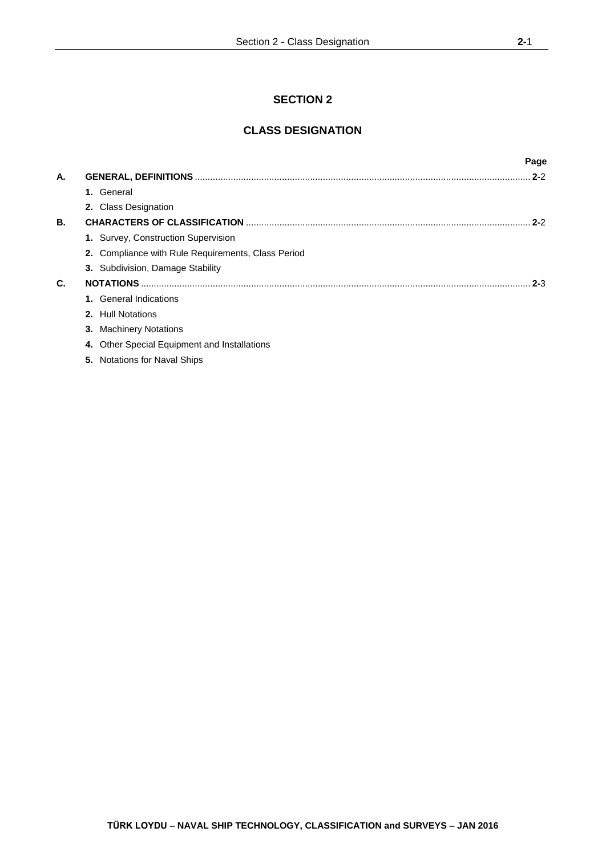# **SECTION 2**

# **CLASS DESIGNATION**

|    |                                                    | Page    |
|----|----------------------------------------------------|---------|
| А. |                                                    | $2 - 2$ |
|    | General<br>1.                                      |         |
|    | 2. Class Designation                               |         |
| В. |                                                    | $2 - 2$ |
|    | 1. Survey, Construction Supervision                |         |
|    | 2. Compliance with Rule Requirements, Class Period |         |
|    | 3. Subdivision, Damage Stability                   |         |
| C. |                                                    | $2 - 3$ |
|    | <b>General Indications</b><br>$1_{-}$              |         |
|    | 2. Hull Notations                                  |         |
|    | <b>Machinery Notations</b><br>3.                   |         |
|    | Other Special Equipment and Installations<br>4.    |         |
|    | 5. Notations for Naval Ships                       |         |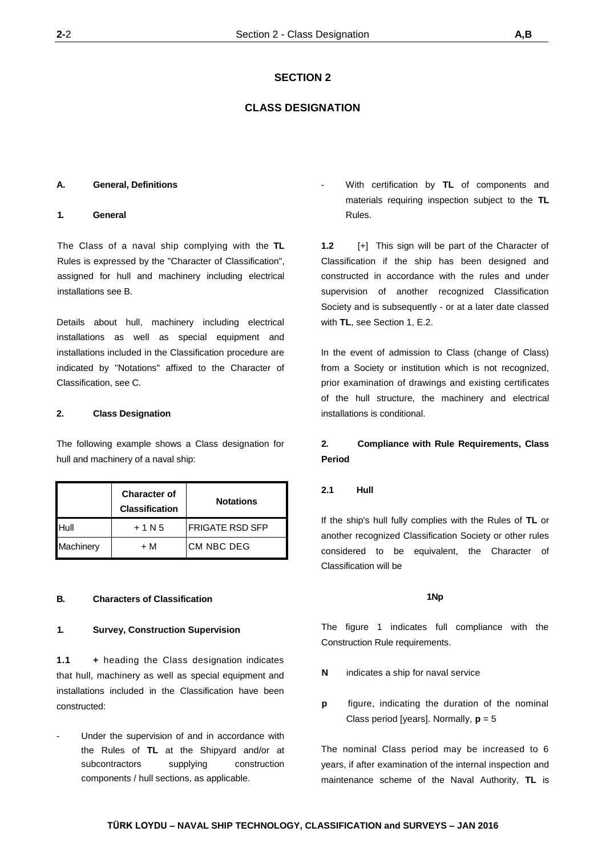## **SECTION 2**

## **CLASS DESIGNATION**

#### **A. General, Definitions**

#### **1. General**

The Class of a naval ship complying with the **TL** Rules is expressed by the "Character of Classification", assigned for hull and machinery including electrical installations see B.

Details about hull, machinery including electrical installations as well as special equipment and installations included in the Classification procedure are indicated by "Notations" affixed to the Character of Classification, see C.

#### **2. Class Designation**

The following example shows a Class designation for hull and machinery of a naval ship:

|           | <b>Character of</b><br><b>Classification</b> | <b>Notations</b>  |
|-----------|----------------------------------------------|-------------------|
| Hull      | $+1N5$                                       | FRIGATE RSD SFP   |
| Machinery | + M                                          | <b>CM NBC DEG</b> |

## **B. Characters of Classification**

#### **1. Survey, Construction Supervision**

**1.1 +** heading the Class designation indicates that hull, machinery as well as special equipment and installations included in the Classification have been constructed:

Under the supervision of and in accordance with the Rules of **TL** at the Shipyard and/or at subcontractors supplying construction components / hull sections, as applicable.

- With certification by **TL** of components and materials requiring inspection subject to the **TL** Rules.

**1.2** [+] This sign will be part of the Character of Classification if the ship has been designed and constructed in accordance with the rules and under supervision of another recognized Classification Society and is subsequently - or at a later date classed with **TL**, see Section 1, E.2.

In the event of admission to Class (change of Class) from a Society or institution which is not recognized, prior examination of drawings and existing certificates of the hull structure, the machinery and electrical installations is conditional.

# **2. Compliance with Rule Requirements, Class Period**

## **2.1 Hull**

If the ship's hull fully complies with the Rules of **TL** or another recognized Classification Society or other rules considered to be equivalent, the Character of Classification will be

#### **1Np**

The figure 1 indicates full compliance with the Construction Rule requirements.

- **N** indicates a ship for naval service
- **p** figure, indicating the duration of the nominal Class period [years]. Normally, **p** = 5

The nominal Class period may be increased to 6 years, if after examination of the internal inspection and maintenance scheme of the Naval Authority, **TL** is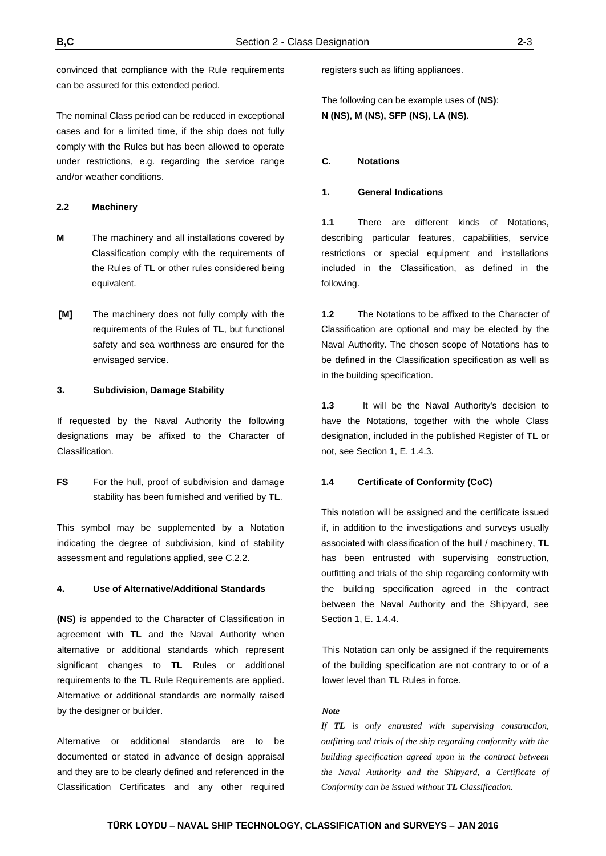convinced that compliance with the Rule requirements can be assured for this extended period.

The nominal Class period can be reduced in exceptional cases and for a limited time, if the ship does not fully comply with the Rules but has been allowed to operate under restrictions, e.g. regarding the service range and/or weather conditions.

## **2.2 Machinery**

- **M** The machinery and all installations covered by Classification comply with the requirements of the Rules of **TL** or other rules considered being equivalent.
- **[M]** The machinery does not fully comply with the requirements of the Rules of **TL**, but functional safety and sea worthness are ensured for the envisaged service.

## **3. Subdivision, Damage Stability**

If requested by the Naval Authority the following designations may be affixed to the Character of Classification.

**FS** For the hull, proof of subdivision and damage stability has been furnished and verified by **TL**.

This symbol may be supplemented by a Notation indicating the degree of subdivision, kind of stability assessment and regulations applied, see C.2.2.

## **4. Use of Alternative/Additional Standards**

**(NS)** is appended to the Character of Classification in agreement with **TL** and the Naval Authority when alternative or additional standards which represent significant changes to **TL** Rules or additional requirements to the **TL** Rule Requirements are applied. Alternative or additional standards are normally raised by the designer or builder.

Alternative or additional standards are to be documented or stated in advance of design appraisal and they are to be clearly defined and referenced in the Classification Certificates and any other required

registers such as lifting appliances.

The following can be example uses of **(NS)**: **N (NS), M (NS), SFP (NS), LA (NS).**

## **C. Notations**

#### **1. General Indications**

**1.1** There are different kinds of Notations, describing particular features, capabilities, service restrictions or special equipment and installations included in the Classification, as defined in the following.

**1.2** The Notations to be affixed to the Character of Classification are optional and may be elected by the Naval Authority. The chosen scope of Notations has to be defined in the Classification specification as well as in the building specification.

**1.3** It will be the Naval Authority's decision to have the Notations, together with the whole Class designation, included in the published Register of **TL** or not, see Section 1, E. 1.4.3.

#### **1.4 Certificate of Conformity (CoC)**

This notation will be assigned and the certificate issued if, in addition to the investigations and surveys usually associated with classification of the hull / machinery, **TL** has been entrusted with supervising construction, outfitting and trials of the ship regarding conformity with the building specification agreed in the contract between the Naval Authority and the Shipyard, see Section 1, E. 1.4.4.

This Notation can only be assigned if the requirements of the building specification are not contrary to or of a lower level than **TL** Rules in force.

## *Note*

*If TL is only entrusted with supervising construction, outfitting and trials of the ship regarding conformity with the building specification agreed upon in the contract between the Naval Authority and the Shipyard, a Certificate of Conformity can be issued without TL Classification.*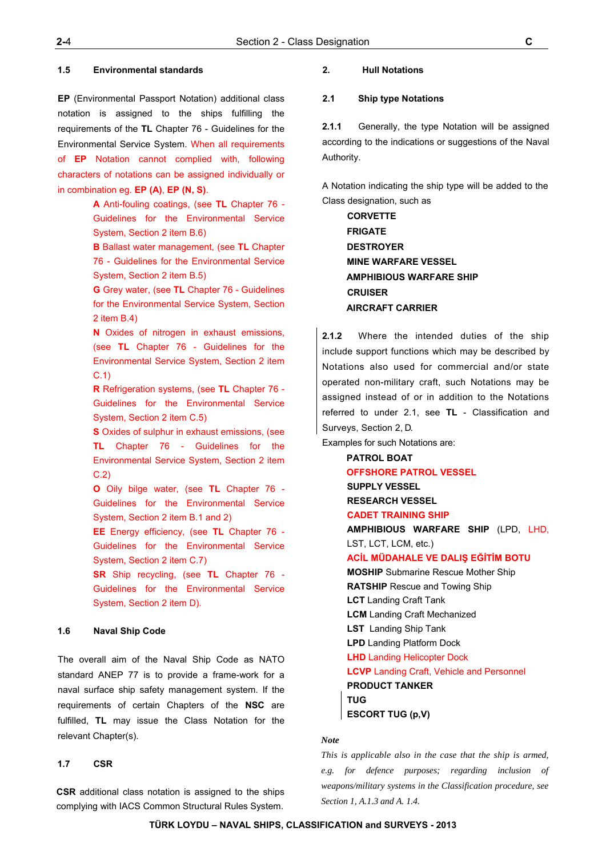#### **1.5 Environmental standards**

**EP** (Environmental Passport Notation) additional class notation is assigned to the ships fulfilling the requirements of the **TL** Chapter 76 - Guidelines for the Environmental Service System. When all requirements of **EP** Notation cannot complied with, following characters of notations can be assigned individually or in combination eg. **EP (A)**, **EP (N, S)**.

> **A** Anti-fouling coatings, (see **TL** Chapter 76 - Guidelines for the Environmental Service System, Section 2 item B.6)

> **B** Ballast water management, (see **TL** Chapter 76 - Guidelines for the Environmental Service System, Section 2 item B.5)

> **G** Grey water, (see **TL** Chapter 76 - Guidelines for the Environmental Service System, Section 2 item B.4)

> **N** Oxides of nitrogen in exhaust emissions, (see **TL** Chapter 76 - Guidelines for the Environmental Service System, Section 2 item C.1)

> **R** Refrigeration systems, (see **TL** Chapter 76 - Guidelines for the Environmental Service System, Section 2 item C.5)

> **S** Oxides of sulphur in exhaust emissions, (see **TL** Chapter 76 - Guidelines for the Environmental Service System, Section 2 item C.2)

> **O** Oily bilge water, (see **TL** Chapter 76 - Guidelines for the Environmental Service System, Section 2 item B.1 and 2)

> **EE** Energy efficiency, (see **TL** Chapter 76 - Guidelines for the Environmental Service System, Section 2 item C.7)

> **SR** Ship recycling, (see **TL** Chapter 76 - Guidelines for the Environmental Service System, Section 2 item D).

## **1.6 Naval Ship Code**

The overall aim of the Naval Ship Code as NATO standard ANEP 77 is to provide a frame-work for a naval surface ship safety management system. If the requirements of certain Chapters of the **NSC** are fulfilled, **TL** may issue the Class Notation for the relevant Chapter(s).

#### **1.7 CSR**

**CSR** additional class notation is assigned to the ships complying with IACS Common Structural Rules System.

## **2. Hull Notations**

## **2.1 Ship type Notations**

**2.1.1** Generally, the type Notation will be assigned according to the indications or suggestions of the Naval Authority.

A Notation indicating the ship type will be added to the Class designation, such as

> **CORVETTE FRIGATE DESTROYER MINE WARFARE VESSEL AMPHIBIOUS WARFARE SHIP CRUISER AIRCRAFT CARRIER**

**2.1.2** Where the intended duties of the ship include support functions which may be described by Notations also used for commercial and/or state operated non-military craft, such Notations may be assigned instead of or in addition to the Notations referred to under 2.1, see **TL** - Classification and Surveys, Section 2, D.

Examples for such Notations are:

**PATROL BOAT OFFSHORE PATROL VESSEL SUPPLY VESSEL RESEARCH VESSEL CADET TRAINING SHIP AMPHIBIOUS WARFARE SHIP** (LPD, LHD, LST, LCT, LCM, etc.) **ACİL MÜDAHALE VE DALIŞ EĞİTİM BOTU MOSHIP** Submarine Rescue Mother Ship **RATSHIP** Rescue and Towing Ship **LCT** Landing Craft Tank **LCM** Landing Craft Mechanized **LST** Landing Ship Tank **LPD** Landing Platform Dock **LHD** Landing Helicopter Dock **LCVP** Landing Craft, Vehicle and Personnel **PRODUCT TANKER TUG ESCORT TUG (p,V)** 

## *Note*

*This is applicable also in the case that the ship is armed, e.g. for defence purposes; regarding inclusion of weapons/military systems in the Classification procedure, see Section 1, A.1.3 and A. 1.4.*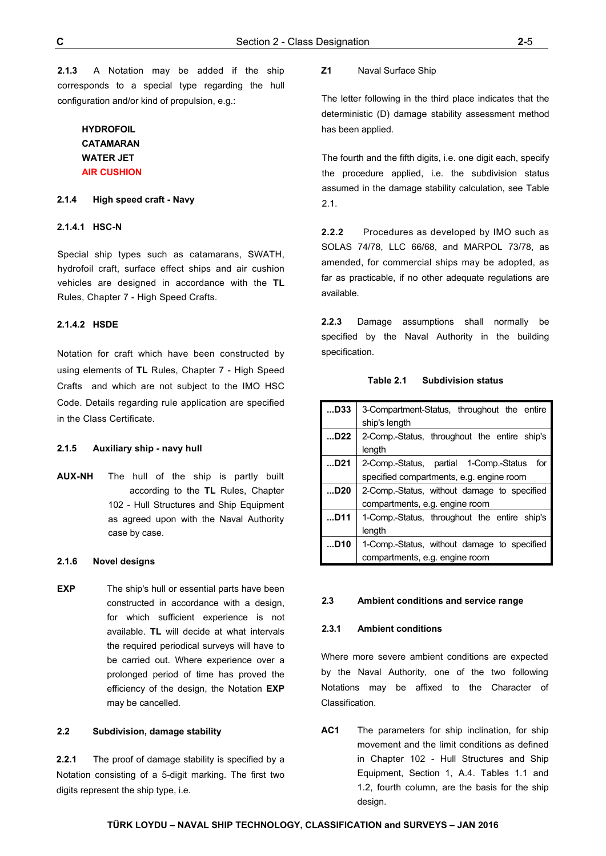**2.1.3** A Notation may be added if the ship corresponds to a special type regarding the hull configuration and/or kind of propulsion, e.g.:

# **HYD[ROFOIL](http://www.turkloydu.org/TurkLoydu/getdoc/e8f3f36d-4208-4259-988a-abc785469667/Chapter-102---Naval-Ship-Technology,-Hull-Structur.aspx)  CATAMARAN WATER JET AIR CUSHION**

## **2.1.4 High speed craft - Navy**

## **2.1.4.1 HSC-N**

Special ship types such as catamarans, SWATH, hydrofoil craft, surface effect ships and air cushion vehicles are designed in accordance with the **TL** Rules, Chapter 7 - High Speed Crafts.

## **2.1.4.2 HSDE**

Notation for craft which have been constructed by using elements of **TL** Rules, Chapter 7 - High Speed Crafts and which are not subject to the IMO HSC Code. Details regarding rule application are specified in the Class Certificate.

## **2.1.5 Auxiliary ship - navy hull**

**AUX-NH** The hull of the ship is partly built according to the **TL** Rules, Chapter 102 - Hull Structures and Ship Equipment as agreed upon with the Naval Authority case by case.

#### **2.1.6 Novel designs**

**EXP** The ship's hull or essential parts have been constructed in accordance with a design, for which sufficient experience is not available. **TL** will decide at what intervals the required periodical surveys will have to be carried out. Where experience over a prolonged period of time has proved the efficiency of the design, the Notation **EXP**  may be cancelled.

## **2.2 Subdivision, damage stability**

**2.2.1** The proof of damage stability is specified by a Notation consisting of a 5-digit marking. The first two digits represent the ship type, i.e.

#### **Z1** Naval Surface Ship

The letter following in the third place indicates that the deterministic (D) damage stability assessment method has been applied.

The fourth and the fifth digits, i.e. one digit each, specify the procedure applied, i.e. the subdivision status assumed in the damage stability calculation, see Table 2.1.

**2.2.2** Procedures as developed by IMO such as SOLAS 74/78, LLC 66/68, and MARPOL 73/78, as amended, for commercial ships may be adopted, as far as practicable, if no other adequate regulations are available.

**2.2.3** Damage assumptions shall normally be specified by the Naval Authority in the building specification.

| D33             | 3-Compartment-Status, throughout the entire   |  |  |  |
|-----------------|-----------------------------------------------|--|--|--|
|                 | ship's length                                 |  |  |  |
| D22             | 2-Comp.-Status, throughout the entire ship's  |  |  |  |
|                 | length                                        |  |  |  |
| D21             | 2-Comp.-Status, partial 1-Comp.-Status<br>for |  |  |  |
|                 | specified compartments, e.g. engine room      |  |  |  |
| D <sub>20</sub> | 2-Comp.-Status, without damage to specified   |  |  |  |
|                 | compartments, e.g. engine room                |  |  |  |
| D11             | 1-Comp.-Status, throughout the entire ship's  |  |  |  |
|                 | length                                        |  |  |  |
| D10             | 1-Comp.-Status, without damage to specified   |  |  |  |
|                 | compartments, e.g. engine room                |  |  |  |

#### **2.3 Ambient conditions and service range**

#### **2.3.1 Ambient conditions**

Where more severe ambient conditions are expected by the Naval Authority, one of the two following Notations may be affixed to the Character of Classification.

**AC1** The parameters for ship inclination, for ship movement and the limit conditions as defined in Chapter 102 - Hull Structures and Ship Equipment, Section 1, A.4. Tables 1.1 and 1.2, fourth column, are the basis for the ship design.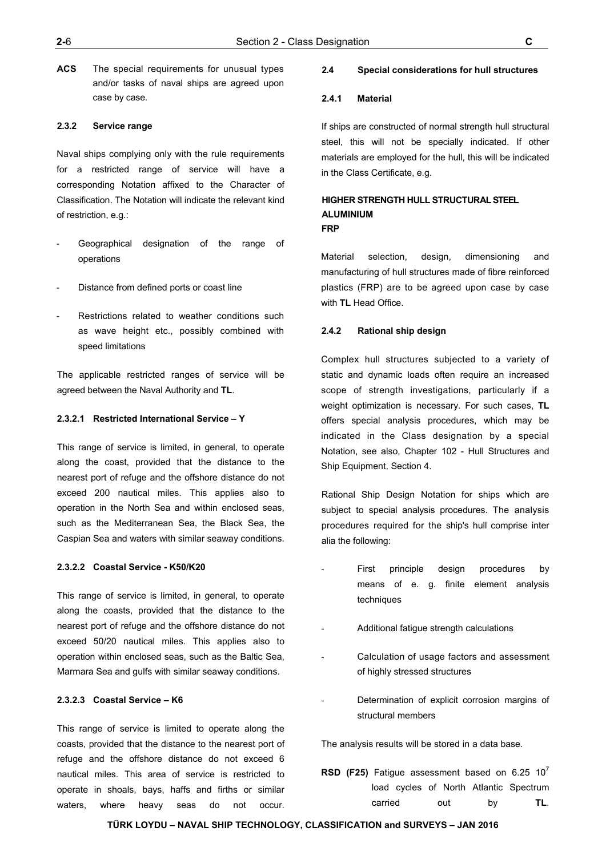**ACS** The special requirements for unusual types and/or tasks of naval ships are agreed upon case by case.

## **2.3.2 Service range**

Naval ships complying only with the rule requirements for a restricted range of service will have a corresponding Notation affixed to the Character of Classification. The Notation will indicate the relevant kind of restriction, e.g.:

- Geographical designation of the range of operations
- Distance from defined ports or coast line
- Restrictions related to weather conditions such as wave height etc., possibly combined with speed limitations

The applicable restricted ranges of service will be agreed between the Naval Authority and **TL**.

## **2.3.2.1 Restricted International Service – Y**

This range of service is limited, in general, to operate along the coast, provided that the distance to the nearest port of refuge and the offshore distance do not exceed 200 nautical miles. This applies also to operation in the North Sea and within enclosed seas, such as the Mediterranean Sea, the Black Sea, the Caspian Sea and waters with similar seaway conditions.

#### **2.3.2.2 Coastal Service - K50/K20**

This range of service is limited, in general, to operate along the coasts, provided that the distance to the nearest port of refuge and the offshore distance do not exceed 50/20 nautical miles. This applies also to operation within enclosed seas, such as the Baltic Sea, Marmara Sea and gulfs with similar seaway conditions.

## **2.3.2.3 Coastal Service – K6**

This range of service is limited to operate along the coasts, provided that the distance to the nearest port of refuge and the offshore distance do not exceed 6 nautical miles. This area of service is restricted to operate in shoals, bays, haffs and firths or similar waters, where heavy seas do not occur.

## **2.4 Special considerations for hull structures**

## **2.4.1 Material**

If ships are constructed of normal strength hull structural steel, this will not be specially indicated. If other materials are employed for the hull, this will be indicated in the Class Certificate, e.g.

## **HIGHER STRENGTH HULL STRUCTURAL STEEL ALUMINIUM FRP**

Material selection, design, dimensioning and manufacturing of hull structures made of fibre reinforced plastics (FRP) are to be agreed upon case by case with **TL** Head Office.

## **2.4.2 Rational ship design**

Complex hull structures subjected to a variety of static and dynamic loads often require an increased scope of strength investigations, particularly if a weight optimization is necessary. For such cases, **TL** offers special analysis procedures, which may be indicated in the Class designation by a special Notation, see also, Chapter 102 - Hull Structures and Ship Equipment, Section 4.

Rational Ship Design Notation for ships which are subject to special analysis procedures. The analysis procedures required for the ship's hull comprise inter alia the following:

- First principle design procedures by means of e. g. finite element analysis techniques
- Additional fatigue strength calculations
- Calculation of usage factors and assessment of highly stressed structures
- Determination of explicit corrosion margins of structural members

The analysis results will be stored in a data base.

**RSD (F25)** Fatigue assessment based on  $6.25$   $10^7$ load cycles of North Atlantic Spectrum carried out by **TL**.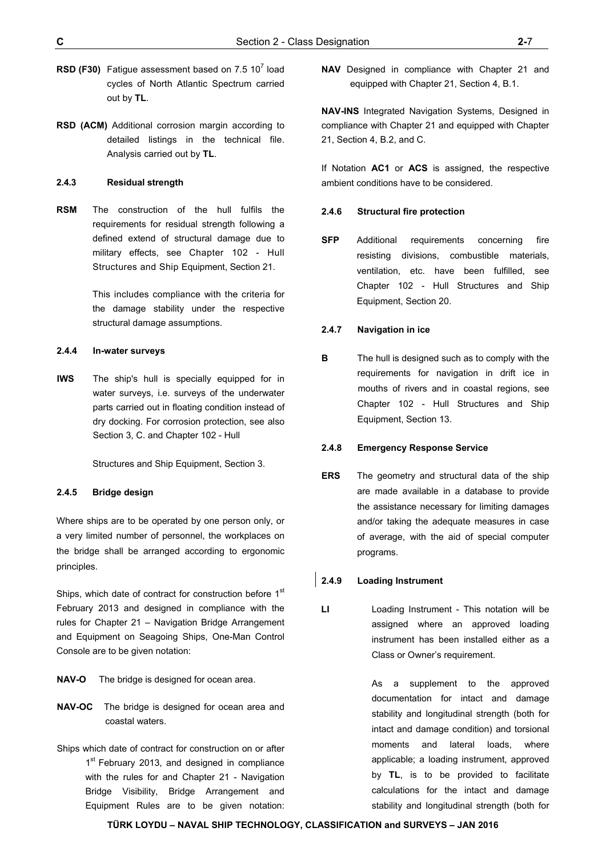- **RSD (F30)** Fatigue assessment based on 7.5  $10^7$  load cycles of North Atlantic Spectrum carried out by **TL**.
- **RSD (ACM)** Additional corrosion margin according to detailed listings in the technical file. Analysis carried out by **TL**.

## **2.4.3 Residual strength**

**RSM** The construction of the hull fulfils the requirements for residual strength following a defined extend of structural damage due to military effects, see Chapter 102 - Hull Structures and Ship Equipment, Section 21.

> This includes compliance with the criteria for the damage stability under the respective structural damage assumptions.

## **2.4.4 In-water surveys**

**IWS** The ship's hull is specially equipped for in water surveys, i.e. surveys of the underwater parts carried out in floating condition instead of dry docking. For corrosion protection, see also Section 3, C. and Chapter 102 - Hull

Structures and Ship Equipment, Section 3.

## **2.4.5 Bridge design**

Where ships are to be operated by one person only, or a very limited number of personnel, the workplaces on the bridge shall be arranged according to ergonomic principles.

Ships, which date of contract for construction before 1st February 2013 and designed in compliance with the rules for Chapter 21 – Navigation Bridge Arrangement and Equipment on Seagoing Ships, One-Man Control Console are to be given notation:

- **NAV-O** The bridge is designed for ocean area.
- **NAV-OC** The bridge is designed for ocean area and coastal waters.
- Ships which date of contract for construction on or after 1<sup>st</sup> February 2013, and designed in compliance with the rules for and Chapter 21 - Navigation Bridge Visibility, Bridge Arrangement and Equipment Rules are to be given notation:

**NAV** Designed in compliance with Chapter 21 and equipped with Chapter 21, Section 4, B.1.

**NAV-INS** Integrated Navigation Systems, Designed in compliance with Chapter 21 and equipped with Chapter 21, Section 4, B.2, and C.

If Notation **AC1** or **ACS** is assigned, the respective ambient conditions have to be considered.

## **2.4.6 Structural fire protection**

**SFP** Additional requirements concerning fire resisting divisions, combustible materials, ventilation, etc. have been fulfilled, see Chapter 102 - Hull Structures and Ship Equipment, Section 20.

## **2.4.7 Navigation in ice**

**B** The hull is designed such as to comply with the requirements for navigation in drift ice in mouths of rivers and in coastal regions, see Chapter 102 - Hull Structures and Ship Equipment, Section 13.

#### **2.4.8 Emergency Response Service**

**ERS** The geometry and structural data of the ship are made available in a database to provide the assistance necessary for limiting damages and/or taking the adequate measures in case of average, with the aid of special computer programs.

## **2.4.9 Loading Instrument**

LI **Loading Instrument - This notation will be** assigned where an approved loading instrument has been installed either as a Class or Owner's requirement.

> As a supplement to the approved documentation for intact and damage stability and longitudinal strength (both for intact and damage condition) and torsional moments and lateral loads, where applicable; a loading instrument, approved by **TL**, is to be provided to facilitate calculations for the intact and damage stability and longitudinal strength (both for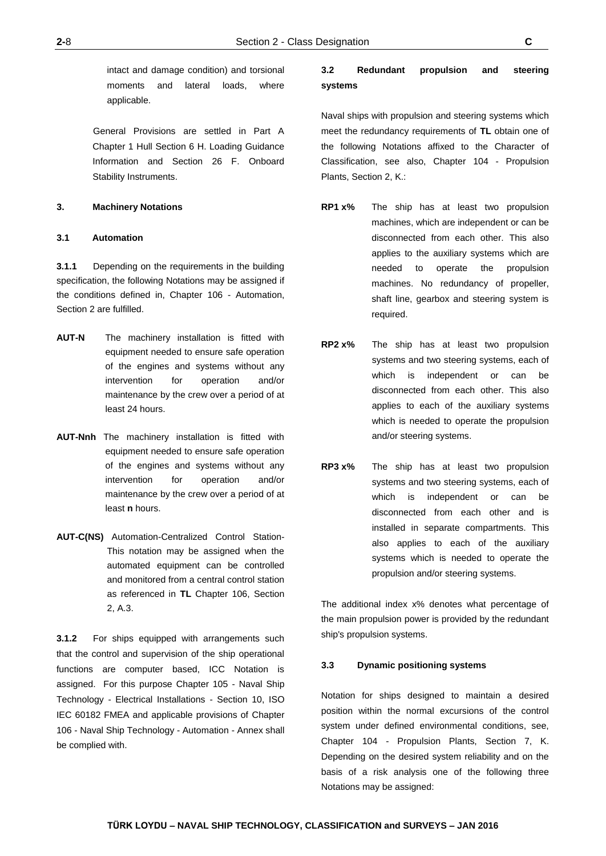intact and damage condition) and torsional moments and lateral loads, where applicable.

General Provisions are settled in Part A Chapter 1 Hull Section 6 H. Loading Guidance Information and Section 26 F. Onboard Stability Instruments.

## **3. Machinery Notations**

## **3.1 Automation**

**3.1.1** Depending on the requirements in the building specification, the following Notations may be assigned if the conditions defined in, Chapter 106 - Automation, Section 2 are fulfilled.

- **AUT-N** The machinery installation is fitted with equipment needed to ensure safe operation of the engines and systems without any intervention for operation and/or maintenance by the crew over a period of at least 24 hours.
- **AUT-Nnh** The machinery installation is fitted with equipment needed to ensure safe operation of the engines and systems without any intervention for operation and/or maintenance by the crew over a period of at least **n** hours.
- **AUT-C(NS)** Automation-Centralized Control Station-This notation may be assigned when the automated equipment can be controlled and monitored from a central control station as referenced in **TL** Chapter 106, Section 2, A.3.

**3.1.2** For ships equipped with arrangements such that the control and supervision of the ship operational functions are computer based, ICC Notation is assigned. For this purpose [Chapter 105 - Naval Ship](http://www.turkloydu.org/TurkLoydu/getdoc/71ddba1c-ade1-4b05-a4b4-dfcbff33aa6c/TL-Chapter-105---Naval-Ship-Technology,-Electric.aspx)  [Technology - Electrical Installations](http://www.turkloydu.org/TurkLoydu/getdoc/71ddba1c-ade1-4b05-a4b4-dfcbff33aa6c/TL-Chapter-105---Naval-Ship-Technology,-Electric.aspx) - Section 10, ISO IEC 60182 FMEA and applicable provisions of [Chapter](http://www.turkloydu.org/TurkLoydu/getdoc/e95f5a6e-541c-43f3-8c6b-30832d1e07d5/TL-Chapter-106---Naval-Ship-Technology,-Automation.aspx)  [106 - Naval Ship Technology - Automation](http://www.turkloydu.org/TurkLoydu/getdoc/e95f5a6e-541c-43f3-8c6b-30832d1e07d5/TL-Chapter-106---Naval-Ship-Technology,-Automation.aspx) - Annex shall be complied with.

# **3.2 Redundant propulsion and steering systems**

Naval ships with propulsion and steering systems which meet the redundancy requirements of **TL** obtain one of the following Notations affixed to the Character of Classification, see also, Chapter 104 - Propulsion Plants, Section 2, K.:

- **RP1 x%** The ship has at least two propulsion machines, which are independent or can be disconnected from each other. This also applies to the auxiliary systems which are needed to operate the propulsion machines. No redundancy of propeller, shaft line, gearbox and steering system is required.
- **RP2 x%** The ship has at least two propulsion systems and two steering systems, each of which is independent or can be disconnected from each other. This also applies to each of the auxiliary systems which is needed to operate the propulsion and/or steering systems.
- **RP3 x%** The ship has at least two propulsion systems and two steering systems, each of which is independent or can be disconnected from each other and is installed in separate compartments. This also applies to each of the auxiliary systems which is needed to operate the propulsion and/or steering systems.

The additional index x% denotes what percentage of the main propulsion power is provided by the redundant ship's propulsion systems.

## **3.3 Dynamic positioning systems**

Notation for ships designed to maintain a desired position within the normal excursions of the control system under defined environmental conditions, see, Chapter 104 - Propulsion Plants, Section 7, K. Depending on the desired system reliability and on the basis of a risk analysis one of the following three Notations may be assigned: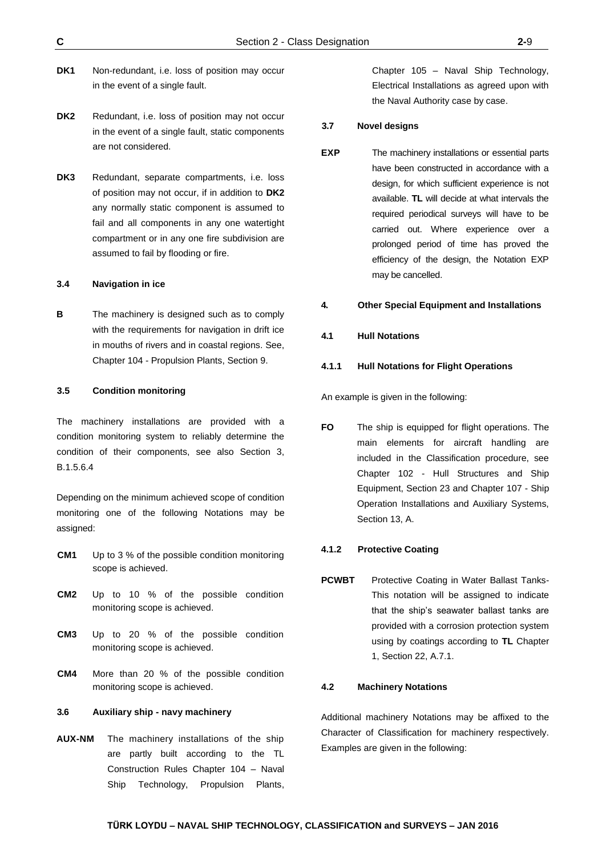- DK1 Non-redundant, i.e. loss of position may occur in the event of a single fault.
- DK2 Redundant, i.e. loss of position may not occur in the event of a single fault, static components are not considered.
- **DK3** Redundant, separate compartments, i.e. loss of position may not occur, if in addition to **DK2**  any normally static component is assumed to fail and all components in any one watertight compartment or in any one fire subdivision are assumed to fail by flooding or fire.

## **3.4 Navigation in ice**

**B** The machinery is designed such as to comply with the requirements for navigation in drift ice in mouths of rivers and in coastal regions. See, Chapter 104 - Propulsion Plants, Section 9.

#### **3.5 Condition monitoring**

The machinery installations are provided with a condition monitoring system to reliably determine the condition of their components, see also Section 3, B.1.5.6.4

Depending on the minimum achieved scope of condition monitoring one of the following Notations may be assigned:

- **CM1** Up to 3 % of the possible condition monitoring scope is achieved.
- **CM2** Up to 10 % of the possible condition monitoring scope is achieved.
- **CM3** Up to 20 % of the possible condition monitoring scope is achieved.
- **CM4** More than 20 % of the possible condition monitoring scope is achieved.

## **3.6 Auxiliary ship - navy machinery**

**AUX-NM** The machinery installations of the ship are partly built according to the TL Construction Rules Chapter [104 – Naval](http://www.turkloydu.org/TurkLoydu/getdoc/67f29fe2-7e8a-421f-991c-ca9a6113170f/Chapter-104---Naval-Ship-Technology,-Propulsion-Pl.aspx)  [Ship Technology, Propulsion Plants,](http://www.turkloydu.org/TurkLoydu/getdoc/67f29fe2-7e8a-421f-991c-ca9a6113170f/Chapter-104---Naval-Ship-Technology,-Propulsion-Pl.aspx)

Chapter [105 – Naval Ship Technology,](http://www.turkloydu.org/TurkLoydu/getdoc/34c4c2dc-4c71-41ca-8d12-2022175a0d47/Chapter-105---Naval-Ship-Technology,-Electrical-In.aspx)  [Electrical Installations a](http://www.turkloydu.org/TurkLoydu/getdoc/34c4c2dc-4c71-41ca-8d12-2022175a0d47/Chapter-105---Naval-Ship-Technology,-Electrical-In.aspx)s agreed upon with the Naval Authority case by case.

#### **3.7 Novel designs**

**EXP** The machinery installations or essential parts have been constructed in accordance with a design, for which sufficient experience is not available. **TL** will decide at what intervals the required periodical surveys will have to be carried out. Where experience over a prolonged period of time has proved the efficiency of the design, the Notation EXP may be cancelled.

#### **4. Other Special Equipment and Installations**

#### **4.1 Hull Notations**

## **4.1.1 Hull Notations for Flight Operations**

An example is given in the following:

**FO** The ship is equipped for flight operations. The main elements for aircraft handling are included in the Classification procedure, see Chapter 102 - Hull Structures and Ship Equipment, Section 23 and Chapter 107 - Ship Operation Installations and Auxiliary Systems, Section 13, A.

#### **4.1.2 Protective Coating**

**PCWBT** Protective Coating in Water Ballast Tanks-This notation will be assigned to indicate that the ship's seawater ballast tanks are provided with a corrosion protection system using by coatings according to **TL** Chapter 1, Section 22, A.7.1.

## **4.2 Machinery Notations**

Additional machinery Notations may be affixed to the Character of Classification for machinery respectively. Examples are given in the following: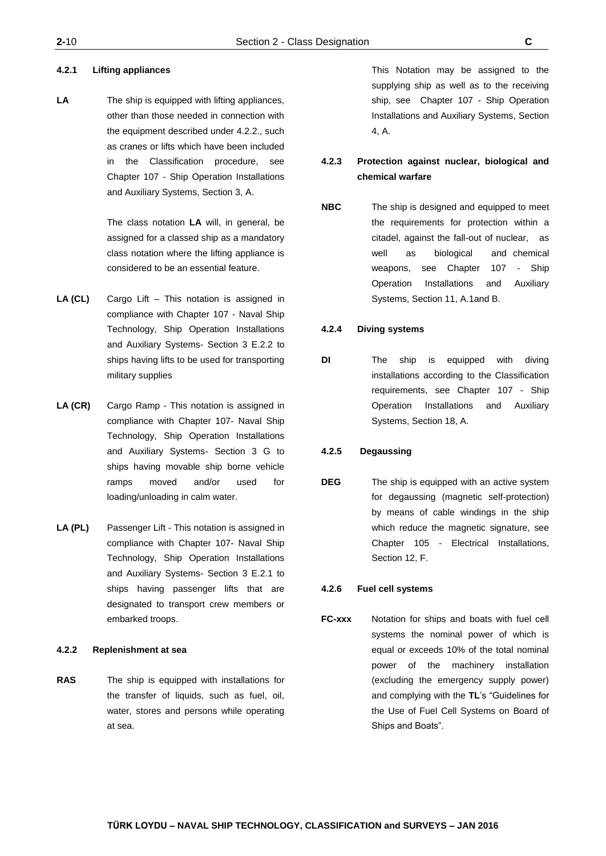## **4.2.1 Lifting appliances**

LA The ship is equipped with lifting appliances, other than those needed in connection with the equipment described under 4.2.2., such as cranes or lifts which have been included in the Classification procedure, see Chapter 107 - Ship Operation Installations and Auxiliary Systems, Section 3, A.

> The class notation **LA** will, in general, be assigned for a classed ship as a mandatory class notation where the lifting appliance is considered to be an essential feature.

- **LA (CL)** Cargo Lift This notation is assigned in compliance with Chapter 107 - Naval Ship Technology, Ship Operation Installations and Auxiliary Systems- Section 3 E.2.2 to ships having lifts to be used for transporting military supplies
- **LA (CR)** Cargo Ramp This notation is assigned in compliance with Chapter 107- Naval Ship Technology, Ship Operation Installations and Auxiliary Systems- Section 3 G to ships having movable ship borne vehicle ramps moved and/or used for loading/unloading in calm water.
- **LA (PL)** Passenger Lift This notation is assigned in compliance with Chapter 107- Naval Ship Technology, Ship Operation Installations and Auxiliary Systems- Section 3 E.2.1 to ships having passenger lifts that are designated to transport crew members or embarked troops.

## **4.2.2 Replenishment at sea**

**RAS** The ship is equipped with installations for the transfer of liquids, such as fuel, oil, water, stores and persons while operating at sea.

This Notation may be assigned to the supplying ship as well as to the receiving ship, see Chapter 107 - Ship Operation Installations and Auxiliary Systems, Section 4, A.

# **4.2.3 Protection against nuclear, biological and chemical warfare**

**NBC** The ship is designed and equipped to meet the requirements for protection within a citadel, against the fall-out of nuclear, as well as biological and chemical weapons, see Chapter 107 - Ship Operation Installations and Auxiliary Systems, Section 11, A.1and B.

## **4.2.4 Diving systems**

**DI** The ship is equipped with diving installations according to the Classification requirements, see Chapter 107 - Ship Operation Installations and Auxiliary Systems, Section 18, A.

## **4.2.5 Degaussing**

**DEG** The ship is equipped with an active system for degaussing (magnetic self-protection) by means of cable windings in the ship which reduce the magnetic signature, see Chapter 105 - Electrical Installations, Section 12, F.

## **4.2.6 Fuel cell systems**

**FC-xxx** Notation for ships and boats with fuel cell systems the nominal power of which is equal or exceeds 10% of the total nominal power of the machinery installation (excluding the emergency supply power) and complying with the **TL**'s "Guidelines for the Use of Fuel Cell Systems on Board of Ships and Boats".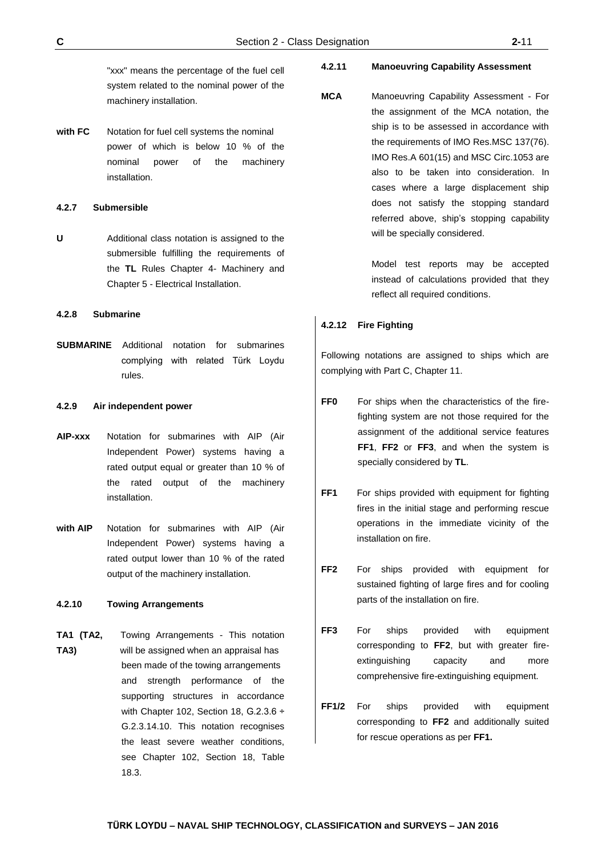"xxx" means the percentage of the fuel cell system related to the nominal power of the machinery installation.

**with FC** Notation for fuel cell systems the nominal power of which is below 10 % of the nominal power of the machinery installation.

#### **4.2.7 Submersible**

**U** Additional class notation is assigned to the submersible fulfilling the requirements of the **TL** Rules Chapter 4- Machinery and Chapter 5 - Electrical Installation.

#### **4.2.8 Submarine**

**SUBMARINE** Additional notation for submarines complying with related Türk Loydu rules.

## **4.2.9 Air independent power**

- **AIP-xxx** Notation for submarines with AIP (Air Independent Power) systems having a rated output equal or greater than 10 % of the rated output of the machinery installation.
- **with AIP** Notation for submarines with AIP (Air Independent Power) systems having a rated output lower than 10 % of the rated output of the machinery installation.

## **4.2.10 Towing Arrangements**

**TA1 (TA2,** Towing Arrangements - This notation **TA3)** will be assigned when an appraisal has been made of the towing arrangements and strength performance of the supporting structures in accordance with Chapter 102, Section 18, G.2.3.6 ÷ G.2.3.14.10. This notation recognises the least severe weather conditions, see Chapter 102, Section 18, Table 18.3.

## **4.2.11 Manoeuvring Capability Assessment**

**MCA** Manoeuvring Capability Assessment - For the assignment of the MCA notation, the ship is to be assessed in accordance with the requirements of IMO Res.MSC 137(76). IMO Res.A 601(15) and MSC Circ.1053 are also to be taken into consideration. In cases where a large displacement ship does not satisfy the stopping standard referred above, ship's stopping capability will be specially considered.

> Model test reports may be accepted instead of calculations provided that they reflect all required conditions.

#### **4.2.12 Fire Fighting**

Following notations are assigned to ships which are complying with Part C, Chapter 11.

- FF0 For ships when the characteristics of the firefighting system are not those required for the assignment of the additional service features **FF1**, **FF2** or **FF3**, and when the system is specially considered by **TL**.
- **FF1** For ships provided with equipment for fighting fires in the initial stage and performing rescue operations in the immediate vicinity of the installation on fire.
- **FF2** For ships provided with equipment for sustained fighting of large fires and for cooling parts of the installation on fire.
- **FF3** For ships provided with equipment corresponding to **FF2**, but with greater fireextinguishing capacity and more comprehensive fire-extinguishing equipment.
- **FF1/2** For ships provided with equipment corresponding to **FF2** and additionally suited for rescue operations as per **FF1.**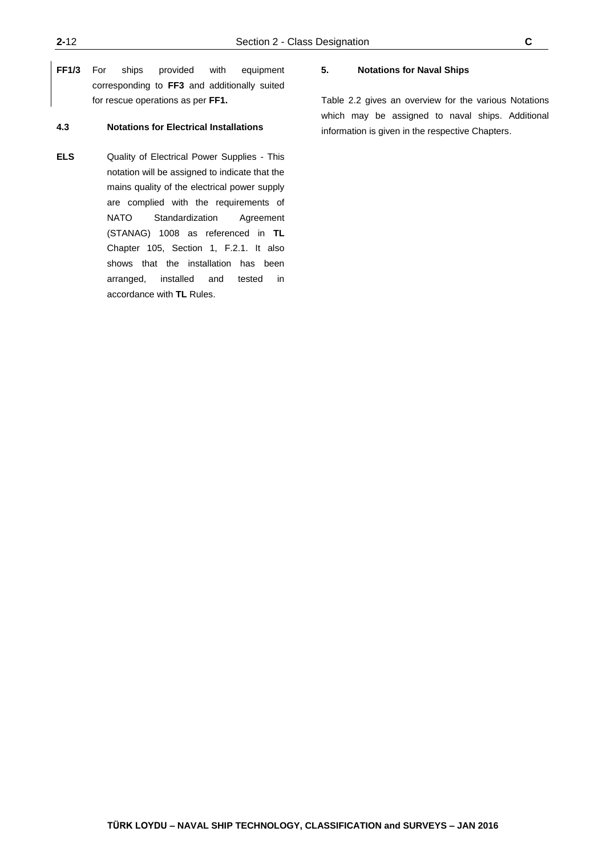**FF1/3** For ships provided with equipment corresponding to **FF3** and additionally suited for rescue operations as per **FF1.**

## **4.3 Notations for Electrical Installations**

**ELS** Quality of Electrical Power Supplies - This notation will be assigned to indicate that the mains quality of the electrical power supply are complied with the requirements of NATO Standardization Agreement (STANAG) 1008 as referenced in **TL** Chapter 105, Section 1, F.2.1. It also shows that the installation has been arranged, installed and tested in accordance with **TL** Rules.

## **5. Notations for Naval Ships**

Table 2.2 gives an overview for the various Notations which may be assigned to naval ships. Additional information is given in the respective Chapters.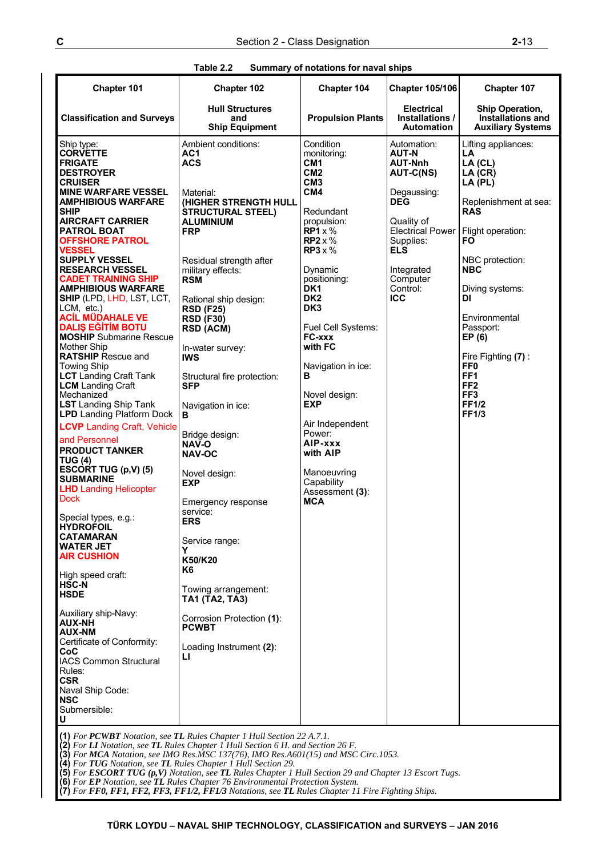| Table 2.2 | Summary of notations for naval ships |
|-----------|--------------------------------------|
|           |                                      |

| Chapter 101                                                                                                                                                                                                                                                                                                                                                                                                                                                                                                                                                                                                                                                                                                                                                                                                                                                                                                                                                                                                                                                                                                                                                                                                                                                                                       | Chapter 102                                                                                                                                                                                                                                                                                                                                                                                                                                                                                                                                                                                                                                                                                               | Chapter 104                                                                                                                                                                                                                                                                                                                                                                                                                                               | <b>Chapter 105/106</b>                                                                                                                                                                                          | Chapter 107                                                                                                                                                                                                                                                                                                                                                      |  |
|---------------------------------------------------------------------------------------------------------------------------------------------------------------------------------------------------------------------------------------------------------------------------------------------------------------------------------------------------------------------------------------------------------------------------------------------------------------------------------------------------------------------------------------------------------------------------------------------------------------------------------------------------------------------------------------------------------------------------------------------------------------------------------------------------------------------------------------------------------------------------------------------------------------------------------------------------------------------------------------------------------------------------------------------------------------------------------------------------------------------------------------------------------------------------------------------------------------------------------------------------------------------------------------------------|-----------------------------------------------------------------------------------------------------------------------------------------------------------------------------------------------------------------------------------------------------------------------------------------------------------------------------------------------------------------------------------------------------------------------------------------------------------------------------------------------------------------------------------------------------------------------------------------------------------------------------------------------------------------------------------------------------------|-----------------------------------------------------------------------------------------------------------------------------------------------------------------------------------------------------------------------------------------------------------------------------------------------------------------------------------------------------------------------------------------------------------------------------------------------------------|-----------------------------------------------------------------------------------------------------------------------------------------------------------------------------------------------------------------|------------------------------------------------------------------------------------------------------------------------------------------------------------------------------------------------------------------------------------------------------------------------------------------------------------------------------------------------------------------|--|
| <b>Classification and Surveys</b>                                                                                                                                                                                                                                                                                                                                                                                                                                                                                                                                                                                                                                                                                                                                                                                                                                                                                                                                                                                                                                                                                                                                                                                                                                                                 | <b>Hull Structures</b><br>and<br><b>Ship Equipment</b>                                                                                                                                                                                                                                                                                                                                                                                                                                                                                                                                                                                                                                                    | <b>Propulsion Plants</b>                                                                                                                                                                                                                                                                                                                                                                                                                                  | <b>Electrical</b><br>Installations /<br><b>Automation</b>                                                                                                                                                       | Ship Operation,<br>Installations and<br><b>Auxiliary Systems</b>                                                                                                                                                                                                                                                                                                 |  |
| Ship type:<br><b>CORVETTE</b><br><b>FRIGATE</b><br><b>DESTROYER</b><br><b>CRUISER</b><br><b>MINE WARFARE VESSEL</b><br><b>AMPHIBIOUS WARFARE</b><br><b>SHIP</b><br><b>AIRCRAFT CARRIER</b><br><b>PATROL BOAT</b><br><b>OFFSHORE PATROL</b><br>VESSEL<br><b>SUPPLY VESSEL</b><br><b>RESEARCH VESSEL</b><br><b>CADET TRAINING SHIP</b><br><b>AMPHIBIOUS WARFARE</b><br><b>SHIP (LPD, LHD, LST, LCT,</b><br>LCM, etc.)<br><b>ACİL MÜDAHALE VE</b><br><b>DALIS EĞİTİM BOTU</b><br><b>MOSHIP</b> Submarine Rescue<br><b>Mother Ship</b><br><b>RATSHIP</b> Rescue and<br><b>Towing Ship</b><br><b>LCT</b> Landing Craft Tank<br><b>LCM</b> Landing Craft<br>Mechanized<br><b>LST</b> Landing Ship Tank<br><b>LPD</b> Landing Platform Dock<br><b>LCVP</b> Landing Craft, Vehicle<br>and Personnel<br><b>PRODUCT TANKER</b><br><b>TUG (4)</b><br>ESCORT TUG (p,V) (5)<br><b>SUBMARINE</b><br><b>LHD</b> Landing Helicopter<br><b>Dock</b><br>Special types, e.g.:<br><b>HYDROFOIL</b><br>CATAMARAN<br>WATER JET<br><b>AIR CUSHION</b><br>High speed craft:<br><b>HSC-N</b><br><b>HSDE</b><br>Auxiliary ship-Navy:<br><b>AUX-NH</b><br><b>AUX-NM</b><br>Certificate of Conformity:<br>CoC<br><b>IACS Common Structural</b><br>Rules:<br><b>CSR</b><br>Naval Ship Code:<br><b>NSC</b><br>Submersible:<br>U | Ambient conditions:<br>AC1<br><b>ACS</b><br>Material:<br>(HIGHER STRENGTH HULL<br><b>STRUCTURAL STEEL)</b><br><b>ALUMINIUM</b><br><b>FRP</b><br>Residual strength after<br>military effects:<br><b>RSM</b><br>Rational ship design:<br><b>RSD (F25)</b><br><b>RSD (F30)</b><br><b>RSD (ACM)</b><br>In-water survey:<br><b>IWS</b><br>Structural fire protection:<br><b>SFP</b><br>Navigation in ice:<br>в<br>Bridge design:<br><b>NAV-O</b><br><b>NAV-OC</b><br>Novel design:<br><b>EXP</b><br>Emergency response<br>service:<br><b>ERS</b><br>Service range:<br>Y<br>K50/K20<br>K6<br>Towing arrangement:<br>TA1 (TA2, TA3)<br>Corrosion Protection (1):<br><b>PCWBT</b><br>Loading Instrument (2):<br>ы | Condition<br>monitoring:<br>CM <sub>1</sub><br>CM2<br>CM3<br>CM4<br>Redundant<br>propulsion:<br>$RP1 \times \%$<br>$RP2 \times \%$<br>$RP3 \times \%$<br>Dynamic<br>positioning:<br>DK <sub>1</sub><br>DK <sub>2</sub><br>DK <sub>3</sub><br>Fuel Cell Systems:<br>FC-xxx<br>with FC<br>Navigation in ice:<br>в<br>Novel design:<br>EXP<br>Air Independent<br>Power:<br>AIP-xxx<br>with AIP<br>Manoeuvring<br>Capability<br>Assessment (3):<br><b>MCA</b> | Automation:<br><b>AUT-N</b><br><b>AUT-Nnh</b><br>AUT-C(NS)<br>Degaussing:<br><b>DEG</b><br>Quality of<br><b>Electrical Power</b><br>Supplies:<br><b>ELS</b><br>Integrated<br>Computer<br>Control:<br><b>ICC</b> | Lifting appliances:<br>LA<br>LA (CL)<br>LA (CR)<br>LA (PL)<br>Replenishment at sea:<br><b>RAS</b><br>Flight operation:<br>FO<br>NBC protection:<br><b>NBC</b><br>Diving systems:<br>DI<br>Environmental<br>Passport:<br>EP (6)<br>Fire Fighting (7):<br>FF <sub>0</sub><br>FF <sub>1</sub><br>FF <sub>2</sub><br>FF <sub>3</sub><br><b>FF1/2</b><br><b>FF1/3</b> |  |
| (1) For PCWBT Notation, see TL Rules Chapter 1 Hull Section 22 A.7.1.<br>(2) For LI Notation, see TL Rules Chapter 1 Hull Section 6 H. and Section 26 F.<br>(3) For MCA Notation, see IMO Res.MSC 137(76), IMO Res.A601(15) and MSC Circ.1053.<br>(4) For TUG Notation, see TL Rules Chapter 1 Hull Section 29.<br>(5) For ESCORT TUG (p,V) Notation, see TL Rules Chapter 1 Hull Section 29 and Chapter 13 Escort Tugs.<br><b>(6)</b> For <b>EP</b> Notation, see <b>TL</b> Rules Chapter 76 Environmental Protection System.                                                                                                                                                                                                                                                                                                                                                                                                                                                                                                                                                                                                                                                                                                                                                                    |                                                                                                                                                                                                                                                                                                                                                                                                                                                                                                                                                                                                                                                                                                           |                                                                                                                                                                                                                                                                                                                                                                                                                                                           |                                                                                                                                                                                                                 |                                                                                                                                                                                                                                                                                                                                                                  |  |

**<sup>(7)</sup>** *For FF0, FF1, FF2, FF3, FF1/2, FF1/3 Notations, see TL Rules Chapter 11 Fire Fighting Ships.*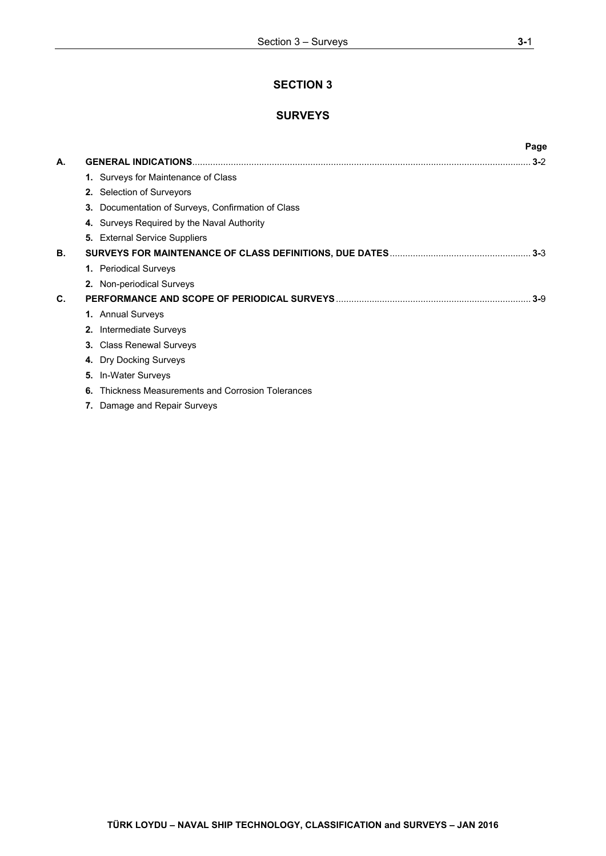# **SECTION 3**

# **SURVEYS**

|    |                                                       | Page    |
|----|-------------------------------------------------------|---------|
| А. |                                                       | $3 - 2$ |
|    | 1. Surveys for Maintenance of Class                   |         |
|    | 2. Selection of Surveyors                             |         |
|    | Documentation of Surveys, Confirmation of Class<br>3. |         |
|    | 4. Surveys Required by the Naval Authority            |         |
|    | <b>5.</b> External Service Suppliers                  |         |
| В. |                                                       |         |
|    | 1. Periodical Surveys                                 |         |
|    | 2. Non-periodical Surveys                             |         |
| C. |                                                       | $3-9$   |
|    | 1. Annual Surveys                                     |         |
|    | Intermediate Surveys<br>2.                            |         |
|    | <b>Class Renewal Surveys</b><br>3.                    |         |
|    | 4. Dry Docking Surveys                                |         |
|    | In-Water Surveys<br>5.                                |         |
|    | Thickness Measurements and Corrosion Tolerances<br>6. |         |
|    | Damage and Repair Surveys                             |         |
|    |                                                       |         |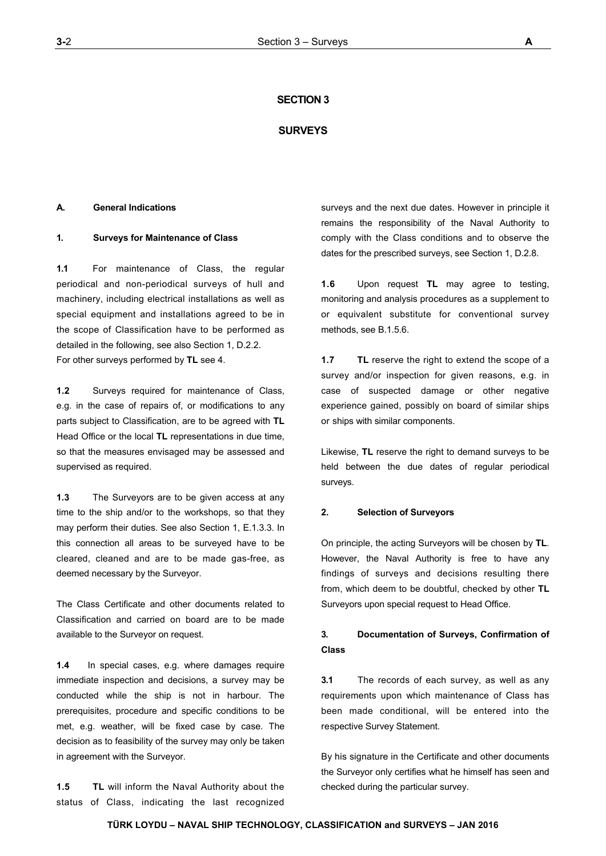## **SECTION 3**

## **SURVEYS**

## **A. General Indications**

## **1. Surveys for Maintenance of Class**

**1.1** For maintenance of Class, the regular periodical and non-periodical surveys of hull and machinery, including electrical installations as well as special equipment and installations agreed to be in the scope of Classification have to be performed as detailed in the following, see also Section 1, D.2.2. For other surveys performed by **TL** see 4.

**1.2** Surveys required for maintenance of Class, e.g. in the case of repairs of, or modifications to any parts subject to Classification, are to be agreed with **TL** Head Office or the local **TL** representations in due time, so that the measures envisaged may be assessed and supervised as required.

**1.3** The Surveyors are to be given access at any time to the ship and/or to the workshops, so that they may perform their duties. See also Section 1, E.1.3.3. In this connection all areas to be surveyed have to be cleared, cleaned and are to be made gas-free, as deemed necessary by the Surveyor.

The Class Certificate and other documents related to Classification and carried on board are to be made available to the Surveyor on request.

**1.4** In special cases, e.g. where damages require immediate inspection and decisions, a survey may be conducted while the ship is not in harbour. The prerequisites, procedure and specific conditions to be met, e.g. weather, will be fixed case by case. The decision as to feasibility of the survey may only be taken in agreement with the Surveyor.

**1.5 TL** will inform the Naval Authority about the status of Class, indicating the last recognized surveys and the next due dates. However in principle it remains the responsibility of the Naval Authority to comply with the Class conditions and to observe the dates for the prescribed surveys, see Section 1, D.2.8.

**1.6** Upon request **TL** may agree to testing, monitoring and analysis procedures as a supplement to or equivalent substitute for conventional survey methods, see B.1.5.6.

**1.7 TL** reserve the right to extend the scope of a survey and/or inspection for given reasons, e.g. in case of suspected damage or other negative experience gained, possibly on board of similar ships or ships with similar components.

Likewise, **TL** reserve the right to demand surveys to be held between the due dates of regular periodical surveys.

#### **2. Selection of Surveyors**

On principle, the acting Surveyors will be chosen by **TL**. However, the Naval Authority is free to have any findings of surveys and decisions resulting there from, which deem to be doubtful, checked by other **TL** Surveyors upon special request to Head Office.

# **3. Documentation of Surveys, Confirmation of Class**

**3.1** The records of each survey, as well as any requirements upon which maintenance of Class has been made conditional, will be entered into the respective Survey Statement.

By his signature in the Certificate and other documents the Surveyor only certifies what he himself has seen and checked during the particular survey.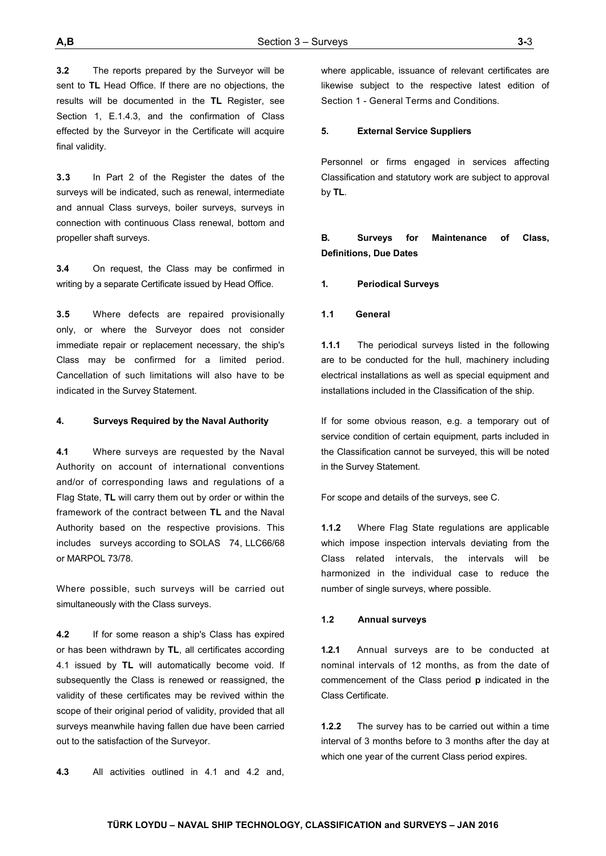**3.2** The reports prepared by the Surveyor will be sent to **TL** Head Office. If there are no objections, the results will be documented in the **TL** Register, see Section 1, E.1.4.3, and the confirmation of Class effected by the Surveyor in the Certificate will acquire final validity.

**3.3** In Part 2 of the Register the dates of the surveys will be indicated, such as renewal, intermediate and annual Class surveys, boiler surveys, surveys in connection with continuous Class renewal, bottom and propeller shaft surveys.

**3.4** On request, the Class may be confirmed in writing by a separate Certificate issued by Head Office.

**3.5** Where defects are repaired provisionally only, or where the Surveyor does not consider immediate repair or replacement necessary, the ship's Class may be confirmed for a limited period. Cancellation of such limitations will also have to be indicated in the Survey Statement.

#### **4. Surveys Required by the Naval Authority**

**4.1** Where surveys are requested by the Naval Authority on account of international conventions and/or of corresponding laws and regulations of a Flag State, **TL** will carry them out by order or within the framework of the contract between **TL** and the Naval Authority based on the respective provisions. This includes surveys according to SOLAS 74, LLC66/68 or MARPOL 73/78.

Where possible, such surveys will be carried out simultaneously with the Class surveys.

**4.2** If for some reason a ship's Class has expired or has been withdrawn by **TL**, all certificates according 4.1 issued by **TL** will automatically become void. If subsequently the Class is renewed or reassigned, the validity of these certificates may be revived within the scope of their original period of validity, provided that all surveys meanwhile having fallen due have been carried out to the satisfaction of the Surveyor.

**4.3** All activities outlined in 4.1 and 4.2 and,

where applicable, issuance of relevant certificates are likewise subject to the respective latest edition of Section 1 - General Terms and Conditions.

#### **5. External Service Suppliers**

Personnel or firms engaged in services affecting Classification and statutory work are subject to approval by **TL**.

# **B. Surveys for Maintenance of Class, Definitions, Due Dates**

**1. Periodical Surveys**

#### **1.1 General**

**1.1.1** The periodical surveys listed in the following are to be conducted for the hull, machinery including electrical installations as well as special equipment and installations included in the Classification of the ship.

If for some obvious reason, e.g. a temporary out of service condition of certain equipment, parts included in the Classification cannot be surveyed, this will be noted in the Survey Statement.

For scope and details of the surveys, see C.

**1.1.2** Where Flag State regulations are applicable which impose inspection intervals deviating from the Class related intervals, the intervals will be harmonized in the individual case to reduce the number of single surveys, where possible.

#### **1.2 Annual surveys**

**1.2.1** Annual surveys are to be conducted at nominal intervals of 12 months, as from the date of commencement of the Class period **p** indicated in the Class Certificate.

**1.2.2** The survey has to be carried out within a time interval of 3 months before to 3 months after the day at which one year of the current Class period expires.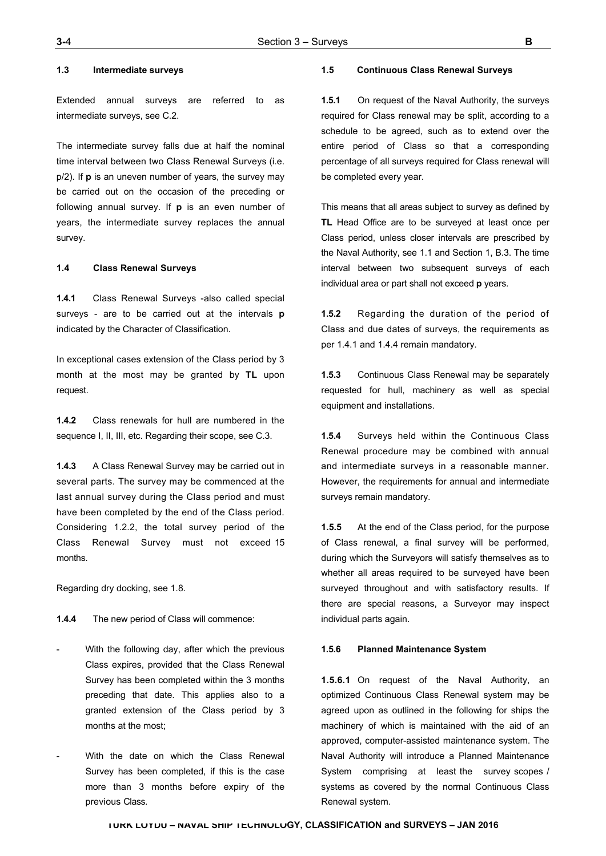## **1.3 Intermediate surveys**

Extended annual surveys are referred to as intermediate surveys, see C.2.

The intermediate survey falls due at half the nominal time interval between two Class Renewal Surveys (i.e. p/2). If **p** is an uneven number of years, the survey may be carried out on the occasion of the preceding or following annual survey. If **p** is an even number of years, the intermediate survey replaces the annual survey.

#### **1.4 Class Renewal Surveys**

**1.4.1** Class Renewal Surveys -also called special surveys - are to be carried out at the intervals **p**  indicated by the Character of Classification.

In exceptional cases extension of the Class period by 3 month at the most may be granted by **TL** upon request.

**1.4.2** Class renewals for hull are numbered in the sequence I, II, III, etc. Regarding their scope, see C.3.

**1.4.3** A Class Renewal Survey may be carried out in several parts. The survey may be commenced at the last annual survey during the Class period and must have been completed by the end of the Class period. Considering 1.2.2, the total survey period of the Class Renewal Survey must not exceed 15 months.

Regarding dry docking, see 1.8.

**1.4.4** The new period of Class will commence:

- With the following day, after which the previous Class expires, provided that the Class Renewal Survey has been completed within the 3 months preceding that date. This applies also to a granted extension of the Class period by 3 months at the most;
- With the date on which the Class Renewal Survey has been completed, if this is the case more than 3 months before expiry of the previous Class.

#### **1.5 Continuous Class Renewal Surveys**

**1.5.1** On request of the Naval Authority, the surveys required for Class renewal may be split, according to a schedule to be agreed, such as to extend over the entire period of Class so that a corresponding percentage of all surveys required for Class renewal will be completed every year.

This means that all areas subject to survey as defined by **TL** Head Office are to be surveyed at least once per Class period, unless closer intervals are prescribed by the Naval Authority, see 1.1 and Section 1, B.3. The time interval between two subsequent surveys of each individual area or part shall not exceed **p** years.

**1.5.2** Regarding the duration of the period of Class and due dates of surveys, the requirements as per 1.4.1 and 1.4.4 remain mandatory.

**1.5.3** Continuous Class Renewal may be separately requested for hull, machinery as well as special equipment and installations.

**1.5.4** Surveys held within the Continuous Class Renewal procedure may be combined with annual and intermediate surveys in a reasonable manner. However, the requirements for annual and intermediate surveys remain mandatory.

**1.5.5** At the end of the Class period, for the purpose of Class renewal, a final survey will be performed, during which the Surveyors will satisfy themselves as to whether all areas required to be surveyed have been surveyed throughout and with satisfactory results. If there are special reasons, a Surveyor may inspect individual parts again.

## **1.5.6 Planned Maintenance System**

**1.5.6.1** On request of the Naval Authority, an optimized Continuous Class Renewal system may be agreed upon as outlined in the following for ships the machinery of which is maintained with the aid of an approved, computer-assisted maintenance system. The Naval Authority will introduce a Planned Maintenance System comprising at least the survey scopes / systems as covered by the normal Continuous Class Renewal system.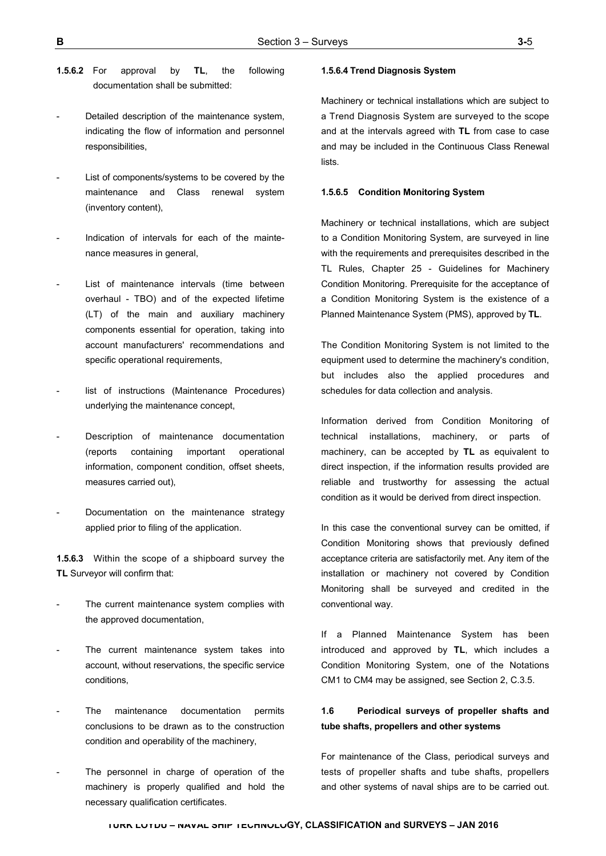- - **TÜRK LOYDU NAVAL SHIP TECHNOLOGY, CLASSIFICATION and SURVEYS JAN 2016**
- **1.5.6.2** For approval by **TL**, the following
- Detailed description of the maintenance system, indicating the flow of information and personnel responsibilities,

documentation shall be submitted:

- List of components/systems to be covered by the maintenance and Class renewal system (inventory content),
- Indication of intervals for each of the maintenance measures in general,
- List of maintenance intervals (time between overhaul - TBO) and of the expected lifetime (LT) of the main and auxiliary machinery components essential for operation, taking into account manufacturers' recommendations and specific operational requirements,
- list of instructions (Maintenance Procedures) underlying the maintenance concept,
- Description of maintenance documentation (reports containing important operational information, component condition, offset sheets, measures carried out),
- Documentation on the maintenance strategy applied prior to filing of the application.

**1.5.6.3** Within the scope of a shipboard survey the **TL** Surveyor will confirm that:

- The current maintenance system complies with the approved documentation,
- The current maintenance system takes into account, without reservations, the specific service conditions,
- The maintenance documentation permits conclusions to be drawn as to the construction condition and operability of the machinery,
- The personnel in charge of operation of the machinery is properly qualified and hold the necessary qualification certificates.

#### **1.5.6.4 Trend Diagnosis System**

Machinery or technical installations which are subject to a Trend Diagnosis System are surveyed to the scope and at the intervals agreed with **TL** from case to case and may be included in the Continuous Class Renewal lists.

#### **1.5.6.5 Condition Monitoring System**

Machinery or technical installations, which are subject to a Condition Monitoring System, are surveyed in line with the requirements and prerequisites described in the TL Rules, Chapter 25 - Guidelines for Machinery Condition Monitoring. Prerequisite for the acceptance of a Condition Monitoring System is the existence of a Planned Maintenance System (PMS), approved by **TL**.

The Condition Monitoring System is not limited to the equipment used to determine the machinery's condition, but includes also the applied procedures and schedules for data collection and analysis.

Information derived from Condition Monitoring of technical installations, machinery, or parts of machinery, can be accepted by **TL** as equivalent to direct inspection, if the information results provided are reliable and trustworthy for assessing the actual condition as it would be derived from direct inspection.

In this case the conventional survey can be omitted, if Condition Monitoring shows that previously defined acceptance criteria are satisfactorily met. Any item of the installation or machinery not covered by Condition Monitoring shall be surveyed and credited in the conventional way.

If a Planned Maintenance System has been introduced and approved by **TL**, which includes a Condition Monitoring System, one of the Notations CM1 to CM4 may be assigned, see Section 2, C.3.5.

# **1.6 Periodical surveys of propeller shafts and tube shafts, propellers and other systems**

For maintenance of the Class, periodical surveys and tests of propeller shafts and tube shafts, propellers and other systems of naval ships are to be carried out.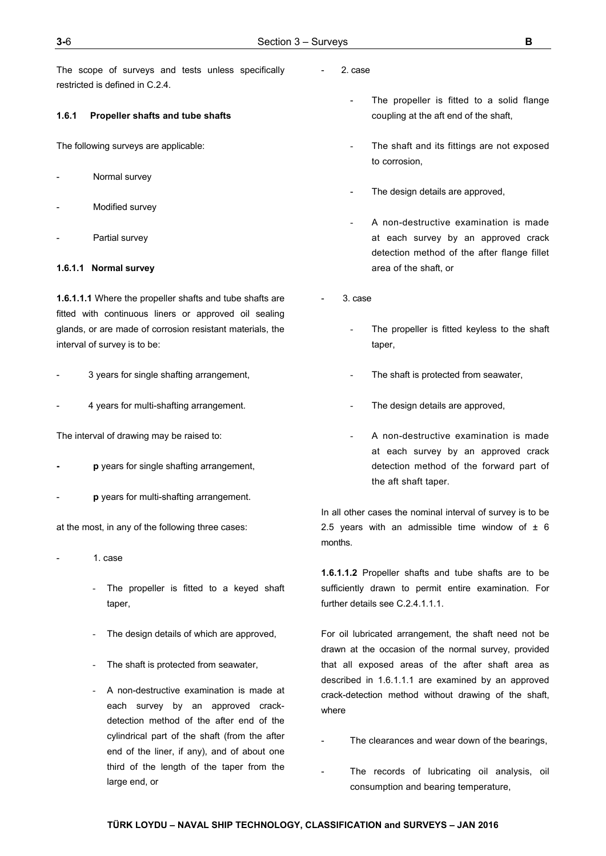The scope of surveys and tests unless specifically restricted is defined in C.2.4.

## **1.6.1 Propeller shafts and tube shafts**

The following surveys are applicable:

- Normal survey
- Modified survey
- Partial survey

## **1.6.1.1 Normal survey**

**1.6.1.1.1** Where the propeller shafts and tube shafts are fitted with continuous liners or approved oil sealing glands, or are made of corrosion resistant materials, the interval of survey is to be:

- 3 years for single shafting arrangement,
- 4 years for multi-shafting arrangement.

The interval of drawing may be raised to:

- **p** years for single shafting arrangement,
- **p** years for multi-shafting arrangement.

at the most, in any of the following three cases:

- 1. case
	- The propeller is fitted to a keyed shaft taper,
	- The design details of which are approved,
	- The shaft is protected from seawater,
	- A non-destructive examination is made at each survey by an approved crackdetection method of the after end of the cylindrical part of the shaft (from the after end of the liner, if any), and of about one third of the length of the taper from the large end, or
- 2. case
	- The propeller is fitted to a solid flange coupling at the aft end of the shaft,
	- The shaft and its fittings are not exposed to corrosion,
	- The design details are approved,
	- A non-destructive examination is made at each survey by an approved crack detection method of the after flange fillet area of the shaft, or
- 3. case
	- The propeller is fitted keyless to the shaft taper,
	- The shaft is protected from seawater,
	- The design details are approved,
	- A non-destructive examination is made at each survey by an approved crack detection method of the forward part of the aft shaft taper.

In all other cases the nominal interval of survey is to be 2.5 years with an admissible time window of  $\pm$  6 months.

**1.6.1.1.2** Propeller shafts and tube shafts are to be sufficiently drawn to permit entire examination. For further details see C.2.4.1.1.1.

For oil lubricated arrangement, the shaft need not be drawn at the occasion of the normal survey, provided that all exposed areas of the after shaft area as described in 1.6.1.1.1 are examined by an approved crack-detection method without drawing of the shaft, where

- The clearances and wear down of the bearings,
- The records of lubricating oil analysis, oil consumption and bearing temperature,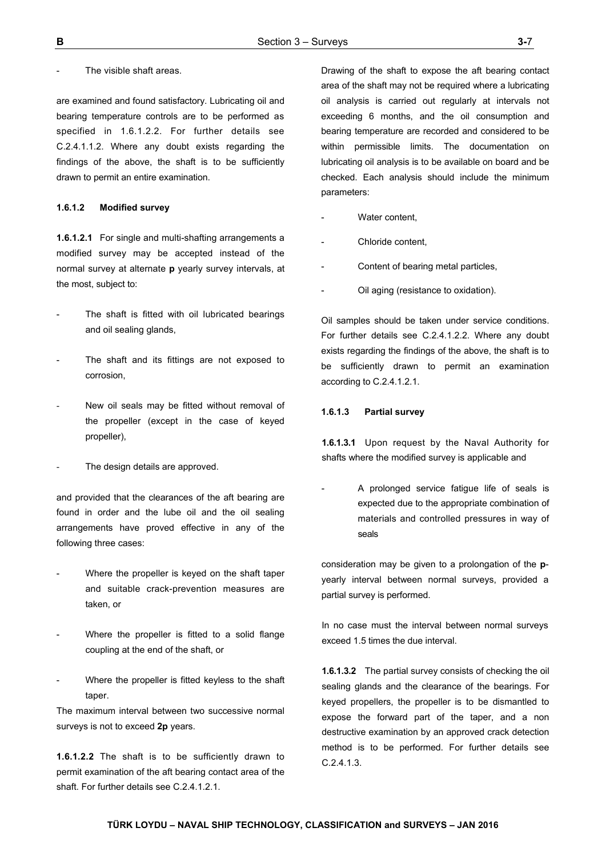### The visible shaft areas.

are examined and found satisfactory. Lubricating oil and bearing temperature controls are to be performed as specified in 1.6.1.2.2. For further details see C.2.4.1.1.2. Where any doubt exists regarding the findings of the above, the shaft is to be sufficiently drawn to permit an entire examination.

## **1.6.1.2 Modified survey**

**1.6.1.2.1** For single and multi-shafting arrangements a modified survey may be accepted instead of the normal survey at alternate **p** yearly survey intervals, at the most, subject to:

- The shaft is fitted with oil lubricated bearings and oil sealing glands,
- The shaft and its fittings are not exposed to corrosion,
- New oil seals may be fitted without removal of the propeller (except in the case of keyed propeller),
- The design details are approved.

and provided that the clearances of the aft bearing are found in order and the lube oil and the oil sealing arrangements have proved effective in any of the following three cases:

- Where the propeller is keyed on the shaft taper and suitable crack-prevention measures are taken, or
- Where the propeller is fitted to a solid flange coupling at the end of the shaft, or
- Where the propeller is fitted keyless to the shaft taper.

The maximum interval between two successive normal surveys is not to exceed **2p** years.

**1.6.1.2.2** The shaft is to be sufficiently drawn to permit examination of the aft bearing contact area of the shaft. For further details see C.2.4.1.2.1.

Drawing of the shaft to expose the aft bearing contact area of the shaft may not be required where a lubricating oil analysis is carried out regularly at intervals not exceeding 6 months, and the oil consumption and bearing temperature are recorded and considered to be within permissible limits. The documentation on lubricating oil analysis is to be available on board and be checked. Each analysis should include the minimum parameters:

- Water content,
- Chloride content.
- Content of bearing metal particles,
- Oil aging (resistance to oxidation).

Oil samples should be taken under service conditions. For further details see C.2.4.1.2.2. Where any doubt exists regarding the findings of the above, the shaft is to be sufficiently drawn to permit an examination according to C.2.4.1.2.1.

#### **1.6.1.3 Partial survey**

**1.6.1.3.1** Upon request by the Naval Authority for shafts where the modified survey is applicable and

A prolonged service fatigue life of seals is expected due to the appropriate combination of materials and controlled pressures in way of seals

consideration may be given to a prolongation of the **p**yearly interval between normal surveys, provided a partial survey is performed.

In no case must the interval between normal surveys exceed 1.5 times the due interval.

**1.6.1.3.2** The partial survey consists of checking the oil sealing glands and the clearance of the bearings. For keyed propellers, the propeller is to be dismantled to expose the forward part of the taper, and a non destructive examination by an approved crack detection method is to be performed. For further details see C.2.4.1.3.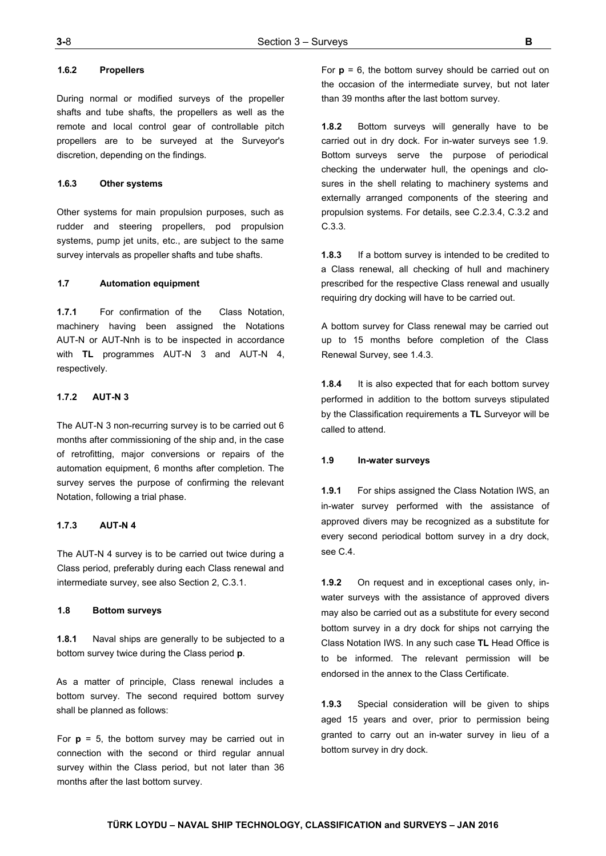## **1.6.2 Propellers**

During normal or modified surveys of the propeller shafts and tube shafts, the propellers as well as the remote and local control gear of controllable pitch propellers are to be surveyed at the Surveyor's discretion, depending on the findings.

## **1.6.3 Other systems**

Other systems for main propulsion purposes, such as rudder and steering propellers, pod propulsion systems, pump jet units, etc., are subject to the same survey intervals as propeller shafts and tube shafts.

## **1.7 Automation equipment**

**1.7.1** For confirmation of the Class Notation, machinery having been assigned the Notations AUT-N or AUT-Nnh is to be inspected in accordance with **TL** programmes AUT-N 3 and AUT-N 4, respectively.

## **1.7.2 AUT-N 3**

The AUT-N 3 non-recurring survey is to be carried out 6 months after commissioning of the ship and, in the case of retrofitting, major conversions or repairs of the automation equipment, 6 months after completion. The survey serves the purpose of confirming the relevant Notation, following a trial phase.

### **1.7.3 AUT-N 4**

The AUT-N 4 survey is to be carried out twice during a Class period, preferably during each Class renewal and intermediate survey, see also Section 2, C.3.1.

#### **1.8 Bottom surveys**

**1.8.1** Naval ships are generally to be subjected to a bottom survey twice during the Class period **p**.

As a matter of principle, Class renewal includes a bottom survey. The second required bottom survey shall be planned as follows:

For  $p = 5$ , the bottom survey may be carried out in connection with the second or third regular annual survey within the Class period, but not later than 36 months after the last bottom survey.

For **p** = 6, the bottom survey should be carried out on the occasion of the intermediate survey, but not later than 39 months after the last bottom survey.

**1.8.2** Bottom surveys will generally have to be carried out in dry dock. For in-water surveys see 1.9. Bottom surveys serve the purpose of periodical checking the underwater hull, the openings and closures in the shell relating to machinery systems and externally arranged components of the steering and propulsion systems. For details, see C.2.3.4, C.3.2 and C.3.3.

**1.8.3** If a bottom survey is intended to be credited to a Class renewal, all checking of hull and machinery prescribed for the respective Class renewal and usually requiring dry docking will have to be carried out.

A bottom survey for Class renewal may be carried out up to 15 months before completion of the Class Renewal Survey, see 1.4.3.

**1.8.4** It is also expected that for each bottom survey performed in addition to the bottom surveys stipulated by the Classification requirements a **TL** Surveyor will be called to attend.

## **1.9 In-water surveys**

**1.9.1** For ships assigned the Class Notation IWS, an in-water survey performed with the assistance of approved divers may be recognized as a substitute for every second periodical bottom survey in a dry dock, see C.4.

**1.9.2** On request and in exceptional cases only, inwater surveys with the assistance of approved divers may also be carried out as a substitute for every second bottom survey in a dry dock for ships not carrying the Class Notation IWS. In any such case **TL** Head Office is to be informed. The relevant permission will be endorsed in the annex to the Class Certificate.

**1.9.3** Special consideration will be given to ships aged 15 years and over, prior to permission being granted to carry out an in-water survey in lieu of a bottom survey in dry dock.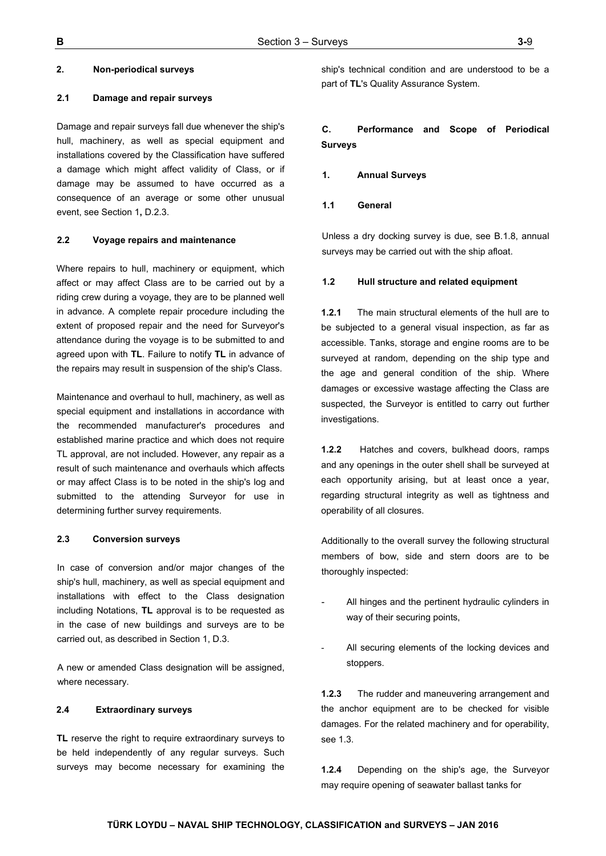## **2. Non-periodical surveys**

## **2.1 Damage and repair surveys**

Damage and repair surveys fall due whenever the ship's hull, machinery, as well as special equipment and installations covered by the Classification have suffered a damage which might affect validity of Class, or if damage may be assumed to have occurred as a consequence of an average or some other unusual event, see Section 1**,** D.2.3.

## **2.2 Voyage repairs and maintenance**

Where repairs to hull, machinery or equipment, which affect or may affect Class are to be carried out by a riding crew during a voyage, they are to be planned well in advance. A complete repair procedure including the extent of proposed repair and the need for Surveyor's attendance during the voyage is to be submitted to and agreed upon with **TL**. Failure to notify **TL** in advance of the repairs may result in suspension of the ship's Class.

Maintenance and overhaul to hull, machinery, as well as special equipment and installations in accordance with the recommended manufacturer's procedures and established marine practice and which does not require TL approval, are not included. However, any repair as a result of such maintenance and overhauls which affects or may affect Class is to be noted in the ship's log and submitted to the attending Surveyor for use in determining further survey requirements.

## **2.3 Conversion surveys**

In case of conversion and/or major changes of the ship's hull, machinery, as well as special equipment and installations with effect to the Class designation including Notations, **TL** approval is to be requested as in the case of new buildings and surveys are to be carried out, as described in Section 1, D.3.

A new or amended Class designation will be assigned, where necessary.

#### **2.4 Extraordinary surveys**

**TL** reserve the right to require extraordinary surveys to be held independently of any regular surveys. Such surveys may become necessary for examining the

ship's technical condition and are understood to be a part of **TL**'s Quality Assurance System.

## **C. Performance and Scope of Periodical Surveys**

- **1. Annual Surveys**
- **1.1 General**

Unless a dry docking survey is due, see B.1.8, annual surveys may be carried out with the ship afloat.

#### **1.2 Hull structure and related equipment**

**1.2.1** The main structural elements of the hull are to be subjected to a general visual inspection, as far as accessible. Tanks, storage and engine rooms are to be surveyed at random, depending on the ship type and the age and general condition of the ship. Where damages or excessive wastage affecting the Class are suspected, the Surveyor is entitled to carry out further investigations.

**1.2.2** Hatches and covers, bulkhead doors, ramps and any openings in the outer shell shall be surveyed at each opportunity arising, but at least once a year, regarding structural integrity as well as tightness and operability of all closures.

Additionally to the overall survey the following structural members of bow, side and stern doors are to be thoroughly inspected:

- All hinges and the pertinent hydraulic cylinders in way of their securing points,
- All securing elements of the locking devices and stoppers.

**1.2.3** The rudder and maneuvering arrangement and the anchor equipment are to be checked for visible damages. For the related machinery and for operability, see 1.3.

**1.2.4** Depending on the ship's age, the Surveyor may require opening of seawater ballast tanks for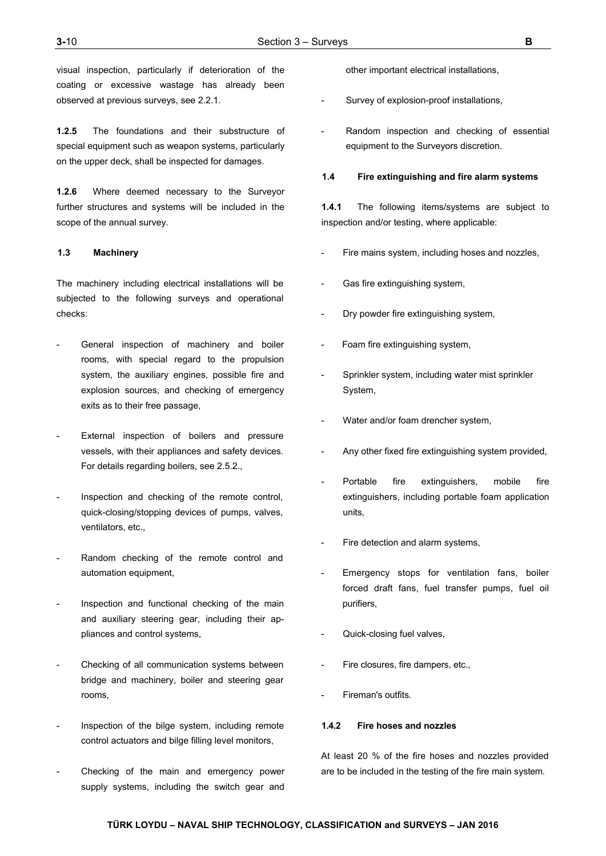visual inspection, particularly if deterioration of the coating or excessive wastage has already been observed at previous surveys, see 2.2.1.

**1.2.5** The foundations and their substructure of special equipment such as weapon systems, particularly on the upper deck, shall be inspected for damages.

**1.2.6** Where deemed necessary to the Surveyor further structures and systems will be included in the scope of the annual survey.

## **1.3 Machinery**

The machinery including electrical installations will be subjected to the following surveys and operational checks:

- General inspection of machinery and boiler rooms, with special regard to the propulsion system, the auxiliary engines, possible fire and explosion sources, and checking of emergency exits as to their free passage,
- External inspection of boilers and pressure vessels, with their appliances and safety devices. For details regarding boilers, see 2.5.2.,
- Inspection and checking of the remote control, quick-closing/stopping devices of pumps, valves, ventilators, etc.,
- Random checking of the remote control and automation equipment,
- Inspection and functional checking of the main and auxiliary steering gear, including their appliances and control systems,
- Checking of all communication systems between bridge and machinery, boiler and steering gear rooms,
- Inspection of the bilge system, including remote control actuators and bilge filling level monitors,
- Checking of the main and emergency power supply systems, including the switch gear and

other important electrical installations,

- Survey of explosion-proof installations,
- Random inspection and checking of essential equipment to the Surveyors discretion.

#### **1.4 Fire extinguishing and fire alarm systems**

**1.4.1** The following items/systems are subject to inspection and/or testing, where applicable:

- Fire mains system, including hoses and nozzles,
- Gas fire extinguishing system,
- Dry powder fire extinguishing system,
- Foam fire extinguishing system,
- Sprinkler system, including water mist sprinkler System,
- Water and/or foam drencher system,
- Any other fixed fire extinguishing system provided,
- Portable fire extinguishers, mobile fire extinguishers, including portable foam application units,
- Fire detection and alarm systems,
- Emergency stops for ventilation fans, boiler forced draft fans, fuel transfer pumps, fuel oil purifiers,
- Quick-closing fuel valves,
- Fire closures, fire dampers, etc.,
- Fireman's outfits.

#### **1.4.2 Fire hoses and nozzles**

At least 20 % of the fire hoses and nozzles provided are to be included in the testing of the fire main system.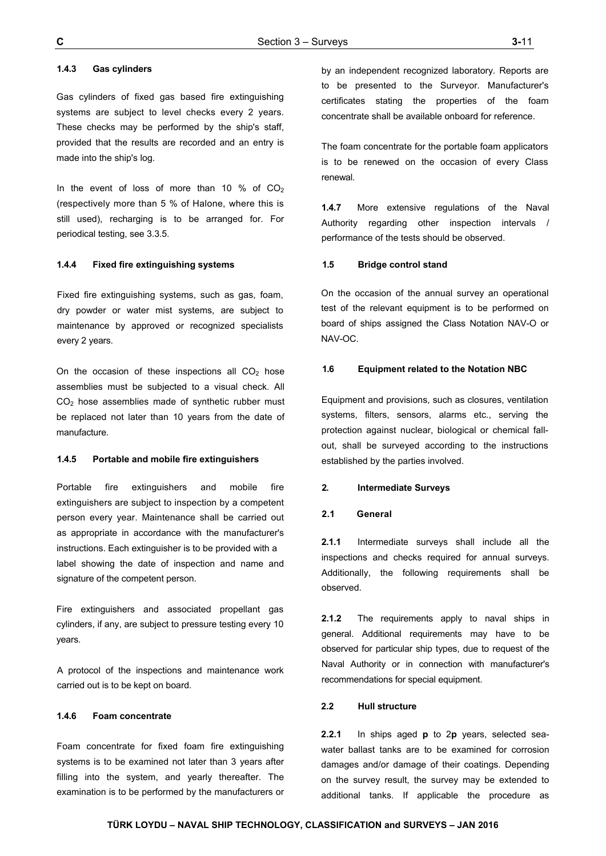## **1.4.3 Gas cylinders**

Gas cylinders of fixed gas based fire extinguishing systems are subject to level checks every 2 years. These checks may be performed by the ship's staff, provided that the results are recorded and an entry is made into the ship's log.

In the event of loss of more than 10 % of  $CO<sub>2</sub>$ (respectively more than 5 % of Halone, where this is still used), recharging is to be arranged for. For periodical testing, see 3.3.5.

## **1.4.4 Fixed fire extinguishing systems**

Fixed fire extinguishing systems, such as gas, foam, dry powder or water mist systems, are subject to maintenance by approved or recognized specialists every 2 years.

On the occasion of these inspections all  $CO<sub>2</sub>$  hose assemblies must be subjected to a visual check. All CO2 hose assemblies made of synthetic rubber must be replaced not later than 10 years from the date of manufacture.

#### **1.4.5 Portable and mobile fire extinguishers**

Portable fire extinguishers and mobile fire extinguishers are subject to inspection by a competent person every year. Maintenance shall be carried out as appropriate in accordance with the manufacturer's instructions. Each extinguisher is to be provided with a label showing the date of inspection and name and signature of the competent person.

Fire extinguishers and associated propellant gas cylinders, if any, are subject to pressure testing every 10 years.

A protocol of the inspections and maintenance work carried out is to be kept on board.

## **1.4.6 Foam concentrate**

Foam concentrate for fixed foam fire extinguishing systems is to be examined not later than 3 years after filling into the system, and yearly thereafter. The examination is to be performed by the manufacturers or

by an independent recognized laboratory. Reports are to be presented to the Surveyor. Manufacturer's certificates stating the properties of the foam concentrate shall be available onboard for reference.

The foam concentrate for the portable foam applicators is to be renewed on the occasion of every Class renewal.

**1.4.7** More extensive regulations of the Naval Authority regarding other inspection intervals / performance of the tests should be observed.

#### **1.5 Bridge control stand**

On the occasion of the annual survey an operational test of the relevant equipment is to be performed on board of ships assigned the Class Notation NAV-O or NAV-OC.

#### **1.6 Equipment related to the Notation NBC**

Equipment and provisions, such as closures, ventilation systems, filters, sensors, alarms etc., serving the protection against nuclear, biological or chemical fallout, shall be surveyed according to the instructions established by the parties involved.

#### **2. Intermediate Surveys**

## **2.1 General**

**2.1.1** Intermediate surveys shall include all the inspections and checks required for annual surveys. Additionally, the following requirements shall be observed.

**2.1.2** The requirements apply to naval ships in general. Additional requirements may have to be observed for particular ship types, due to request of the Naval Authority or in connection with manufacturer's recommendations for special equipment.

## **2.2 Hull structure**

**2.2.1** In ships aged **p** to 2**p** years, selected seawater ballast tanks are to be examined for corrosion damages and/or damage of their coatings. Depending on the survey result, the survey may be extended to additional tanks. If applicable the procedure as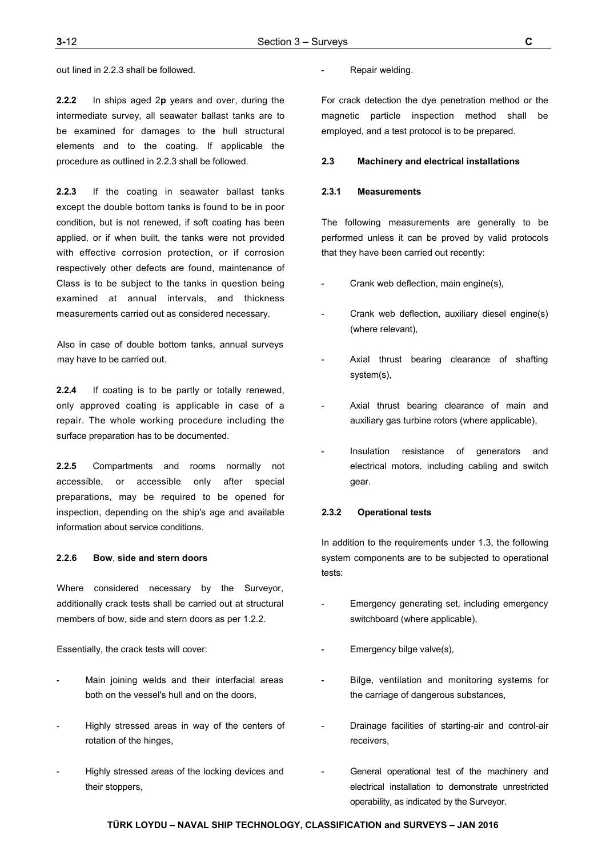**2.2.2** In ships aged 2**p** years and over, during the intermediate survey, all seawater ballast tanks are to be examined for damages to the hull structural elements and to the coating. If applicable the procedure as outlined in 2.2.3 shall be followed.

**2.2.3** If the coating in seawater ballast tanks except the double bottom tanks is found to be in poor condition, but is not renewed, if soft coating has been applied, or if when built, the tanks were not provided with effective corrosion protection, or if corrosion respectively other defects are found, maintenance of Class is to be subject to the tanks in question being examined at annual intervals, and thickness measurements carried out as considered necessary.

Also in case of double bottom tanks, annual surveys may have to be carried out.

**2.2.4** If coating is to be partly or totally renewed, only approved coating is applicable in case of a repair. The whole working procedure including the surface preparation has to be documented.

**2.2.5** Compartments and rooms normally not accessible, or accessible only after special preparations, may be required to be opened for inspection, depending on the ship's age and available information about service conditions.

## **2.2.6 Bow**, **side and stern doors**

Where considered necessary by the Surveyor, additionally crack tests shall be carried out at structural members of bow, side and stern doors as per 1.2.2.

Essentially, the crack tests will cover:

- Main joining welds and their interfacial areas both on the vessel's hull and on the doors,
- Highly stressed areas in way of the centers of rotation of the hinges,
- Highly stressed areas of the locking devices and their stoppers,

Repair welding.

For crack detection the dye penetration method or the magnetic particle inspection method shall be employed, and a test protocol is to be prepared.

#### **2.3 Machinery and electrical installations**

#### **2.3.1 Measurements**

The following measurements are generally to be performed unless it can be proved by valid protocols that they have been carried out recently:

- Crank web deflection, main engine(s),
- Crank web deflection, auxiliary diesel engine(s) (where relevant),
- Axial thrust bearing clearance of shafting system(s),
- Axial thrust bearing clearance of main and auxiliary gas turbine rotors (where applicable),
- Insulation resistance of generators and electrical motors, including cabling and switch gear.

### **2.3.2 Operational tests**

In addition to the requirements under 1.3, the following system components are to be subjected to operational tests:

- Emergency generating set, including emergency switchboard (where applicable),
- Emergency bilge valve(s),
- Bilge, ventilation and monitoring systems for the carriage of dangerous substances,
- Drainage facilities of starting-air and control-air receivers,
- General operational test of the machinery and electrical installation to demonstrate unrestricted operability, as indicated by the Surveyor.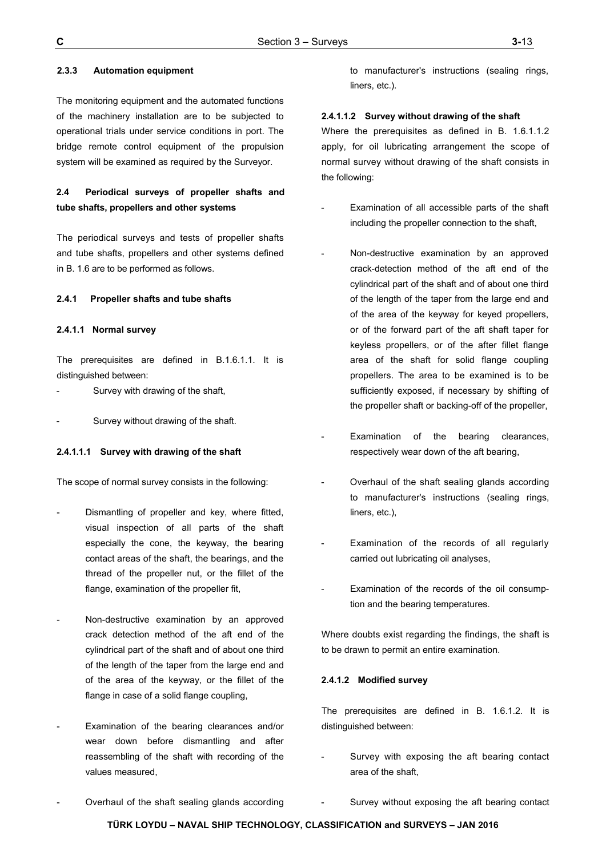## **2.3.3 Automation equipment**

The monitoring equipment and the automated functions of the machinery installation are to be subjected to operational trials under service conditions in port. The bridge remote control equipment of the propulsion system will be examined as required by the Surveyor.

# **2.4 Periodical surveys of propeller shafts and tube shafts, propellers and other systems**

The periodical surveys and tests of propeller shafts and tube shafts, propellers and other systems defined in B. 1.6 are to be performed as follows.

#### **2.4.1 Propeller shafts and tube shafts**

#### **2.4.1.1 Normal survey**

The prerequisites are defined in B.1.6.1.1. It is distinguished between:

Survey with drawing of the shaft,

Survey without drawing of the shaft.

## **2.4.1.1.1 Survey with drawing of the shaft**

The scope of normal survey consists in the following:

- Dismantling of propeller and key, where fitted, visual inspection of all parts of the shaft especially the cone, the keyway, the bearing contact areas of the shaft, the bearings, and the thread of the propeller nut, or the fillet of the flange, examination of the propeller fit,
- Non-destructive examination by an approved crack detection method of the aft end of the cylindrical part of the shaft and of about one third of the length of the taper from the large end and of the area of the keyway, or the fillet of the flange in case of a solid flange coupling,
- Examination of the bearing clearances and/or wear down before dismantling and after reassembling of the shaft with recording of the values measured,

to manufacturer's instructions (sealing rings, liners, etc.).

#### **2.4.1.1.2 Survey without drawing of the shaft**

Where the prerequisites as defined in B. 1.6.1.1.2 apply, for oil lubricating arrangement the scope of normal survey without drawing of the shaft consists in the following:

- Examination of all accessible parts of the shaft including the propeller connection to the shaft,
- Non-destructive examination by an approved crack-detection method of the aft end of the cylindrical part of the shaft and of about one third of the length of the taper from the large end and of the area of the keyway for keyed propellers, or of the forward part of the aft shaft taper for keyless propellers, or of the after fillet flange area of the shaft for solid flange coupling propellers. The area to be examined is to be sufficiently exposed, if necessary by shifting of the propeller shaft or backing-off of the propeller,
- Examination of the bearing clearances, respectively wear down of the aft bearing,
- Overhaul of the shaft sealing glands according to manufacturer's instructions (sealing rings, liners, etc.),
- Examination of the records of all regularly carried out lubricating oil analyses,
- Examination of the records of the oil consumption and the bearing temperatures.

Where doubts exist regarding the findings, the shaft is to be drawn to permit an entire examination.

#### **2.4.1.2 Modified survey**

The prerequisites are defined in B. 1.6.1.2. It is distinguished between:

- Survey with exposing the aft bearing contact area of the shaft,
- Overhaul of the shaft sealing glands according
- Survey without exposing the aft bearing contact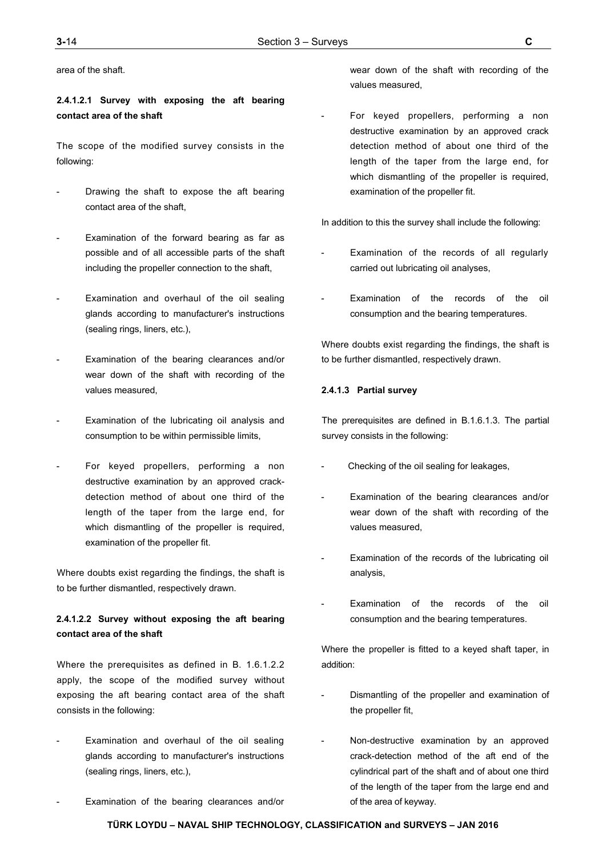area of the shaft.

# **2.4.1.2.1 Survey with exposing the aft bearing contact area of the shaft**

The scope of the modified survey consists in the following:

- Drawing the shaft to expose the aft bearing contact area of the shaft,
- Examination of the forward bearing as far as possible and of all accessible parts of the shaft including the propeller connection to the shaft,
- Examination and overhaul of the oil sealing glands according to manufacturer's instructions (sealing rings, liners, etc.),
- Examination of the bearing clearances and/or wear down of the shaft with recording of the values measured,
- Examination of the lubricating oil analysis and consumption to be within permissible limits,
- For keyed propellers, performing a non destructive examination by an approved crackdetection method of about one third of the length of the taper from the large end, for which dismantling of the propeller is required, examination of the propeller fit.

Where doubts exist regarding the findings, the shaft is to be further dismantled, respectively drawn.

# **2.4.1.2.2 Survey without exposing the aft bearing contact area of the shaft**

Where the prerequisites as defined in B. 1.6.1.2.2 apply, the scope of the modified survey without exposing the aft bearing contact area of the shaft consists in the following:

- Examination and overhaul of the oil sealing glands according to manufacturer's instructions (sealing rings, liners, etc.),
- Examination of the bearing clearances and/or

wear down of the shaft with recording of the values measured,

For keyed propellers, performing a non destructive examination by an approved crack detection method of about one third of the length of the taper from the large end, for which dismantling of the propeller is required, examination of the propeller fit.

In addition to this the survey shall include the following:

- Examination of the records of all regularly carried out lubricating oil analyses,
- Examination of the records of the oil consumption and the bearing temperatures.

Where doubts exist regarding the findings, the shaft is to be further dismantled, respectively drawn.

## **2.4.1.3 Partial survey**

The prerequisites are defined in B.1.6.1.3. The partial survey consists in the following:

- Checking of the oil sealing for leakages,
- Examination of the bearing clearances and/or wear down of the shaft with recording of the values measured,
- Examination of the records of the lubricating oil analysis,
- Examination of the records of the oil consumption and the bearing temperatures.

Where the propeller is fitted to a keyed shaft taper, in addition:

- Dismantling of the propeller and examination of the propeller fit,
- Non-destructive examination by an approved crack-detection method of the aft end of the cylindrical part of the shaft and of about one third of the length of the taper from the large end and of the area of keyway.

**TÜRK LOYDU – NAVAL SHIP TECHNOLOGY, CLASSIFICATION and SURVEYS – JAN 2016**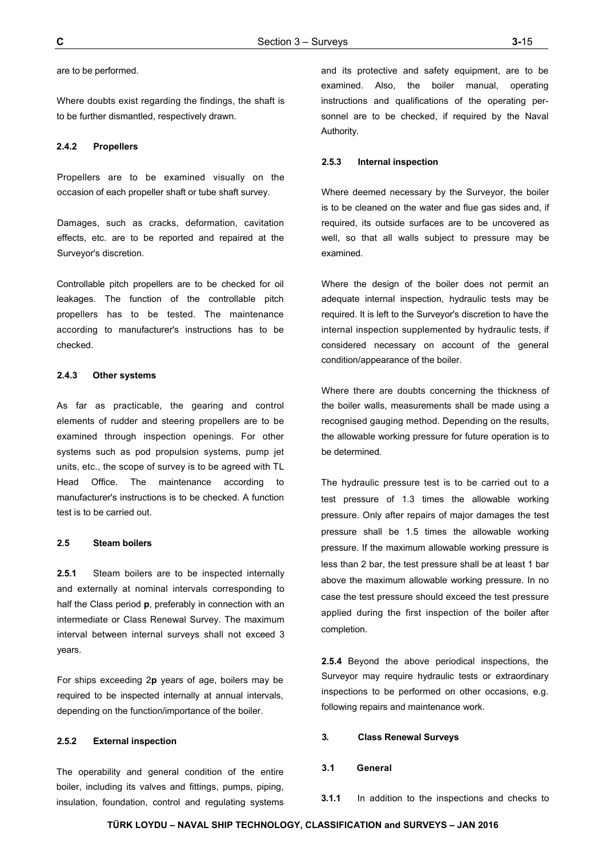Where doubts exist regarding the findings, the shaft is to be further dismantled, respectively drawn.

## **2.4.2 Propellers**

Propellers are to be examined visually on the occasion of each propeller shaft or tube shaft survey.

Damages, such as cracks, deformation, cavitation effects, etc. are to be reported and repaired at the Surveyor's discretion.

Controllable pitch propellers are to be checked for oil leakages. The function of the controllable pitch propellers has to be tested. The maintenance according to manufacturer's instructions has to be checked.

## **2.4.3 Other systems**

As far as practicable, the gearing and control elements of rudder and steering propellers are to be examined through inspection openings. For other systems such as pod propulsion systems, pump jet units, etc., the scope of survey is to be agreed with TL Head Office. The maintenance according to manufacturer's instructions is to be checked. A function test is to be carried out.

## **2.5 Steam boilers**

**2.5.1** Steam boilers are to be inspected internally and externally at nominal intervals corresponding to half the Class period **p**, preferably in connection with an intermediate or Class Renewal Survey. The maximum interval between internal surveys shall not exceed 3 years.

For ships exceeding 2**p** years of age, boilers may be required to be inspected internally at annual intervals, depending on the function/importance of the boiler.

#### **2.5.2 External inspection**

The operability and general condition of the entire boiler, including its valves and fittings, pumps, piping, insulation, foundation, control and regulating systems

and its protective and safety equipment, are to be examined. Also, the boiler manual, operating instructions and qualifications of the operating personnel are to be checked, if required by the Naval Authority.

#### **2.5.3 Internal inspection**

Where deemed necessary by the Surveyor, the boiler is to be cleaned on the water and flue gas sides and, if required, its outside surfaces are to be uncovered as well, so that all walls subject to pressure may be examined.

Where the design of the boiler does not permit an adequate internal inspection, hydraulic tests may be required. It is left to the Surveyor's discretion to have the internal inspection supplemented by hydraulic tests, if considered necessary on account of the general condition/appearance of the boiler.

Where there are doubts concerning the thickness of the boiler walls, measurements shall be made using a recognised gauging method. Depending on the results, the allowable working pressure for future operation is to be determined.

The hydraulic pressure test is to be carried out to a test pressure of 1.3 times the allowable working pressure. Only after repairs of major damages the test pressure shall be 1.5 times the allowable working pressure. If the maximum allowable working pressure is less than 2 bar, the test pressure shall be at least 1 bar above the maximum allowable working pressure. In no case the test pressure should exceed the test pressure applied during the first inspection of the boiler after completion.

**2.5.4** Beyond the above periodical inspections, the Surveyor may require hydraulic tests or extraordinary inspections to be performed on other occasions, e.g. following repairs and maintenance work.

#### **3. Class Renewal Surveys**

#### **3.1 General**

**3.1.1** In addition to the inspections and checks to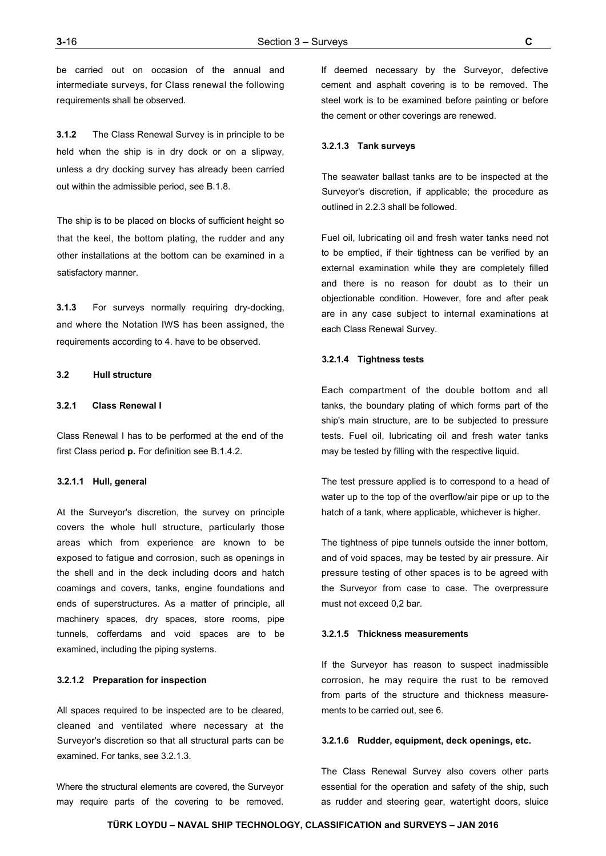be carried out on occasion of the annual and intermediate surveys, for Class renewal the following requirements shall be observed.

**3.1.2** The Class Renewal Survey is in principle to be held when the ship is in dry dock or on a slipway, unless a dry docking survey has already been carried out within the admissible period, see B.1.8.

The ship is to be placed on blocks of sufficient height so that the keel, the bottom plating, the rudder and any other installations at the bottom can be examined in a satisfactory manner.

**3.1.3** For surveys normally requiring dry-docking, and where the Notation IWS has been assigned, the requirements according to 4. have to be observed.

## **3.2 Hull structure**

## **3.2.1 Class Renewal I**

Class Renewal I has to be performed at the end of the first Class period **p.** For definition see B.1.4.2.

#### **3.2.1.1 Hull, general**

At the Surveyor's discretion, the survey on principle covers the whole hull structure, particularly those areas which from experience are known to be exposed to fatigue and corrosion, such as openings in the shell and in the deck including doors and hatch coamings and covers, tanks, engine foundations and ends of superstructures. As a matter of principle, all machinery spaces, dry spaces, store rooms, pipe tunnels, cofferdams and void spaces are to be examined, including the piping systems.

## **3.2.1.2 Preparation for inspection**

All spaces required to be inspected are to be cleared, cleaned and ventilated where necessary at the Surveyor's discretion so that all structural parts can be examined. For tanks, see 3.2.1.3.

Where the structural elements are covered, the Surveyor may require parts of the covering to be removed.

If deemed necessary by the Surveyor, defective cement and asphalt covering is to be removed. The steel work is to be examined before painting or before the cement or other coverings are renewed.

#### **3.2.1.3 Tank surveys**

The seawater ballast tanks are to be inspected at the Surveyor's discretion, if applicable; the procedure as outlined in 2.2.3 shall be followed.

Fuel oil, lubricating oil and fresh water tanks need not to be emptied, if their tightness can be verified by an external examination while they are completely filled and there is no reason for doubt as to their un objectionable condition. However, fore and after peak are in any case subject to internal examinations at each Class Renewal Survey.

#### **3.2.1.4 Tightness tests**

Each compartment of the double bottom and all tanks, the boundary plating of which forms part of the ship's main structure, are to be subjected to pressure tests. Fuel oil, lubricating oil and fresh water tanks may be tested by filling with the respective liquid.

The test pressure applied is to correspond to a head of water up to the top of the overflow/air pipe or up to the hatch of a tank, where applicable, whichever is higher.

The tightness of pipe tunnels outside the inner bottom, and of void spaces, may be tested by air pressure. Air pressure testing of other spaces is to be agreed with the Surveyor from case to case. The overpressure must not exceed 0,2 bar.

#### **3.2.1.5 Thickness measurements**

If the Surveyor has reason to suspect inadmissible corrosion, he may require the rust to be removed from parts of the structure and thickness measurements to be carried out, see 6.

#### **3.2.1.6 Rudder, equipment, deck openings, etc.**

The Class Renewal Survey also covers other parts essential for the operation and safety of the ship, such as rudder and steering gear, watertight doors, sluice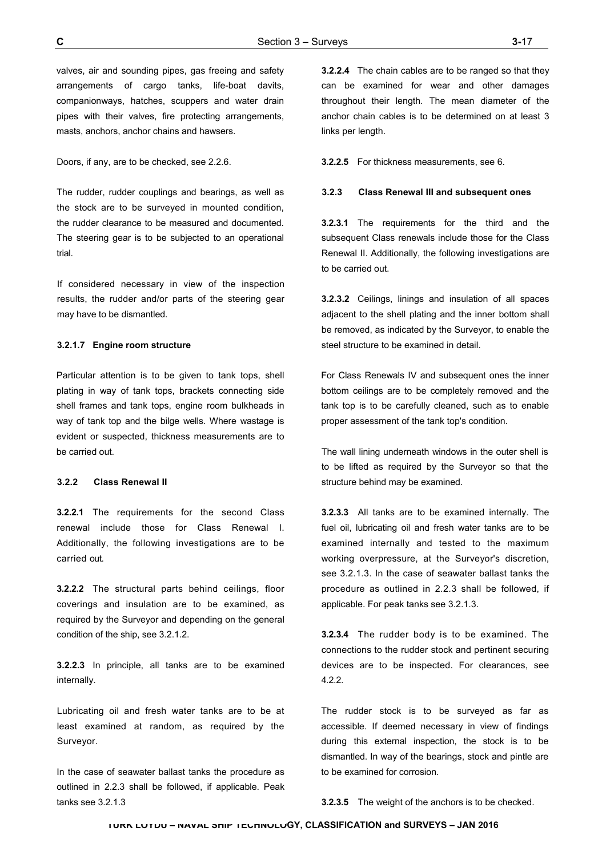valves, air and sounding pipes, gas freeing and safety arrangements of cargo tanks, life-boat davits, companionways, hatches, scuppers and water drain pipes with their valves, fire protecting arrangements, masts, anchors, anchor chains and hawsers.

Doors, if any, are to be checked, see 2.2.6.

The rudder, rudder couplings and bearings, as well as the stock are to be surveyed in mounted condition, the rudder clearance to be measured and documented. The steering gear is to be subjected to an operational trial.

If considered necessary in view of the inspection results, the rudder and/or parts of the steering gear may have to be dismantled.

#### **3.2.1.7 Engine room structure**

Particular attention is to be given to tank tops, shell plating in way of tank tops, brackets connecting side shell frames and tank tops, engine room bulkheads in way of tank top and the bilge wells. Where wastage is evident or suspected, thickness measurements are to be carried out.

#### **3.2.2 Class Renewal II**

**3.2.2.1** The requirements for the second Class renewal include those for Class Renewal I. Additionally, the following investigations are to be carried out.

**3.2.2.2** The structural parts behind ceilings, floor coverings and insulation are to be examined, as required by the Surveyor and depending on the general condition of the ship, see 3.2.1.2.

**3.2.2.3** In principle, all tanks are to be examined internally.

Lubricating oil and fresh water tanks are to be at least examined at random, as required by the Surveyor.

In the case of seawater ballast tanks the procedure as outlined in 2.2.3 shall be followed, if applicable. Peak tanks see 3.2.1.3

**3.2.2.4** The chain cables are to be ranged so that they can be examined for wear and other damages throughout their length. The mean diameter of the anchor chain cables is to be determined on at least 3 links per length.

**3.2.2.5** For thickness measurements, see 6.

#### **3.2.3 Class Renewal III and subsequent ones**

**3.2.3.1** The requirements for the third and the subsequent Class renewals include those for the Class Renewal II. Additionally, the following investigations are to be carried out.

**3.2.3.2** Ceilings, linings and insulation of all spaces adjacent to the shell plating and the inner bottom shall be removed, as indicated by the Surveyor, to enable the steel structure to be examined in detail.

For Class Renewals IV and subsequent ones the inner bottom ceilings are to be completely removed and the tank top is to be carefully cleaned, such as to enable proper assessment of the tank top's condition.

The wall lining underneath windows in the outer shell is to be lifted as required by the Surveyor so that the structure behind may be examined.

**3.2.3.3** All tanks are to be examined internally. The fuel oil, lubricating oil and fresh water tanks are to be examined internally and tested to the maximum working overpressure, at the Surveyor's discretion, see 3.2.1.3. In the case of seawater ballast tanks the procedure as outlined in 2.2.3 shall be followed, if applicable. For peak tanks see 3.2.1.3.

**3.2.3.4** The rudder body is to be examined. The connections to the rudder stock and pertinent securing devices are to be inspected. For clearances, see 4.2.2.

The rudder stock is to be surveyed as far as accessible. If deemed necessary in view of findings during this external inspection, the stock is to be dismantled. In way of the bearings, stock and pintle are to be examined for corrosion.

**3.2.3.5** The weight of the anchors is to be checked.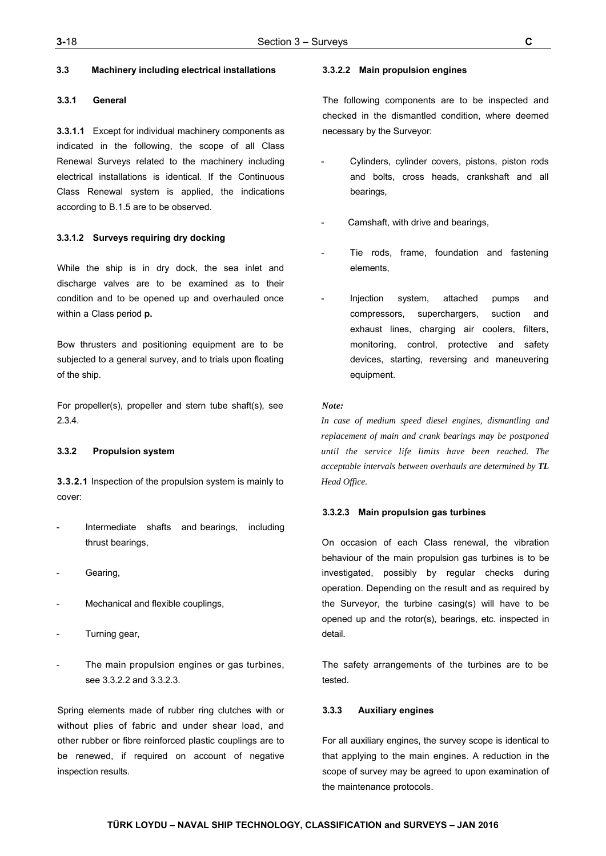## **3.3 Machinery including electrical installations**

## **3.3.1 General**

**3.3.1.1** Except for individual machinery components as indicated in the following, the scope of all Class Renewal Surveys related to the machinery including electrical installations is identical. If the Continuous Class Renewal system is applied, the indications according to B.1.5 are to be observed.

## **3.3.1.2 Surveys requiring dry docking**

While the ship is in dry dock, the sea inlet and discharge valves are to be examined as to their condition and to be opened up and overhauled once within a Class period **p.**

Bow thrusters and positioning equipment are to be subjected to a general survey, and to trials upon floating of the ship.

For propeller(s), propeller and stern tube shaft(s), see 2.3.4.

## **3.3.2 Propulsion system**

**3.3.2.1** Inspection of the propulsion system is mainly to cover:

- Intermediate shafts and bearings, including thrust bearings,
- Gearing,
- Mechanical and flexible couplings,
- Turning gear,
- The main propulsion engines or gas turbines, see 3.3.2.2 and 3.3.2.3.

Spring elements made of rubber ring clutches with or without plies of fabric and under shear load, and other rubber or fibre reinforced plastic couplings are to be renewed, if required on account of negative inspection results.

### **3.3.2.2 Main propulsion engines**

The following components are to be inspected and checked in the dismantled condition, where deemed necessary by the Surveyor:

- Cylinders, cylinder covers, pistons, piston rods and bolts, cross heads, crankshaft and all bearings,
- Camshaft, with drive and bearings,
- Tie rods, frame, foundation and fastening elements,
- Injection system, attached pumps and compressors, superchargers, suction and exhaust lines, charging air coolers, filters, monitoring, control, protective and safety devices, starting, reversing and maneuvering equipment.

#### *Note:*

*In case of medium speed diesel engines, dismantling and replacement of main and crank bearings may be postponed until the service life limits have been reached. The acceptable intervals between overhauls are determined by TL Head Office.*

#### **3.3.2.3 Main propulsion gas turbines**

On occasion of each Class renewal, the vibration behaviour of the main propulsion gas turbines is to be investigated, possibly by regular checks during operation. Depending on the result and as required by the Surveyor, the turbine casing(s) will have to be opened up and the rotor(s), bearings, etc. inspected in detail.

The safety arrangements of the turbines are to be tested.

## **3.3.3 Auxiliary engines**

For all auxiliary engines, the survey scope is identical to that applying to the main engines. A reduction in the scope of survey may be agreed to upon examination of the maintenance protocols.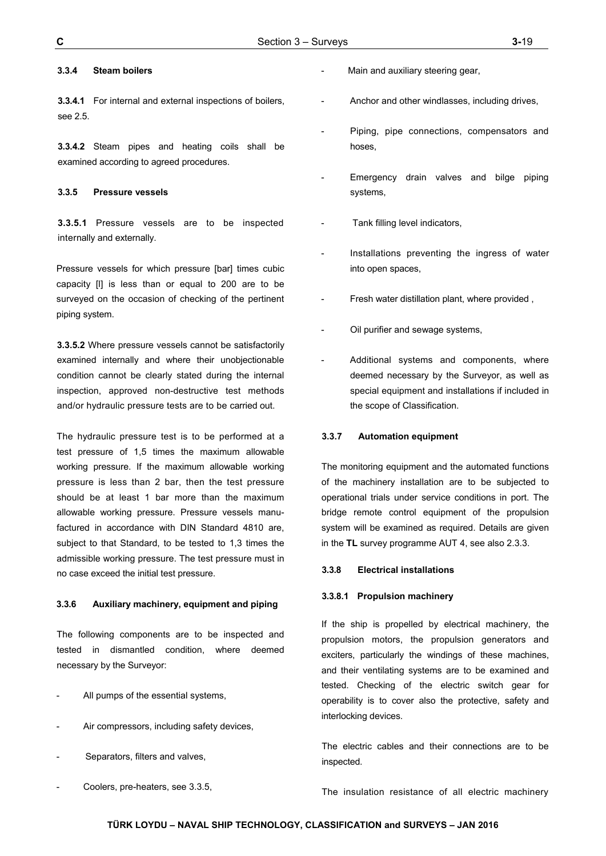## **3.3.4 Steam boilers**

**3.3.4.1** For internal and external inspections of boilers, see 2.5.

**3.3.4.2** Steam pipes and heating coils shall be examined according to agreed procedures.

## **3.3.5 Pressure vessels**

**3.3.5.1** Pressure vessels are to be inspected internally and externally.

Pressure vessels for which pressure [bar] times cubic capacity [l] is less than or equal to 200 are to be surveyed on the occasion of checking of the pertinent piping system.

**3.3.5.2** Where pressure vessels cannot be satisfactorily examined internally and where their unobjectionable condition cannot be clearly stated during the internal inspection, approved non-destructive test methods and/or hydraulic pressure tests are to be carried out.

The hydraulic pressure test is to be performed at a test pressure of 1,5 times the maximum allowable working pressure. If the maximum allowable working pressure is less than 2 bar, then the test pressure should be at least 1 bar more than the maximum allowable working pressure. Pressure vessels manufactured in accordance with DIN Standard 4810 are, subject to that Standard, to be tested to 1,3 times the admissible working pressure. The test pressure must in no case exceed the initial test pressure.

#### **3.3.6 Auxiliary machinery, equipment and piping**

The following components are to be inspected and tested in dismantled condition, where deemed necessary by the Surveyor:

- All pumps of the essential systems,
- Air compressors, including safety devices,
- Separators, filters and valves,
- Coolers, pre-heaters, see 3.3.5,
- Main and auxiliary steering gear,
- Anchor and other windlasses, including drives,
- Piping, pipe connections, compensators and hoses,
- Emergency drain valves and bilge piping systems,
- Tank filling level indicators,
- Installations preventing the ingress of water into open spaces,
- Fresh water distillation plant, where provided,
- Oil purifier and sewage systems,
- Additional systems and components, where deemed necessary by the Surveyor, as well as special equipment and installations if included in the scope of Classification.

#### **3.3.7 Automation equipment**

The monitoring equipment and the automated functions of the machinery installation are to be subjected to operational trials under service conditions in port. The bridge remote control equipment of the propulsion system will be examined as required. Details are given in the **TL** survey programme AUT 4, see also 2.3.3.

#### **3.3.8 Electrical installations**

#### **3.3.8.1 Propulsion machinery**

If the ship is propelled by electrical machinery, the propulsion motors, the propulsion generators and exciters, particularly the windings of these machines, and their ventilating systems are to be examined and tested. Checking of the electric switch gear for operability is to cover also the protective, safety and interlocking devices.

The electric cables and their connections are to be inspected.

The insulation resistance of all electric machinery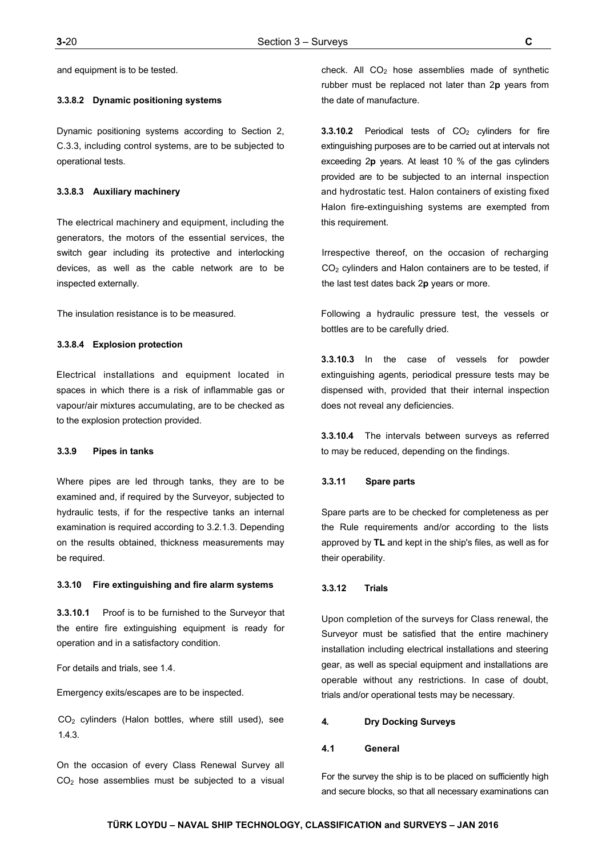and equipment is to be tested.

#### **3.3.8.2 Dynamic positioning systems**

Dynamic positioning systems according to Section 2, C.3.3, including control systems, are to be subjected to operational tests.

#### **3.3.8.3 Auxiliary machinery**

The electrical machinery and equipment, including the generators, the motors of the essential services, the switch gear including its protective and interlocking devices, as well as the cable network are to be inspected externally.

The insulation resistance is to be measured.

#### **3.3.8.4 Explosion protection**

Electrical installations and equipment located in spaces in which there is a risk of inflammable gas or vapour/air mixtures accumulating, are to be checked as to the explosion protection provided.

## **3.3.9 Pipes in tanks**

Where pipes are led through tanks, they are to be examined and, if required by the Surveyor, subjected to hydraulic tests, if for the respective tanks an internal examination is required according to 3.2.1.3. Depending on the results obtained, thickness measurements may be required.

#### **3.3.10 Fire extinguishing and fire alarm systems**

**3.3.10.1** Proof is to be furnished to the Surveyor that the entire fire extinguishing equipment is ready for operation and in a satisfactory condition.

For details and trials, see 1.4.

Emergency exits/escapes are to be inspected.

CO2 cylinders (Halon bottles, where still used), see 1.4.3.

On the occasion of every Class Renewal Survey all  $CO<sub>2</sub>$  hose assemblies must be subjected to a visual check. All  $CO<sub>2</sub>$  hose assemblies made of synthetic rubber must be replaced not later than 2**p** years from the date of manufacture.

**3.3.10.2** Periodical tests of CO<sub>2</sub> cylinders for fire extinguishing purposes are to be carried out at intervals not exceeding 2**p** years. At least 10 % of the gas cylinders provided are to be subjected to an internal inspection and hydrostatic test. Halon containers of existing fixed Halon fire-extinguishing systems are exempted from this requirement.

Irrespective thereof, on the occasion of recharging CO<sub>2</sub> cylinders and Halon containers are to be tested, if the last test dates back 2**p** years or more.

Following a hydraulic pressure test, the vessels or bottles are to be carefully dried.

**3.3.10.3** In the case of vessels for powder extinguishing agents, periodical pressure tests may be dispensed with, provided that their internal inspection does not reveal any deficiencies.

**3.3.10.4** The intervals between surveys as referred to may be reduced, depending on the findings.

#### **3.3.11 Spare parts**

Spare parts are to be checked for completeness as per the Rule requirements and/or according to the lists approved by **TL** and kept in the ship's files, as well as for their operability.

## **3.3.12 Trials**

Upon completion of the surveys for Class renewal, the Surveyor must be satisfied that the entire machinery installation including electrical installations and steering gear, as well as special equipment and installations are operable without any restrictions. In case of doubt, trials and/or operational tests may be necessary.

## **4. Dry Docking Surveys**

#### **4.1 General**

For the survey the ship is to be placed on sufficiently high and secure blocks, so that all necessary examinations can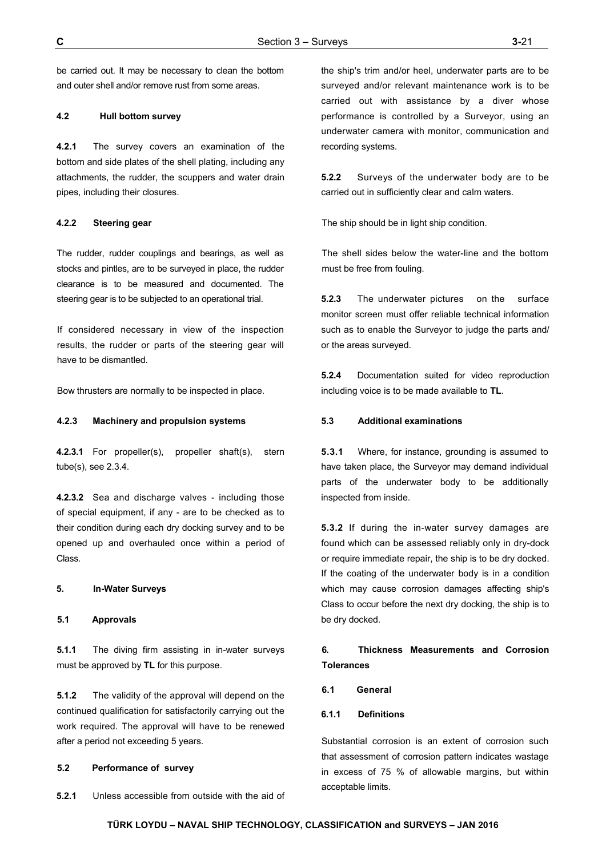be carried out. It may be necessary to clean the bottom and outer shell and/or remove rust from some areas.

## **4.2 Hull bottom survey**

**4.2.1** The survey covers an examination of the bottom and side plates of the shell plating, including any attachments, the rudder, the scuppers and water drain pipes, including their closures.

#### **4.2.2 Steering gear**

The rudder, rudder couplings and bearings, as well as stocks and pintles, are to be surveyed in place, the rudder clearance is to be measured and documented. The steering gear is to be subjected to an operational trial.

If considered necessary in view of the inspection results, the rudder or parts of the steering gear will have to be dismantled.

Bow thrusters are normally to be inspected in place.

## **4.2.3 Machinery and propulsion systems**

**4.2.3.1** For propeller(s), propeller shaft(s), stern tube(s), see 2.3.4.

**4.2.3.2** Sea and discharge valves - including those of special equipment, if any - are to be checked as to their condition during each dry docking survey and to be opened up and overhauled once within a period of Class.

## **5. In-Water Surveys**

## **5.1 Approvals**

**5.1.1** The diving firm assisting in in-water surveys must be approved by **TL** for this purpose.

**5.1.2** The validity of the approval will depend on the continued qualification for satisfactorily carrying out the work required. The approval will have to be renewed after a period not exceeding 5 years.

## **5.2 Performance of survey**

**5.2.1** Unless accessible from outside with the aid of

the ship's trim and/or heel, underwater parts are to be surveyed and/or relevant maintenance work is to be carried out with assistance by a diver whose performance is controlled by a Surveyor, using an underwater camera with monitor, communication and recording systems.

**5.2.2** Surveys of the underwater body are to be carried out in sufficiently clear and calm waters.

The ship should be in light ship condition.

The shell sides below the water-line and the bottom must be free from fouling.

**5.2.3** The underwater pictures on the surface monitor screen must offer reliable technical information such as to enable the Surveyor to judge the parts and/ or the areas surveyed.

**5.2.4** Documentation suited for video reproduction including voice is to be made available to **TL**.

## **5.3 Additional examinations**

**5.3.1** Where, for instance, grounding is assumed to have taken place, the Surveyor may demand individual parts of the underwater body to be additionally inspected from inside.

**5.3.2** If during the in-water survey damages are found which can be assessed reliably only in dry-dock or require immediate repair, the ship is to be dry docked. If the coating of the underwater body is in a condition which may cause corrosion damages affecting ship's Class to occur before the next dry docking, the ship is to be dry docked.

# **6. Thickness Measurements and Corrosion Tolerances**

#### **6.1 General**

## **6.1.1 Definitions**

Substantial corrosion is an extent of corrosion such that assessment of corrosion pattern indicates wastage in excess of 75 % of allowable margins, but within acceptable limits.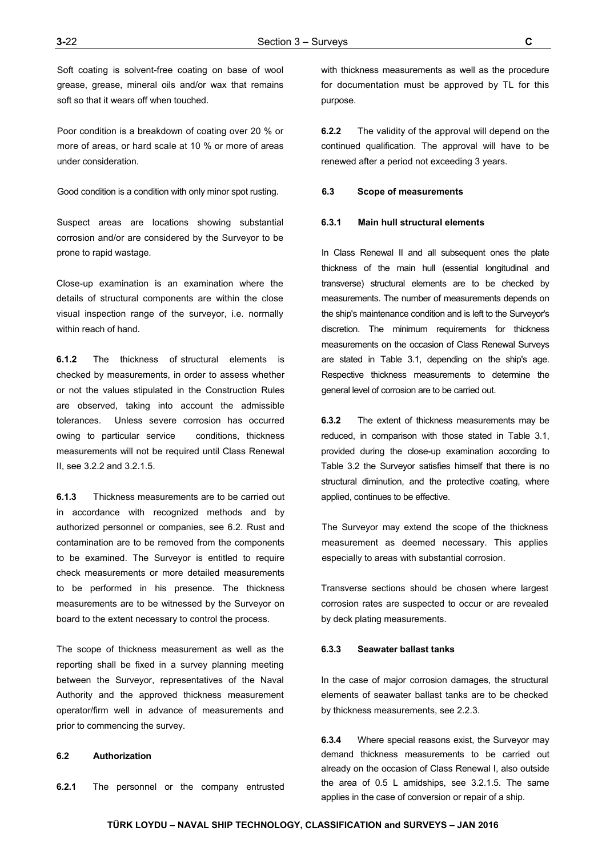Soft coating is solvent-free coating on base of wool grease, grease, mineral oils and/or wax that remains soft so that it wears off when touched.

Poor condition is a breakdown of coating over 20 % or more of areas, or hard scale at 10 % or more of areas under consideration.

Good condition is a condition with only minor spot rusting.

Suspect areas are locations showing substantial corrosion and/or are considered by the Surveyor to be prone to rapid wastage.

Close-up examination is an examination where the details of structural components are within the close visual inspection range of the surveyor, i.e. normally within reach of hand.

**6.1.2** The thickness of structural elements is checked by measurements, in order to assess whether or not the values stipulated in the Construction Rules are observed, taking into account the admissible tolerances. Unless severe corrosion has occurred owing to particular service conditions, thickness measurements will not be required until Class Renewal II, see 3.2.2 and 3.2.1.5.

**6.1.3** Thickness measurements are to be carried out in accordance with recognized methods and by authorized personnel or companies, see 6.2. Rust and contamination are to be removed from the components to be examined. The Surveyor is entitled to require check measurements or more detailed measurements to be performed in his presence. The thickness measurements are to be witnessed by the Surveyor on board to the extent necessary to control the process.

The scope of thickness measurement as well as the reporting shall be fixed in a survey planning meeting between the Surveyor, representatives of the Naval Authority and the approved thickness measurement operator/firm well in advance of measurements and prior to commencing the survey.

#### **6.2 Authorization**

**6.2.1** The personnel or the company entrusted

with thickness measurements as well as the procedure for documentation must be approved by TL for this purpose.

**6.2.2** The validity of the approval will depend on the continued qualification. The approval will have to be renewed after a period not exceeding 3 years.

#### **6.3 Scope of measurements**

#### **6.3.1 Main hull structural elements**

In Class Renewal II and all subsequent ones the plate thickness of the main hull (essential longitudinal and transverse) structural elements are to be checked by measurements. The number of measurements depends on the ship's maintenance condition and is left to the Surveyor's discretion. The minimum requirements for thickness measurements on the occasion of Class Renewal Surveys are stated in Table 3.1, depending on the ship's age. Respective thickness measurements to determine the general level of corrosion are to be carried out.

**6.3.2** The extent of thickness measurements may be reduced, in comparison with those stated in Table 3.1, provided during the close-up examination according to Table 3.2 the Surveyor satisfies himself that there is no structural diminution, and the protective coating, where applied, continues to be effective.

The Surveyor may extend the scope of the thickness measurement as deemed necessary. This applies especially to areas with substantial corrosion.

Transverse sections should be chosen where largest corrosion rates are suspected to occur or are revealed by deck plating measurements.

## **6.3.3 Seawater ballast tanks**

In the case of major corrosion damages, the structural elements of seawater ballast tanks are to be checked by thickness measurements, see 2.2.3.

**6.3.4** Where special reasons exist, the Surveyor may demand thickness measurements to be carried out already on the occasion of Class Renewal I, also outside the area of 0.5 L amidships, see 3.2.1.5. The same applies in the case of conversion or repair of a ship.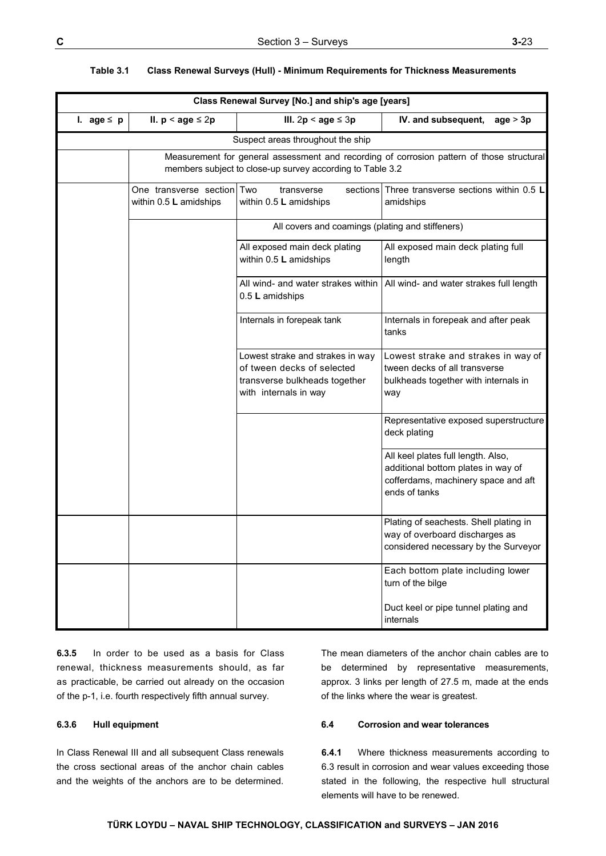| Class Renewal Survey [No.] and ship's age [years] |                                                      |                                                                                                                          |                                                                                                                                  |
|---------------------------------------------------|------------------------------------------------------|--------------------------------------------------------------------------------------------------------------------------|----------------------------------------------------------------------------------------------------------------------------------|
| I. age $\leq$ p                                   | II. $p <$ age $\leq 2p$                              | III. $2p <$ age $\leq 3p$                                                                                                | IV. and subsequent,<br>age > 3p                                                                                                  |
|                                                   |                                                      | Suspect areas throughout the ship                                                                                        |                                                                                                                                  |
|                                                   |                                                      | members subject to close-up survey according to Table 3.2                                                                | Measurement for general assessment and recording of corrosion pattern of those structural                                        |
|                                                   | One transverse section Two<br>within 0.5 L amidships | transverse<br>within 0.5 L amidships                                                                                     | sections Three transverse sections within 0.5 L<br>amidships                                                                     |
|                                                   |                                                      | All covers and coamings (plating and stiffeners)                                                                         |                                                                                                                                  |
|                                                   |                                                      | All exposed main deck plating<br>within 0.5 L amidships                                                                  | All exposed main deck plating full<br>length                                                                                     |
|                                                   |                                                      | All wind- and water strakes within<br>0.5 L amidships                                                                    | All wind- and water strakes full length                                                                                          |
|                                                   |                                                      | Internals in forepeak tank                                                                                               | Internals in forepeak and after peak<br>tanks                                                                                    |
|                                                   |                                                      | Lowest strake and strakes in way<br>of tween decks of selected<br>transverse bulkheads together<br>with internals in way | Lowest strake and strakes in way of<br>tween decks of all transverse<br>bulkheads together with internals in<br>way              |
|                                                   |                                                      |                                                                                                                          | Representative exposed superstructure<br>deck plating                                                                            |
|                                                   |                                                      |                                                                                                                          | All keel plates full length. Also,<br>additional bottom plates in way of<br>cofferdams, machinery space and aft<br>ends of tanks |
|                                                   |                                                      |                                                                                                                          | Plating of seachests. Shell plating in<br>way of overboard discharges as<br>considered necessary by the Surveyor                 |
|                                                   |                                                      |                                                                                                                          | Each bottom plate including lower<br>turn of the bilge                                                                           |
|                                                   |                                                      |                                                                                                                          | Duct keel or pipe tunnel plating and<br>internals                                                                                |

#### **Table 3.1 Class Renewal Surveys (Hull) - Minimum Requirements for Thickness Measurements**

**6.3.5** In order to be used as a basis for Class renewal, thickness measurements should, as far as practicable, be carried out already on the occasion of the p-1, i.e. fourth respectively fifth annual survey.

## **6.3.6 Hull equipment**

In Class Renewal III and all subsequent Class renewals the cross sectional areas of the anchor chain cables and the weights of the anchors are to be determined.

The mean diameters of the anchor chain cables are to be determined by representative measurements, approx. 3 links per length of 27.5 m, made at the ends of the links where the wear is greatest.

## **6.4 Corrosion and wear tolerances**

**6.4.1** Where thickness measurements according to 6.3 result in corrosion and wear values exceeding those stated in the following, the respective hull structural elements will have to be renewed.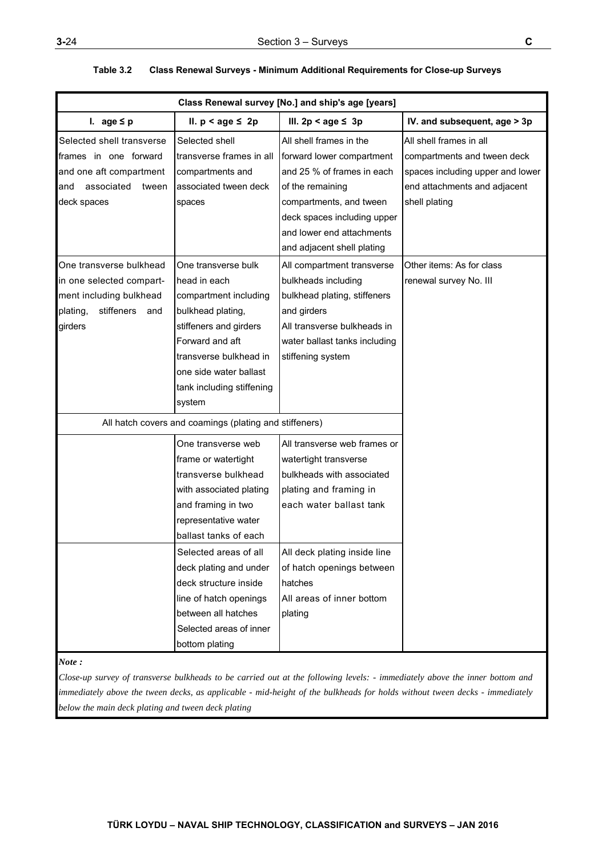|                                                                                                                            | Class Renewal survey [No.] and ship's age [years]                                                                                                                                                                                                                                                                                            |                                                                                                                                                                                                                                                         |                                                                                                                                             |  |
|----------------------------------------------------------------------------------------------------------------------------|----------------------------------------------------------------------------------------------------------------------------------------------------------------------------------------------------------------------------------------------------------------------------------------------------------------------------------------------|---------------------------------------------------------------------------------------------------------------------------------------------------------------------------------------------------------------------------------------------------------|---------------------------------------------------------------------------------------------------------------------------------------------|--|
| I. age $\leq p$                                                                                                            | II. $p < age \leq 2p$                                                                                                                                                                                                                                                                                                                        | III. $2p < age \leq 3p$                                                                                                                                                                                                                                 | IV. and subsequent, age > 3p                                                                                                                |  |
| Selected shell transverse<br>frames in one forward<br>and one aft compartment<br>associated<br>tween<br>and<br>deck spaces | Selected shell<br>transverse frames in all<br>compartments and<br>associated tween deck<br>spaces                                                                                                                                                                                                                                            | All shell frames in the<br>forward lower compartment<br>and 25 % of frames in each<br>of the remaining<br>compartments, and tween<br>deck spaces including upper<br>and lower end attachments<br>and adjacent shell plating                             | All shell frames in all<br>compartments and tween deck<br>spaces including upper and lower<br>end attachments and adjacent<br>shell plating |  |
| One transverse bulkhead<br>in one selected compart-<br>ment including bulkhead<br>stiffeners<br>plating,<br>and<br>girders | One transverse bulk<br>head in each<br>compartment including<br>bulkhead plating,<br>stiffeners and girders<br>Forward and aft<br>transverse bulkhead in<br>one side water ballast<br>tank including stiffening<br>system                                                                                                                    | All compartment transverse<br>bulkheads including<br>bulkhead plating, stiffeners<br>and girders<br>All transverse bulkheads in<br>water ballast tanks including<br>stiffening system                                                                   | Other items: As for class<br>renewal survey No. III                                                                                         |  |
|                                                                                                                            | All hatch covers and coamings (plating and stiffeners)                                                                                                                                                                                                                                                                                       |                                                                                                                                                                                                                                                         |                                                                                                                                             |  |
|                                                                                                                            | One transverse web<br>frame or watertight<br>transverse bulkhead<br>with associated plating<br>and framing in two<br>representative water<br>ballast tanks of each<br>Selected areas of all<br>deck plating and under<br>deck structure inside<br>line of hatch openings<br>between all hatches<br>Selected areas of inner<br>bottom plating | All transverse web frames or<br>watertight transverse<br>bulkheads with associated<br>plating and framing in<br>each water ballast tank<br>All deck plating inside line<br>of hatch openings between<br>hatches<br>All areas of inner bottom<br>plating |                                                                                                                                             |  |

## **Table 3.2 Class Renewal Surveys - Minimum Additional Requirements for Close-up Surveys**

#### *Note :*

*Close-up survey of transverse bulkheads to be carried out at the following levels: - immediately above the inner bottom and immediately above the tween decks, as applicable - mid-height of the bulkheads for holds without tween decks - immediately below the main deck plating and tween deck plating*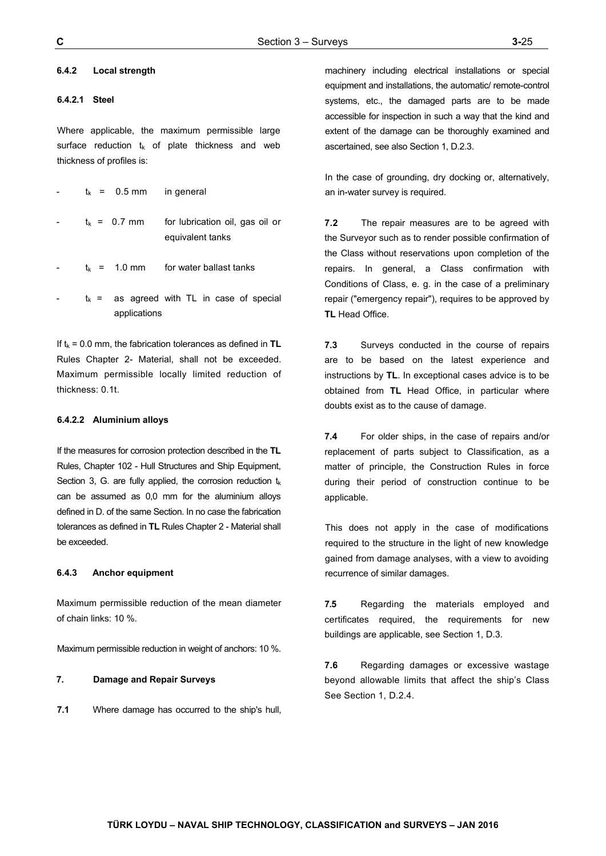#### **6.4.2 Local strength**

#### **6.4.2.1 Steel**

Where applicable, the maximum permissible large surface reduction  $t_k$  of plate thickness and web thickness of profiles is:

| $t_k$ = 0.5 mm in general |                                                     |
|---------------------------|-----------------------------------------------------|
| $t_{k}$ = 0.7 mm          | for lubrication oil, gas oil or<br>equivalent tanks |
|                           | $t_{k}$ = 1.0 mm for water ballast tanks            |
| applications              | $t_k$ = as agreed with TL in case of special        |

If  $t_k$  = 0.0 mm, the fabrication tolerances as defined in  $TL$ Rules Chapter 2- Material, shall not be exceeded. Maximum permissible locally limited reduction of thickness: 0.1t.

#### **6.4.2.2 Aluminium alloys**

If the measures for corrosion protection described in the **TL** Rules, Chapter 102 - Hull Structures and Ship Equipment, Section 3, G. are fully applied, the corrosion reduction  $t_k$ can be assumed as 0,0 mm for the aluminium alloys defined in D. of the same Section. In no case the fabrication tolerances as defined in **TL** Rules Chapter 2 - Material shall be exceeded.

#### **6.4.3 Anchor equipment**

Maximum permissible reduction of the mean diameter of chain links: 10 %.

Maximum permissible reduction in weight of anchors: 10 %.

## **7. Damage and Repair Surveys**

**7.1** Where damage has occurred to the ship's hull,

machinery including electrical installations or special equipment and installations, the automatic/ remote-control systems, etc., the damaged parts are to be made accessible for inspection in such a way that the kind and extent of the damage can be thoroughly examined and ascertained, see also Section 1, D.2.3.

In the case of grounding, dry docking or, alternatively, an in-water survey is required.

**7.2** The repair measures are to be agreed with the Surveyor such as to render possible confirmation of the Class without reservations upon completion of the repairs. In general, a Class confirmation with Conditions of Class, e. g. in the case of a preliminary repair ("emergency repair"), requires to be approved by **TL** Head Office.

**7.3** Surveys conducted in the course of repairs are to be based on the latest experience and instructions by **TL**. In exceptional cases advice is to be obtained from **TL** Head Office, in particular where doubts exist as to the cause of damage.

**7.4** For older ships, in the case of repairs and/or replacement of parts subject to Classification, as a matter of principle, the Construction Rules in force during their period of construction continue to be applicable.

This does not apply in the case of modifications required to the structure in the light of new knowledge gained from damage analyses, with a view to avoiding recurrence of similar damages.

**7.5** Regarding the materials employed and certificates required, the requirements for new buildings are applicable, see Section 1, D.3.

**7.6** Regarding damages or excessive wastage beyond allowable limits that affect the ship's Class See Section 1, D.2.4.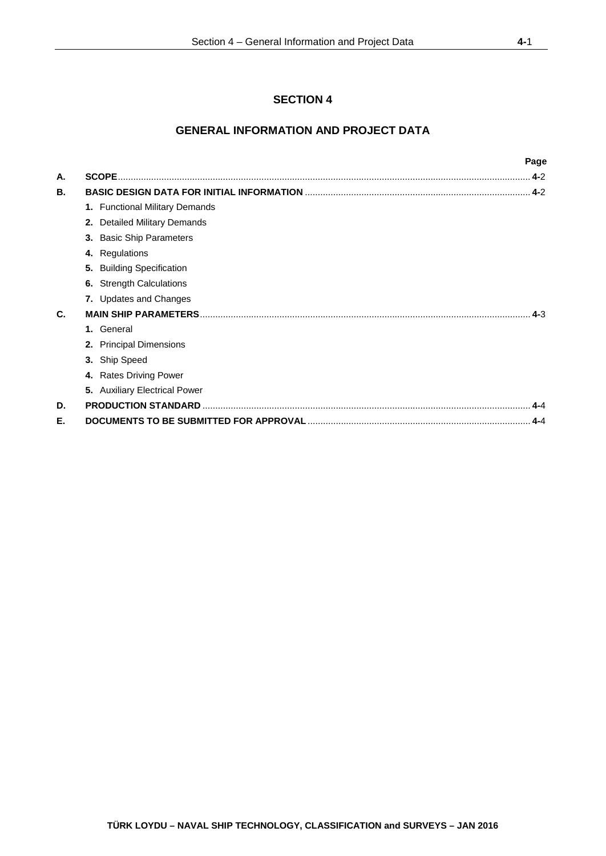# **SECTION 4**

# **GENERAL INFORMATION AND PROJECT DATA**

|    |                                        | Page    |
|----|----------------------------------------|---------|
| А. |                                        | $.4-2$  |
| В. |                                        |         |
|    | 1. Functional Military Demands         |         |
|    | <b>Detailed Military Demands</b><br>2. |         |
|    | 3. Basic Ship Parameters               |         |
|    | 4. Regulations                         |         |
|    | 5. Building Specification              |         |
|    | 6. Strength Calculations               |         |
|    | 7. Updates and Changes                 |         |
| C. |                                        | $4 - 3$ |
|    | General<br>1.                          |         |
|    | 2. Principal Dimensions                |         |
|    | 3. Ship Speed                          |         |
|    | 4. Rates Driving Power                 |         |
|    | 5. Auxiliary Electrical Power          |         |
| D. |                                        | $4 - 4$ |
| Е. |                                        | $A - A$ |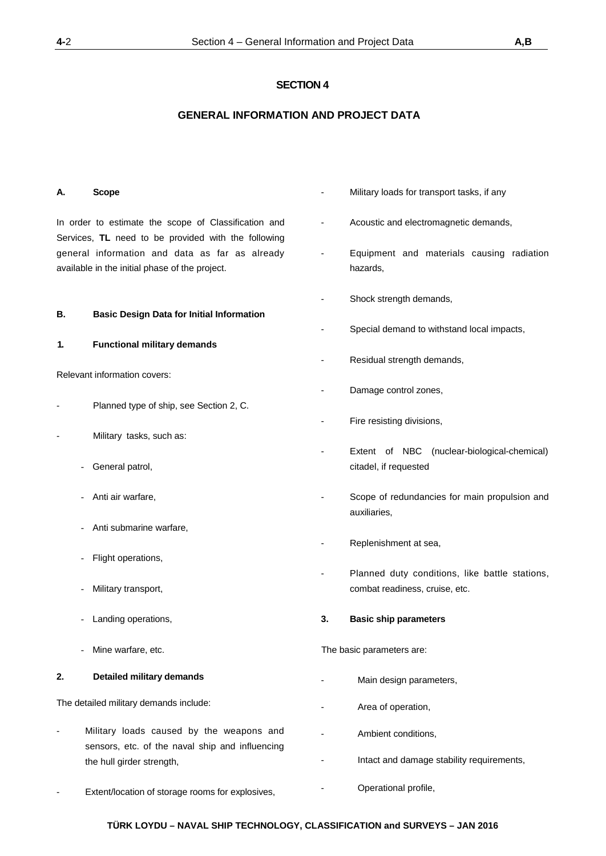# **SECTION 4**

# **GENERAL INFORMATION AND PROJECT DATA**

## **A. Scope**

In order to estimate the scope of Classification and Services, **TL** need to be provided with the following general information and data as far as already available in the initial phase of the project.

## **B. Basic Design Data for Initial Information**

## **1. Functional military demands**

Relevant information covers:

- Planned type of ship, see Section 2, C.
- Military tasks, such as:
	- General patrol,
	- Anti air warfare,
	- Anti submarine warfare,
	- Flight operations,
	- Military transport,
	- Landing operations,
	- Mine warfare, etc.

## **2. Detailed military demands**

The detailed military demands include:

Military loads caused by the weapons and sensors, etc. of the naval ship and influencing the hull girder strength,

- Military loads for transport tasks, if any
- Acoustic and electromagnetic demands,
- Equipment and materials causing radiation hazards,
- Shock strength demands,
- Special demand to withstand local impacts,
- Residual strength demands,
- Damage control zones,
- Fire resisting divisions,
- Extent of NBC (nuclear-biological-chemical) citadel, if requested
- Scope of redundancies for main propulsion and auxiliaries,
- Replenishment at sea,
- Planned duty conditions, like battle stations, combat readiness, cruise, etc.

## **3. Basic ship parameters**

The basic parameters are:

Main design parameters,

- Operational profile,

- Area of operation,
	- Ambient conditions,
	- Intact and damage stability requirements,
- Extent/location of storage rooms for explosives,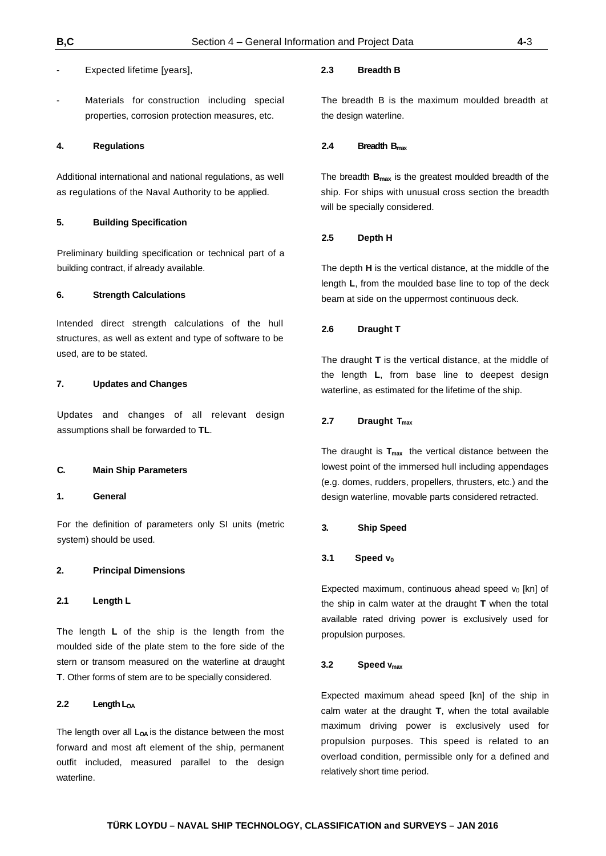Materials for construction including special properties, corrosion protection measures, etc.

#### **4. Regulations**

Additional international and national regulations, as well as regulations of the Naval Authority to be applied.

### **5. Building Specification**

Preliminary building specification or technical part of a building contract, if already available.

## **6. Strength Calculations**

Intended direct strength calculations of the hull structures, as well as extent and type of software to be used, are to be stated.

## **7. Updates and Changes**

Updates and changes of all relevant design assumptions shall be forwarded to **TL**.

#### **C. Main Ship Parameters**

## **1. General**

For the definition of parameters only SI units (metric system) should be used.

#### **2. Principal Dimensions**

**2.1 Length L**

The length **L** of the ship is the length from the moulded side of the plate stem to the fore side of the stern or transom measured on the waterline at draught **T**. Other forms of stem are to be specially considered.

## **2.2 Length LOA**

The length over all L<sub>OA</sub> is the distance between the most forward and most aft element of the ship, permanent outfit included, measured parallel to the design waterline.

## **2.3 Breadth B**

The breadth B is the maximum moulded breadth at the design waterline.

#### **2.4 Breadth Bmax**

The breadth **Bmax** is the greatest moulded breadth of the ship. For ships with unusual cross section the breadth will be specially considered.

#### **2.5 Depth H**

The depth **H** is the vertical distance, at the middle of the length **L**, from the moulded base line to top of the deck beam at side on the uppermost continuous deck.

## **2.6 Draught T**

The draught **T** is the vertical distance, at the middle of the length **L**, from base line to deepest design waterline, as estimated for the lifetime of the ship.

## 2.7 **Draught T<sub>max</sub>**

The draught is  $T_{max}$  the vertical distance between the lowest point of the immersed hull including appendages (e.g. domes, rudders, propellers, thrusters, etc.) and the design waterline, movable parts considered retracted.

#### **3. Ship Speed**

#### 3.1 Speed v<sub>0</sub>

Expected maximum, continuous ahead speed  $v_0$  [kn] of the ship in calm water at the draught **T** when the total available rated driving power is exclusively used for propulsion purposes.

## **3.2 Speed vmax**

Expected maximum ahead speed [kn] of the ship in calm water at the draught **T**, when the total available maximum driving power is exclusively used for propulsion purposes. This speed is related to an overload condition, permissible only for a defined and relatively short time period.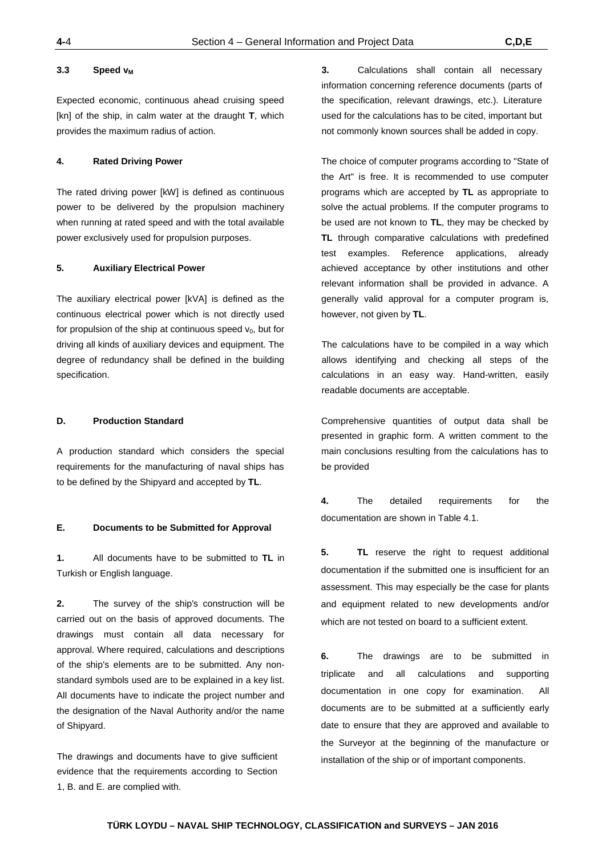#### 3.3 **Speed v<sub>M</sub>**

Expected economic, continuous ahead cruising speed [kn] of the ship, in calm water at the draught **T**, which provides the maximum radius of action.

## **4. Rated Driving Power**

The rated driving power [kW] is defined as continuous power to be delivered by the propulsion machinery when running at rated speed and with the total available power exclusively used for propulsion purposes.

#### **5. Auxiliary Electrical Power**

The auxiliary electrical power [kVA] is defined as the continuous electrical power which is not directly used for propulsion of the ship at continuous speed  $v_0$ , but for driving all kinds of auxiliary devices and equipment. The degree of redundancy shall be defined in the building specification.

## **D. Production Standard**

A production standard which considers the special requirements for the manufacturing of naval ships has to be defined by the Shipyard and accepted by **TL**.

#### **E. Documents to be Submitted for Approval**

**1.** All documents have to be submitted to **TL** in Turkish or English language.

**2.** The survey of the ship's construction will be carried out on the basis of approved documents. The drawings must contain all data necessary for approval. Where required, calculations and descriptions of the ship's elements are to be submitted. Any nonstandard symbols used are to be explained in a key list. All documents have to indicate the project number and the designation of the Naval Authority and/or the name of Shipyard.

The drawings and documents have to give sufficient evidence that the requirements according to Section 1, B. and E. are complied with.

**3.** Calculations shall contain all necessary information concerning reference documents (parts of the specification, relevant drawings, etc.). Literature used for the calculations has to be cited, important but not commonly known sources shall be added in copy.

The choice of computer programs according to "State of the Art" is free. It is recommended to use computer programs which are accepted by **TL** as appropriate to solve the actual problems. If the computer programs to be used are not known to **TL**, they may be checked by **TL** through comparative calculations with predefined test examples. Reference applications, already achieved acceptance by other institutions and other relevant information shall be provided in advance. A generally valid approval for a computer program is, however, not given by **TL**.

The calculations have to be compiled in a way which allows identifying and checking all steps of the calculations in an easy way. Hand-written, easily readable documents are acceptable.

Comprehensive quantities of output data shall be presented in graphic form. A written comment to the main conclusions resulting from the calculations has to be provided

**4.** The detailed requirements for the documentation are shown in Table 4.1.

**5. TL** reserve the right to request additional documentation if the submitted one is insufficient for an assessment. This may especially be the case for plants and equipment related to new developments and/or which are not tested on board to a sufficient extent.

**6.** The drawings are to be submitted in triplicate and all calculations and supporting documentation in one copy for examination. All documents are to be submitted at a sufficiently early date to ensure that they are approved and available to the Surveyor at the beginning of the manufacture or installation of the ship or of important components.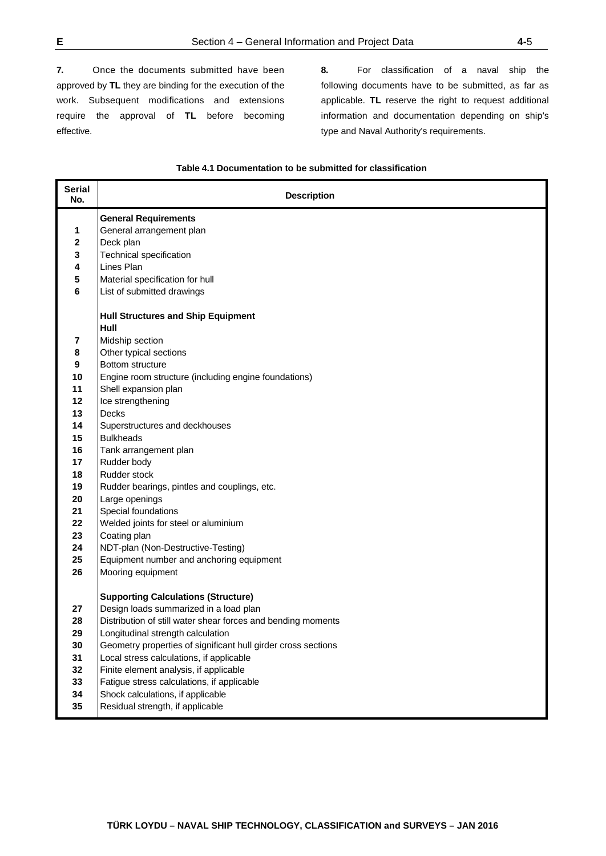**7.** Once the documents submitted have been approved by **TL** they are binding for the execution of the work. Subsequent modifications and extensions require the approval of **TL** before becoming effective.

**8.** For classification of a naval ship the following documents have to be submitted, as far as applicable. **TL** reserve the right to request additional information and documentation depending on ship's type and Naval Authority's requirements.

## **Table 4.1 Documentation to be submitted for classification**

| <b>Serial</b><br>No. | <b>Description</b>                                            |
|----------------------|---------------------------------------------------------------|
|                      | <b>General Requirements</b>                                   |
| 1                    | General arrangement plan                                      |
| 2                    | Deck plan                                                     |
| 3                    | Technical specification                                       |
| 4                    | Lines Plan                                                    |
| 5                    | Material specification for hull                               |
| 6                    | List of submitted drawings                                    |
|                      | <b>Hull Structures and Ship Equipment</b>                     |
|                      | Hull                                                          |
| 7                    | Midship section                                               |
| 8                    | Other typical sections                                        |
| 9                    | Bottom structure                                              |
| 10                   | Engine room structure (including engine foundations)          |
| 11                   | Shell expansion plan                                          |
| 12                   | Ice strengthening<br><b>Decks</b>                             |
| 13<br>14             |                                                               |
| 15                   | Superstructures and deckhouses<br><b>Bulkheads</b>            |
| 16                   | Tank arrangement plan                                         |
| 17                   | Rudder body                                                   |
| 18                   | Rudder stock                                                  |
| 19                   | Rudder bearings, pintles and couplings, etc.                  |
| 20                   | Large openings                                                |
| 21                   | Special foundations                                           |
| 22                   | Welded joints for steel or aluminium                          |
| 23                   | Coating plan                                                  |
| 24                   | NDT-plan (Non-Destructive-Testing)                            |
| 25                   | Equipment number and anchoring equipment                      |
| 26                   | Mooring equipment                                             |
|                      | <b>Supporting Calculations (Structure)</b>                    |
| 27                   | Design loads summarized in a load plan                        |
| 28                   | Distribution of still water shear forces and bending moments  |
| 29                   | Longitudinal strength calculation                             |
| 30                   | Geometry properties of significant hull girder cross sections |
| 31                   | Local stress calculations, if applicable                      |
| 32                   | Finite element analysis, if applicable                        |
| 33                   | Fatigue stress calculations, if applicable                    |
| 34                   | Shock calculations, if applicable                             |
| 35                   | Residual strength, if applicable                              |
|                      |                                                               |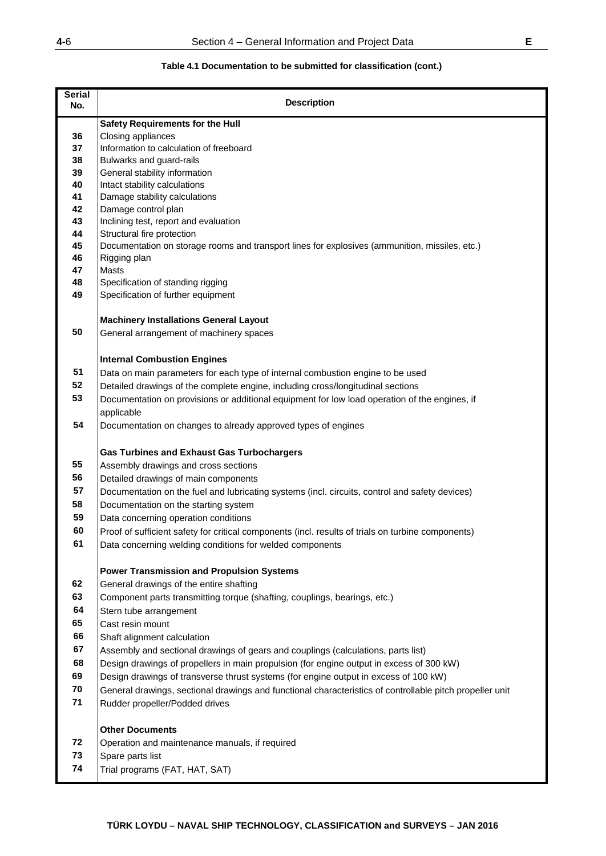# **Table 4.1 Documentation to be submitted for classification (cont.)**

| <b>Serial</b><br>No. | <b>Description</b>                                                                                                                                                               |
|----------------------|----------------------------------------------------------------------------------------------------------------------------------------------------------------------------------|
|                      | <b>Safety Requirements for the Hull</b>                                                                                                                                          |
| 36                   | Closing appliances                                                                                                                                                               |
| 37                   | Information to calculation of freeboard                                                                                                                                          |
| 38                   | Bulwarks and guard-rails                                                                                                                                                         |
| 39                   | General stability information                                                                                                                                                    |
| 40                   | Intact stability calculations                                                                                                                                                    |
| 41                   | Damage stability calculations                                                                                                                                                    |
| 42                   | Damage control plan                                                                                                                                                              |
| 43<br>44             | Inclining test, report and evaluation<br>Structural fire protection                                                                                                              |
| 45                   | Documentation on storage rooms and transport lines for explosives (ammunition, missiles, etc.)                                                                                   |
| 46                   | Rigging plan                                                                                                                                                                     |
| 47                   | Masts                                                                                                                                                                            |
| 48                   | Specification of standing rigging                                                                                                                                                |
| 49                   | Specification of further equipment                                                                                                                                               |
|                      |                                                                                                                                                                                  |
|                      | <b>Machinery Installations General Layout</b>                                                                                                                                    |
| 50                   | General arrangement of machinery spaces                                                                                                                                          |
|                      |                                                                                                                                                                                  |
| 51                   | <b>Internal Combustion Engines</b><br>Data on main parameters for each type of internal combustion engine to be used                                                             |
| 52                   |                                                                                                                                                                                  |
| 53                   | Detailed drawings of the complete engine, including cross/longitudinal sections<br>Documentation on provisions or additional equipment for low load operation of the engines, if |
|                      | applicable                                                                                                                                                                       |
| 54                   | Documentation on changes to already approved types of engines                                                                                                                    |
|                      |                                                                                                                                                                                  |
|                      | <b>Gas Turbines and Exhaust Gas Turbochargers</b>                                                                                                                                |
| 55                   | Assembly drawings and cross sections                                                                                                                                             |
| 56                   | Detailed drawings of main components                                                                                                                                             |
| 57                   | Documentation on the fuel and lubricating systems (incl. circuits, control and safety devices)                                                                                   |
| 58                   | Documentation on the starting system                                                                                                                                             |
| 59                   | Data concerning operation conditions                                                                                                                                             |
| 60                   | Proof of sufficient safety for critical components (incl. results of trials on turbine components)                                                                               |
| 61                   | Data concerning welding conditions for welded components                                                                                                                         |
|                      |                                                                                                                                                                                  |
|                      | <b>Power Transmission and Propulsion Systems</b>                                                                                                                                 |
| 62                   | General drawings of the entire shafting                                                                                                                                          |
| 63                   | Component parts transmitting torque (shafting, couplings, bearings, etc.)                                                                                                        |
| 64                   | Stern tube arrangement                                                                                                                                                           |
| 65                   | Cast resin mount                                                                                                                                                                 |
| 66                   | Shaft alignment calculation                                                                                                                                                      |
| 67                   | Assembly and sectional drawings of gears and couplings (calculations, parts list)                                                                                                |
| 68                   | Design drawings of propellers in main propulsion (for engine output in excess of 300 kW)                                                                                         |
| 69                   | Design drawings of transverse thrust systems (for engine output in excess of 100 kW)                                                                                             |
| 70                   | General drawings, sectional drawings and functional characteristics of controllable pitch propeller unit                                                                         |
| 71                   | Rudder propeller/Podded drives                                                                                                                                                   |
|                      | <b>Other Documents</b>                                                                                                                                                           |
| 72                   | Operation and maintenance manuals, if required                                                                                                                                   |
| 73                   | Spare parts list                                                                                                                                                                 |
| 74                   | Trial programs (FAT, HAT, SAT)                                                                                                                                                   |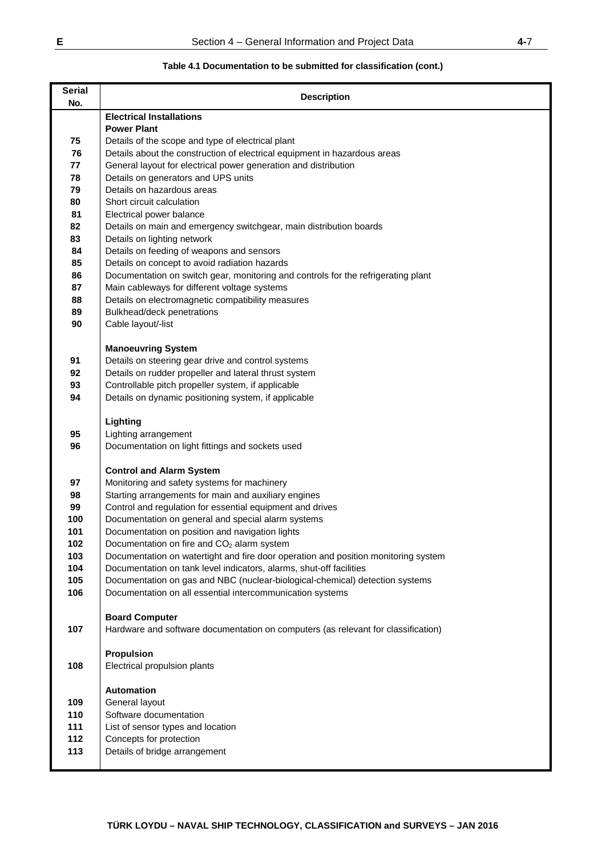# **Table 4.1 Documentation to be submitted for classification (cont.)**

| <b>Serial</b><br>No. | <b>Description</b>                                                                                         |
|----------------------|------------------------------------------------------------------------------------------------------------|
|                      | <b>Electrical Installations</b>                                                                            |
|                      | <b>Power Plant</b>                                                                                         |
| 75                   | Details of the scope and type of electrical plant                                                          |
| 76                   | Details about the construction of electrical equipment in hazardous areas                                  |
| 77                   | General layout for electrical power generation and distribution                                            |
| 78                   | Details on generators and UPS units                                                                        |
| 79                   | Details on hazardous areas                                                                                 |
| 80                   | Short circuit calculation                                                                                  |
| 81<br>82             | Electrical power balance                                                                                   |
| 83                   | Details on main and emergency switchgear, main distribution boards<br>Details on lighting network          |
| 84                   | Details on feeding of weapons and sensors                                                                  |
| 85                   | Details on concept to avoid radiation hazards                                                              |
| 86                   | Documentation on switch gear, monitoring and controls for the refrigerating plant                          |
| 87                   | Main cableways for different voltage systems                                                               |
| 88                   | Details on electromagnetic compatibility measures                                                          |
| 89                   | Bulkhead/deck penetrations                                                                                 |
| 90                   | Cable layout/-list                                                                                         |
|                      |                                                                                                            |
|                      | <b>Manoeuvring System</b>                                                                                  |
| 91                   | Details on steering gear drive and control systems                                                         |
| 92                   | Details on rudder propeller and lateral thrust system                                                      |
| 93<br>94             | Controllable pitch propeller system, if applicable<br>Details on dynamic positioning system, if applicable |
|                      |                                                                                                            |
|                      | Lighting                                                                                                   |
| 95                   | Lighting arrangement                                                                                       |
| 96                   | Documentation on light fittings and sockets used                                                           |
|                      |                                                                                                            |
|                      | <b>Control and Alarm System</b>                                                                            |
| 97                   | Monitoring and safety systems for machinery                                                                |
| 98                   | Starting arrangements for main and auxiliary engines                                                       |
| 99<br>100            | Control and regulation for essential equipment and drives                                                  |
| 101                  | Documentation on general and special alarm systems<br>Documentation on position and navigation lights      |
| 102                  | Documentation on fire and CO <sub>2</sub> alarm system                                                     |
| 103                  | Documentation on watertight and fire door operation and position monitoring system                         |
| 104                  | Documentation on tank level indicators, alarms, shut-off facilities                                        |
| 105                  | Documentation on gas and NBC (nuclear-biological-chemical) detection systems                               |
| 106                  | Documentation on all essential intercommunication systems                                                  |
|                      |                                                                                                            |
|                      | <b>Board Computer</b>                                                                                      |
| 107                  | Hardware and software documentation on computers (as relevant for classification)                          |
|                      | <b>Propulsion</b>                                                                                          |
| 108                  | Electrical propulsion plants                                                                               |
|                      |                                                                                                            |
|                      | <b>Automation</b>                                                                                          |
| 109                  | General layout                                                                                             |
| 110                  | Software documentation                                                                                     |
| 111                  | List of sensor types and location                                                                          |
| 112                  | Concepts for protection                                                                                    |
| 113                  | Details of bridge arrangement                                                                              |
|                      |                                                                                                            |